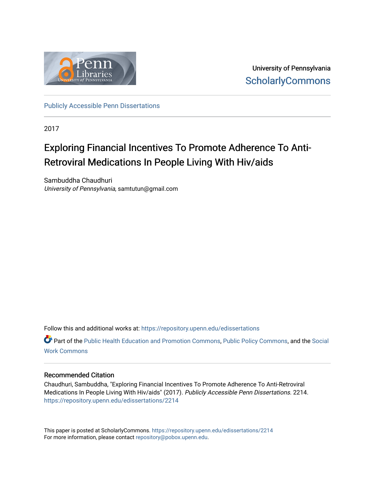

University of Pennsylvania **ScholarlyCommons** 

[Publicly Accessible Penn Dissertations](https://repository.upenn.edu/edissertations)

2017

## Exploring Financial Incentives To Promote Adherence To Anti-Retroviral Medications In People Living With Hiv/aids

Sambuddha Chaudhuri University of Pennsylvania, samtutun@gmail.com

Follow this and additional works at: [https://repository.upenn.edu/edissertations](https://repository.upenn.edu/edissertations?utm_source=repository.upenn.edu%2Fedissertations%2F2214&utm_medium=PDF&utm_campaign=PDFCoverPages) 

Part of the [Public Health Education and Promotion Commons,](http://network.bepress.com/hgg/discipline/743?utm_source=repository.upenn.edu%2Fedissertations%2F2214&utm_medium=PDF&utm_campaign=PDFCoverPages) [Public Policy Commons,](http://network.bepress.com/hgg/discipline/400?utm_source=repository.upenn.edu%2Fedissertations%2F2214&utm_medium=PDF&utm_campaign=PDFCoverPages) and the [Social](http://network.bepress.com/hgg/discipline/713?utm_source=repository.upenn.edu%2Fedissertations%2F2214&utm_medium=PDF&utm_campaign=PDFCoverPages)  [Work Commons](http://network.bepress.com/hgg/discipline/713?utm_source=repository.upenn.edu%2Fedissertations%2F2214&utm_medium=PDF&utm_campaign=PDFCoverPages)

#### Recommended Citation

Chaudhuri, Sambuddha, "Exploring Financial Incentives To Promote Adherence To Anti-Retroviral Medications In People Living With Hiv/aids" (2017). Publicly Accessible Penn Dissertations. 2214. [https://repository.upenn.edu/edissertations/2214](https://repository.upenn.edu/edissertations/2214?utm_source=repository.upenn.edu%2Fedissertations%2F2214&utm_medium=PDF&utm_campaign=PDFCoverPages) 

This paper is posted at ScholarlyCommons.<https://repository.upenn.edu/edissertations/2214> For more information, please contact [repository@pobox.upenn.edu.](mailto:repository@pobox.upenn.edu)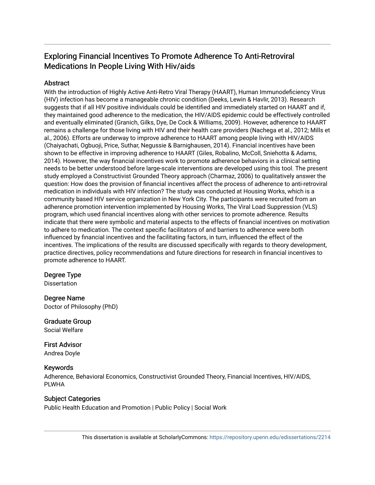## Exploring Financial Incentives To Promote Adherence To Anti-Retroviral Medications In People Living With Hiv/aids

## **Abstract**

With the introduction of Highly Active Anti-Retro Viral Therapy (HAART), Human Immunodeficiency Virus (HIV) infection has become a manageable chronic condition (Deeks, Lewin & Havlir, 2013). Research suggests that if all HIV positive individuals could be identified and immediately started on HAART and if, they maintained good adherence to the medication, the HIV/AIDS epidemic could be effectively controlled and eventually eliminated (Granich, Gilks, Dye, De Cock & Williams, 2009). However, adherence to HAART remains a challenge for those living with HIV and their health care providers (Nachega et al., 2012; Mills et al., 2006). Efforts are underway to improve adherence to HAART among people living with HIV/AIDS (Chaiyachati, Ogbuoji, Price, Suthar, Negussie & Barnighausen, 2014). Financial incentives have been shown to be effective in improving adherence to HAART (Giles, Robalino, McColl, Sniehotta & Adams, 2014). However, the way financial incentives work to promote adherence behaviors in a clinical setting needs to be better understood before large-scale interventions are developed using this tool. The present study employed a Constructivist Grounded Theory approach (Charmaz, 2006) to qualitatively answer the question: How does the provision of financial incentives affect the process of adherence to anti-retroviral medication in individuals with HIV infection? The study was conducted at Housing Works, which is a community based HIV service organization in New York City. The participants were recruited from an adherence promotion intervention implemented by Housing Works, The Viral Load Suppression (VLS) program, which used financial incentives along with other services to promote adherence. Results indicate that there were symbolic and material aspects to the effects of financial incentives on motivation to adhere to medication. The context specific facilitators of and barriers to adherence were both influenced by financial incentives and the facilitating factors, in turn, influenced the effect of the incentives. The implications of the results are discussed specifically with regards to theory development, practice directives, policy recommendations and future directions for research in financial incentives to promote adherence to HAART.

## Degree Type

**Dissertation** 

Degree Name Doctor of Philosophy (PhD)

Graduate Group Social Welfare

First Advisor Andrea Doyle

## Keywords

Adherence, Behavioral Economics, Constructivist Grounded Theory, Financial Incentives, HIV/AIDS, PLWHA

## Subject Categories

Public Health Education and Promotion | Public Policy | Social Work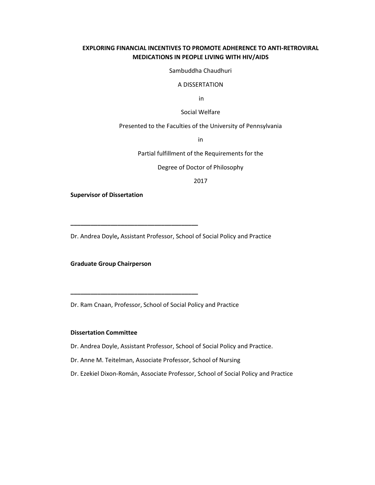### **EXPLORING FINANCIAL INCENTIVES TO PROMOTE ADHERENCE TO ANTI-RETROVIRAL MEDICATIONS IN PEOPLE LIVING WITH HIV/AIDS**

Sambuddha Chaudhuri

#### A DISSERTATION

in

Social Welfare

Presented to the Faculties of the University of Pennsylvania

in

Partial fulfillment of the Requirements for the

Degree of Doctor of Philosophy

2017

**Supervisor of Dissertation** 

Dr. Andrea Doyle**,** Assistant Professor, School of Social Policy and Practice

**Graduate Group Chairperson** 

**\_\_\_\_\_\_\_\_\_\_\_\_\_\_\_\_\_\_\_\_\_\_\_\_\_\_\_\_\_\_\_\_\_\_\_\_\_\_** 

**\_\_\_\_\_\_\_\_\_\_\_\_\_\_\_\_\_\_\_\_\_\_\_\_\_\_\_\_\_\_\_\_\_\_\_\_\_\_** 

Dr. Ram Cnaan, Professor, School of Social Policy and Practice

#### **Dissertation Committee**

Dr. Andrea Doyle, Assistant Professor, School of Social Policy and Practice.

- Dr. Anne M. Teitelman, Associate Professor, School of Nursing
- Dr. Ezekiel Dixon-Román, Associate Professor, School of Social Policy and Practice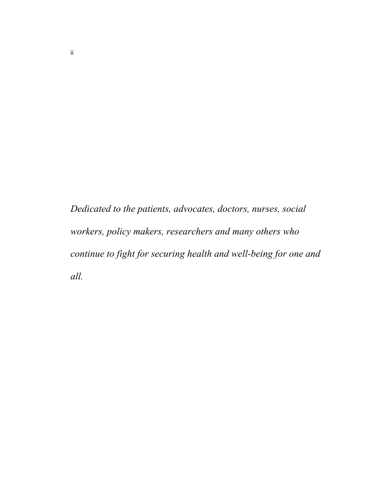*Dedicated to the patients, advocates, doctors, nurses, social workers, policy makers, researchers and many others who continue to fight for securing health and well-being for one and all.*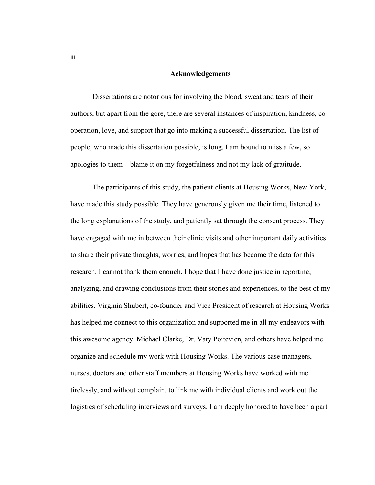#### **Acknowledgements**

Dissertations are notorious for involving the blood, sweat and tears of their authors, but apart from the gore, there are several instances of inspiration, kindness, cooperation, love, and support that go into making a successful dissertation. The list of people, who made this dissertation possible, is long. I am bound to miss a few, so apologies to them – blame it on my forgetfulness and not my lack of gratitude.

The participants of this study, the patient-clients at Housing Works, New York, have made this study possible. They have generously given me their time, listened to the long explanations of the study, and patiently sat through the consent process. They have engaged with me in between their clinic visits and other important daily activities to share their private thoughts, worries, and hopes that has become the data for this research. I cannot thank them enough. I hope that I have done justice in reporting, analyzing, and drawing conclusions from their stories and experiences, to the best of my abilities. Virginia Shubert, co-founder and Vice President of research at Housing Works has helped me connect to this organization and supported me in all my endeavors with this awesome agency. Michael Clarke, Dr. Vaty Poitevien, and others have helped me organize and schedule my work with Housing Works. The various case managers, nurses, doctors and other staff members at Housing Works have worked with me tirelessly, and without complain, to link me with individual clients and work out the logistics of scheduling interviews and surveys. I am deeply honored to have been a part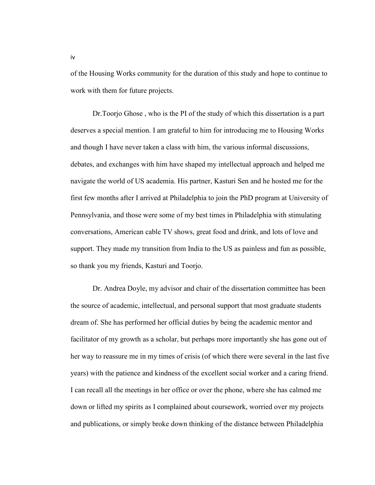of the Housing Works community for the duration of this study and hope to continue to work with them for future projects.

Dr.Toorjo Ghose , who is the PI of the study of which this dissertation is a part deserves a special mention. I am grateful to him for introducing me to Housing Works and though I have never taken a class with him, the various informal discussions, debates, and exchanges with him have shaped my intellectual approach and helped me navigate the world of US academia. His partner, Kasturi Sen and he hosted me for the first few months after I arrived at Philadelphia to join the PhD program at University of Pennsylvania, and those were some of my best times in Philadelphia with stimulating conversations, American cable TV shows, great food and drink, and lots of love and support. They made my transition from India to the US as painless and fun as possible, so thank you my friends, Kasturi and Toorjo.

Dr. Andrea Doyle, my advisor and chair of the dissertation committee has been the source of academic, intellectual, and personal support that most graduate students dream of. She has performed her official duties by being the academic mentor and facilitator of my growth as a scholar, but perhaps more importantly she has gone out of her way to reassure me in my times of crisis (of which there were several in the last five years) with the patience and kindness of the excellent social worker and a caring friend. I can recall all the meetings in her office or over the phone, where she has calmed me down or lifted my spirits as I complained about coursework, worried over my projects and publications, or simply broke down thinking of the distance between Philadelphia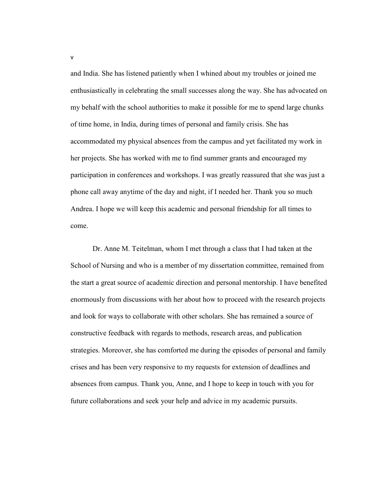and India. She has listened patiently when I whined about my troubles or joined me enthusiastically in celebrating the small successes along the way. She has advocated on my behalf with the school authorities to make it possible for me to spend large chunks of time home, in India, during times of personal and family crisis. She has accommodated my physical absences from the campus and yet facilitated my work in her projects. She has worked with me to find summer grants and encouraged my participation in conferences and workshops. I was greatly reassured that she was just a phone call away anytime of the day and night, if I needed her. Thank you so much Andrea. I hope we will keep this academic and personal friendship for all times to come.

Dr. Anne M. Teitelman, whom I met through a class that I had taken at the School of Nursing and who is a member of my dissertation committee, remained from the start a great source of academic direction and personal mentorship. I have benefited enormously from discussions with her about how to proceed with the research projects and look for ways to collaborate with other scholars. She has remained a source of constructive feedback with regards to methods, research areas, and publication strategies. Moreover, she has comforted me during the episodes of personal and family crises and has been very responsive to my requests for extension of deadlines and absences from campus. Thank you, Anne, and I hope to keep in touch with you for future collaborations and seek your help and advice in my academic pursuits.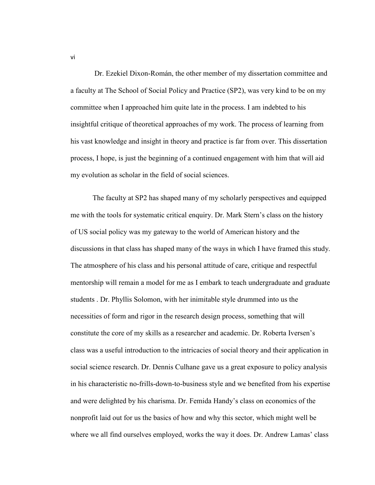Dr. Ezekiel Dixon-Román, the other member of my dissertation committee and a faculty at The School of Social Policy and Practice (SP2), was very kind to be on my committee when I approached him quite late in the process. I am indebted to his insightful critique of theoretical approaches of my work. The process of learning from his vast knowledge and insight in theory and practice is far from over. This dissertation process, I hope, is just the beginning of a continued engagement with him that will aid my evolution as scholar in the field of social sciences.

The faculty at SP2 has shaped many of my scholarly perspectives and equipped me with the tools for systematic critical enquiry. Dr. Mark Stern's class on the history of US social policy was my gateway to the world of American history and the discussions in that class has shaped many of the ways in which I have framed this study. The atmosphere of his class and his personal attitude of care, critique and respectful mentorship will remain a model for me as I embark to teach undergraduate and graduate students . Dr. Phyllis Solomon, with her inimitable style drummed into us the necessities of form and rigor in the research design process, something that will constitute the core of my skills as a researcher and academic. Dr. Roberta Iversen's class was a useful introduction to the intricacies of social theory and their application in social science research. Dr. Dennis Culhane gave us a great exposure to policy analysis in his characteristic no-frills-down-to-business style and we benefited from his expertise and were delighted by his charisma. Dr. Femida Handy's class on economics of the nonprofit laid out for us the basics of how and why this sector, which might well be where we all find ourselves employed, works the way it does. Dr. Andrew Lamas' class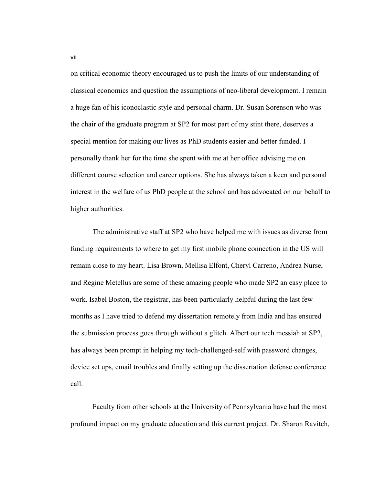on critical economic theory encouraged us to push the limits of our understanding of classical economics and question the assumptions of neo-liberal development. I remain a huge fan of his iconoclastic style and personal charm. Dr. Susan Sorenson who was the chair of the graduate program at SP2 for most part of my stint there, deserves a special mention for making our lives as PhD students easier and better funded. I personally thank her for the time she spent with me at her office advising me on different course selection and career options. She has always taken a keen and personal interest in the welfare of us PhD people at the school and has advocated on our behalf to higher authorities.

The administrative staff at SP2 who have helped me with issues as diverse from funding requirements to where to get my first mobile phone connection in the US will remain close to my heart. Lisa Brown, Mellisa Elfont, Cheryl Carreno, Andrea Nurse, and Regine Metellus are some of these amazing people who made SP2 an easy place to work. Isabel Boston, the registrar, has been particularly helpful during the last few months as I have tried to defend my dissertation remotely from India and has ensured the submission process goes through without a glitch. Albert our tech messiah at SP2, has always been prompt in helping my tech-challenged-self with password changes, device set ups, email troubles and finally setting up the dissertation defense conference call.

Faculty from other schools at the University of Pennsylvania have had the most profound impact on my graduate education and this current project. Dr. Sharon Ravitch,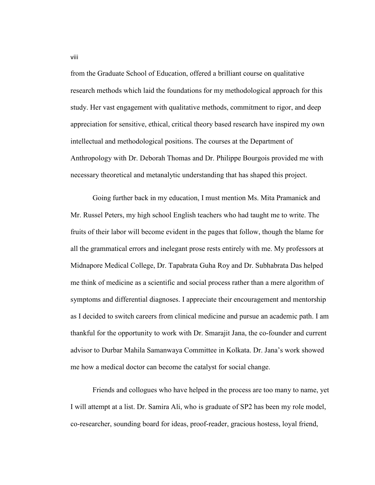from the Graduate School of Education, offered a brilliant course on qualitative research methods which laid the foundations for my methodological approach for this study. Her vast engagement with qualitative methods, commitment to rigor, and deep appreciation for sensitive, ethical, critical theory based research have inspired my own intellectual and methodological positions. The courses at the Department of Anthropology with Dr. Deborah Thomas and Dr. Philippe Bourgois provided me with necessary theoretical and metanalytic understanding that has shaped this project.

Going further back in my education, I must mention Ms. Mita Pramanick and Mr. Russel Peters, my high school English teachers who had taught me to write. The fruits of their labor will become evident in the pages that follow, though the blame for all the grammatical errors and inelegant prose rests entirely with me. My professors at Midnapore Medical College, Dr. Tapabrata Guha Roy and Dr. Subhabrata Das helped me think of medicine as a scientific and social process rather than a mere algorithm of symptoms and differential diagnoses. I appreciate their encouragement and mentorship as I decided to switch careers from clinical medicine and pursue an academic path. I am thankful for the opportunity to work with Dr. Smarajit Jana, the co-founder and current advisor to Durbar Mahila Samanwaya Committee in Kolkata. Dr. Jana's work showed me how a medical doctor can become the catalyst for social change.

Friends and collogues who have helped in the process are too many to name, yet I will attempt at a list. Dr. Samira Ali, who is graduate of SP2 has been my role model, co-researcher, sounding board for ideas, proof-reader, gracious hostess, loyal friend,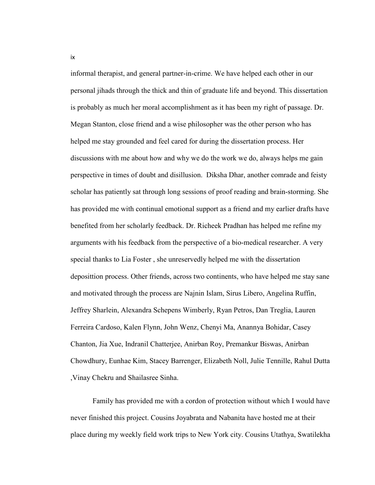informal therapist, and general partner-in-crime. We have helped each other in our personal jihads through the thick and thin of graduate life and beyond. This dissertation is probably as much her moral accomplishment as it has been my right of passage. Dr. Megan Stanton, close friend and a wise philosopher was the other person who has helped me stay grounded and feel cared for during the dissertation process. Her discussions with me about how and why we do the work we do, always helps me gain perspective in times of doubt and disillusion. Diksha Dhar, another comrade and feisty scholar has patiently sat through long sessions of proof reading and brain-storming. She has provided me with continual emotional support as a friend and my earlier drafts have benefited from her scholarly feedback. Dr. Richeek Pradhan has helped me refine my arguments with his feedback from the perspective of a bio-medical researcher. A very special thanks to Lia Foster , she unreservedly helped me with the dissertation deposittion process. Other friends, across two continents, who have helped me stay sane and motivated through the process are Najnin Islam, Sirus Libero, Angelina Ruffin, Jeffrey Sharlein, Alexandra Schepens Wimberly, Ryan Petros, Dan Treglia, Lauren Ferreira Cardoso, Kalen Flynn, John Wenz, Chenyi Ma, Anannya Bohidar, Casey Chanton, Jia Xue, Indranil Chatterjee, Anirban Roy, Premankur Biswas, Anirban Chowdhury, Eunhae Kim, Stacey Barrenger, Elizabeth Noll, Julie Tennille, Rahul Dutta ,Vinay Chekru and Shailasree Sinha.

Family has provided me with a cordon of protection without which I would have never finished this project. Cousins Joyabrata and Nabanita have hosted me at their place during my weekly field work trips to New York city. Cousins Utathya, Swatilekha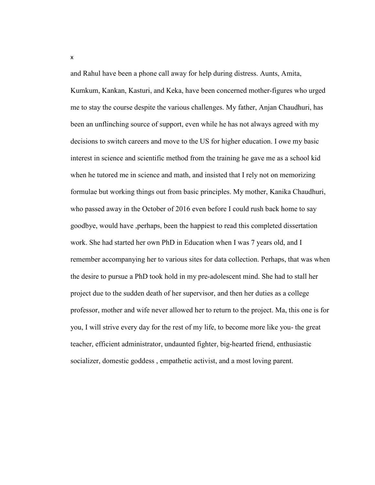and Rahul have been a phone call away for help during distress. Aunts, Amita, Kumkum, Kankan, Kasturi, and Keka, have been concerned mother-figures who urged me to stay the course despite the various challenges. My father, Anjan Chaudhuri, has been an unflinching source of support, even while he has not always agreed with my decisions to switch careers and move to the US for higher education. I owe my basic interest in science and scientific method from the training he gave me as a school kid when he tutored me in science and math, and insisted that I rely not on memorizing formulae but working things out from basic principles. My mother, Kanika Chaudhuri, who passed away in the October of 2016 even before I could rush back home to say goodbye, would have ,perhaps, been the happiest to read this completed dissertation work. She had started her own PhD in Education when I was 7 years old, and I remember accompanying her to various sites for data collection. Perhaps, that was when the desire to pursue a PhD took hold in my pre-adolescent mind. She had to stall her project due to the sudden death of her supervisor, and then her duties as a college professor, mother and wife never allowed her to return to the project. Ma, this one is for you, I will strive every day for the rest of my life, to become more like you- the great teacher, efficient administrator, undaunted fighter, big-hearted friend, enthusiastic socializer, domestic goddess , empathetic activist, and a most loving parent.

x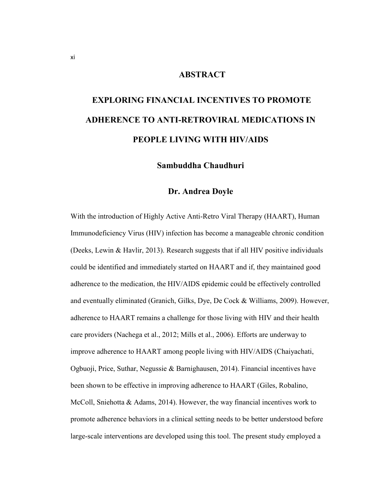## **ABSTRACT**

# **EXPLORING FINANCIAL INCENTIVES TO PROMOTE ADHERENCE TO ANTI-RETROVIRAL MEDICATIONS IN PEOPLE LIVING WITH HIV/AIDS**

## **Sambuddha Chaudhuri**

## **Dr. Andrea Doyle**

With the introduction of Highly Active Anti-Retro Viral Therapy (HAART), Human Immunodeficiency Virus (HIV) infection has become a manageable chronic condition (Deeks, Lewin & Havlir, 2013). Research suggests that if all HIV positive individuals could be identified and immediately started on HAART and if, they maintained good adherence to the medication, the HIV/AIDS epidemic could be effectively controlled and eventually eliminated (Granich, Gilks, Dye, De Cock & Williams, 2009). However, adherence to HAART remains a challenge for those living with HIV and their health care providers (Nachega et al., 2012; Mills et al., 2006). Efforts are underway to improve adherence to HAART among people living with HIV/AIDS (Chaiyachati, Ogbuoji, Price, Suthar, Negussie & Barnighausen, 2014). Financial incentives have been shown to be effective in improving adherence to HAART (Giles, Robalino, McColl, Sniehotta & Adams, 2014). However, the way financial incentives work to promote adherence behaviors in a clinical setting needs to be better understood before large-scale interventions are developed using this tool. The present study employed a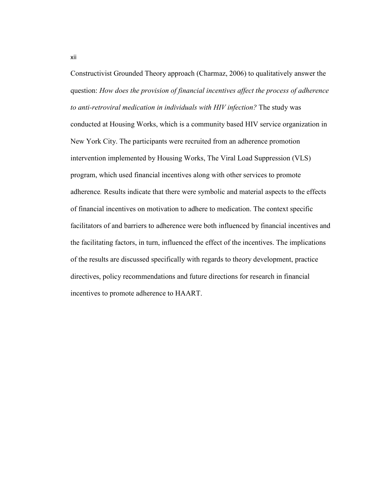Constructivist Grounded Theory approach (Charmaz, 2006) to qualitatively answer the question: *How does the provision of financial incentives affect the process of adherence to anti-retroviral medication in individuals with HIV infection?* The study was conducted at Housing Works, which is a community based HIV service organization in New York City. The participants were recruited from an adherence promotion intervention implemented by Housing Works, The Viral Load Suppression (VLS) program, which used financial incentives along with other services to promote adherence*.* Results indicate that there were symbolic and material aspects to the effects of financial incentives on motivation to adhere to medication. The context specific facilitators of and barriers to adherence were both influenced by financial incentives and the facilitating factors, in turn, influenced the effect of the incentives. The implications of the results are discussed specifically with regards to theory development, practice directives, policy recommendations and future directions for research in financial incentives to promote adherence to HAART.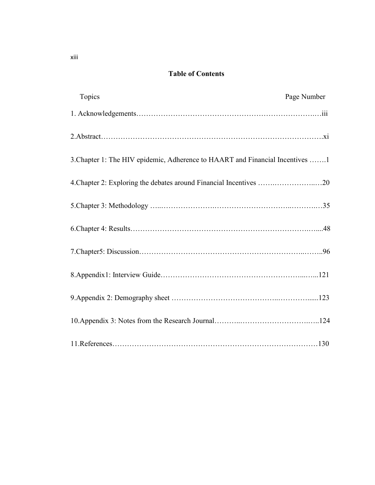## **Table of Contents**

| Topics                                                                        | Page Number |
|-------------------------------------------------------------------------------|-------------|
|                                                                               |             |
|                                                                               |             |
| 3. Chapter 1: The HIV epidemic, Adherence to HAART and Financial Incentives 1 |             |
|                                                                               |             |
|                                                                               |             |
|                                                                               |             |
|                                                                               |             |
|                                                                               |             |
|                                                                               |             |
|                                                                               |             |
|                                                                               |             |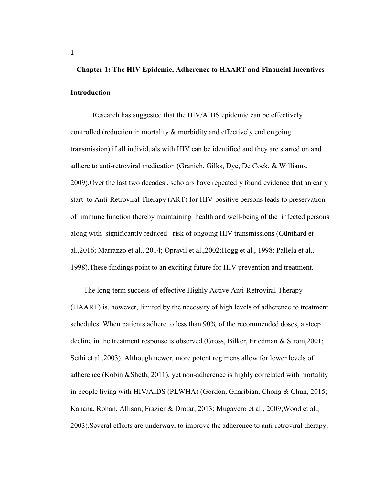## **Chapter 1: The HIV Epidemic, Adherence to HAART and Financial Incentives Introduction**

Research has suggested that the HIV/AIDS epidemic can be effectively controlled (reduction in mortality & morbidity and effectively end ongoing transmission) if all individuals with HIV can be identified and they are started on and adhere to anti-retroviral medication (Granich, Gilks, Dye, De Cock, & Williams, 2009).Over the last two decades , scholars have repeatedly found evidence that an early start to Anti-Retroviral Therapy (ART) for HIV-positive persons leads to preservation of immune function thereby maintaining health and well-being of the infected persons along with significantly reduced risk of ongoing HIV transmissions (Günthard et al.,2016; Marrazzo et al., 2014; Opravil et al.,2002;Hogg et al., 1998; Pallela et al., 1998).These findings point to an exciting future for HIV prevention and treatment.

The long-term success of effective Highly Active Anti-Retroviral Therapy (HAART) is, however, limited by the necessity of high levels of adherence to treatment schedules. When patients adhere to less than 90% of the recommended doses, a steep decline in the treatment response is observed (Gross, Bilker, Friedman & Strom,2001; Sethi et al.,2003). Although newer, more potent regimens allow for lower levels of adherence (Kobin &Sheth, 2011), yet non-adherence is highly correlated with mortality in people living with HIV/AIDS (PLWHA) (Gordon, Gharibian, Chong & Chun, 2015; Kahana, Rohan, Allison, Frazier & Drotar, 2013; Mugavero et al., 2009;Wood et al., 2003).Several efforts are underway, to improve the adherence to anti-retroviral therapy,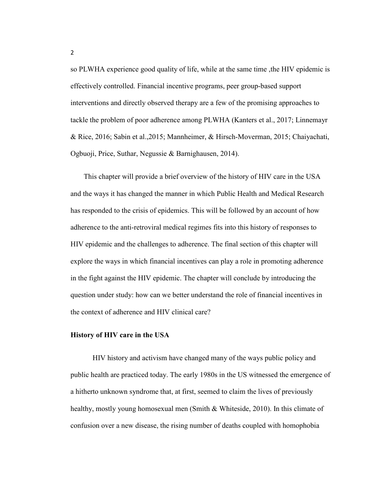so PLWHA experience good quality of life, while at the same time ,the HIV epidemic is effectively controlled. Financial incentive programs, peer group-based support interventions and directly observed therapy are a few of the promising approaches to tackle the problem of poor adherence among PLWHA (Kanters et al., 2017; Linnemayr & Rice, 2016; Sabin et al.,2015; Mannheimer, & Hirsch-Moverman, 2015; Chaiyachati, Ogbuoji, Price, Suthar, Negussie & Barnighausen, 2014).

This chapter will provide a brief overview of the history of HIV care in the USA and the ways it has changed the manner in which Public Health and Medical Research has responded to the crisis of epidemics. This will be followed by an account of how adherence to the anti-retroviral medical regimes fits into this history of responses to HIV epidemic and the challenges to adherence. The final section of this chapter will explore the ways in which financial incentives can play a role in promoting adherence in the fight against the HIV epidemic. The chapter will conclude by introducing the question under study: how can we better understand the role of financial incentives in the context of adherence and HIV clinical care?

#### **History of HIV care in the USA**

HIV history and activism have changed many of the ways public policy and public health are practiced today. The early 1980s in the US witnessed the emergence of a hitherto unknown syndrome that, at first, seemed to claim the lives of previously healthy, mostly young homosexual men (Smith & Whiteside, 2010). In this climate of confusion over a new disease, the rising number of deaths coupled with homophobia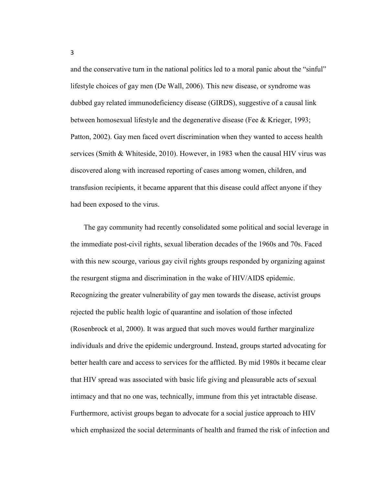and the conservative turn in the national politics led to a moral panic about the "sinful" lifestyle choices of gay men (De Wall, 2006). This new disease, or syndrome was dubbed gay related immunodeficiency disease (GIRDS), suggestive of a causal link between homosexual lifestyle and the degenerative disease (Fee & Krieger, 1993; Patton, 2002). Gay men faced overt discrimination when they wanted to access health services (Smith & Whiteside, 2010). However, in 1983 when the causal HIV virus was discovered along with increased reporting of cases among women, children, and transfusion recipients, it became apparent that this disease could affect anyone if they had been exposed to the virus.

The gay community had recently consolidated some political and social leverage in the immediate post-civil rights, sexual liberation decades of the 1960s and 70s. Faced with this new scourge, various gay civil rights groups responded by organizing against the resurgent stigma and discrimination in the wake of HIV/AIDS epidemic. Recognizing the greater vulnerability of gay men towards the disease, activist groups rejected the public health logic of quarantine and isolation of those infected (Rosenbrock et al, 2000). It was argued that such moves would further marginalize individuals and drive the epidemic underground. Instead, groups started advocating for better health care and access to services for the afflicted. By mid 1980s it became clear that HIV spread was associated with basic life giving and pleasurable acts of sexual intimacy and that no one was, technically, immune from this yet intractable disease. Furthermore, activist groups began to advocate for a social justice approach to HIV which emphasized the social determinants of health and framed the risk of infection and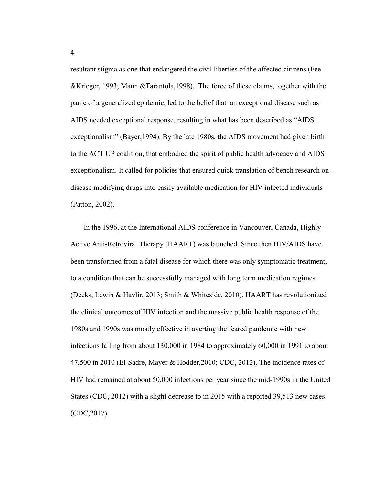resultant stigma as one that endangered the civil liberties of the affected citizens (Fee &Krieger, 1993; Mann &Tarantola,1998). The force of these claims, together with the panic of a generalized epidemic, led to the belief that an exceptional disease such as AIDS needed exceptional response, resulting in what has been described as "AIDS exceptionalism" (Bayer,1994). By the late 1980s, the AIDS movement had given birth to the ACT UP coalition, that embodied the spirit of public health advocacy and AIDS exceptionalism. It called for policies that ensured quick translation of bench research on disease modifying drugs into easily available medication for HIV infected individuals (Patton, 2002).

In the 1996, at the International AIDS conference in Vancouver, Canada, Highly Active Anti-Retroviral Therapy (HAART) was launched. Since then HIV/AIDS have been transformed from a fatal disease for which there was only symptomatic treatment, to a condition that can be successfully managed with long term medication regimes (Deeks, Lewin & Havlir, 2013; Smith & Whiteside, 2010). HAART has revolutionized the clinical outcomes of HIV infection and the massive public health response of the 1980s and 1990s was mostly effective in averting the feared pandemic with new infections falling from about 130,000 in 1984 to approximately 60,000 in 1991 to about 47,500 in 2010 (El-Sadre, Mayer & Hodder,2010; CDC, 2012). The incidence rates of HIV had remained at about 50,000 infections per year since the mid-1990s in the United States (CDC, 2012) with a slight decrease to in 2015 with a reported 39,513 new cases (CDC,2017).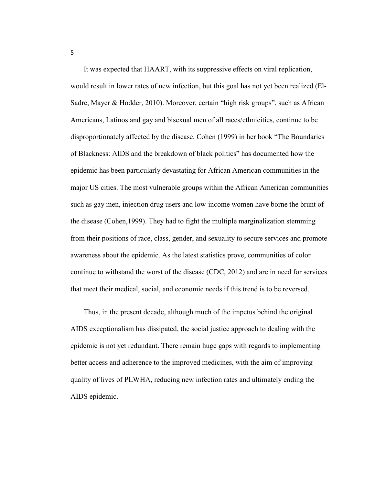It was expected that HAART, with its suppressive effects on viral replication, would result in lower rates of new infection, but this goal has not yet been realized (El-Sadre, Mayer & Hodder, 2010). Moreover, certain "high risk groups", such as African Americans, Latinos and gay and bisexual men of all races/ethnicities, continue to be disproportionately affected by the disease. Cohen (1999) in her book "The Boundaries of Blackness: AIDS and the breakdown of black politics" has documented how the epidemic has been particularly devastating for African American communities in the major US cities. The most vulnerable groups within the African American communities such as gay men, injection drug users and low-income women have borne the brunt of the disease (Cohen,1999). They had to fight the multiple marginalization stemming from their positions of race, class, gender, and sexuality to secure services and promote awareness about the epidemic. As the latest statistics prove, communities of color continue to withstand the worst of the disease (CDC, 2012) and are in need for services that meet their medical, social, and economic needs if this trend is to be reversed.

Thus, in the present decade, although much of the impetus behind the original AIDS exceptionalism has dissipated, the social justice approach to dealing with the epidemic is not yet redundant. There remain huge gaps with regards to implementing better access and adherence to the improved medicines, with the aim of improving quality of lives of PLWHA, reducing new infection rates and ultimately ending the AIDS epidemic.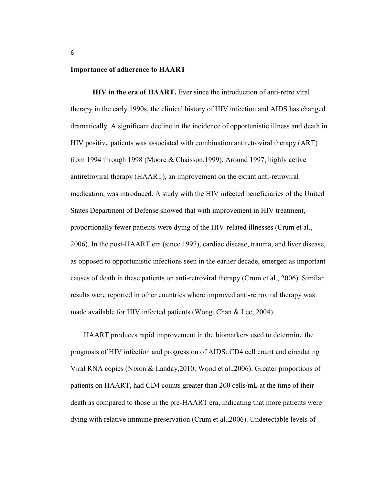#### **Importance of adherence to HAART**

**HIV in the era of HAART.** Ever since the introduction of anti-retro viral therapy in the early 1990s, the clinical history of HIV infection and AIDS has changed dramatically. A significant decline in the incidence of opportunistic illness and death in HIV positive patients was associated with combination antiretroviral therapy (ART) from 1994 through 1998 (Moore & Chaisson,1999). Around 1997, highly active antiretroviral therapy (HAART), an improvement on the extant anti-retroviral medication, was introduced. A study with the HIV infected beneficiaries of the United States Department of Defense showed that with improvement in HIV treatment, proportionally fewer patients were dying of the HIV-related illnesses (Crum et al., 2006). In the post-HAART era (since 1997), cardiac disease, trauma, and liver disease, as opposed to opportunistic infections seen in the earlier decade, emerged as important causes of death in these patients on anti-retroviral therapy (Crum et al., 2006). Similar results were reported in other countries where improved anti-retroviral therapy was made available for HIV infected patients (Wong, Chan & Lee, 2004).

HAART produces rapid improvement in the biomarkers used to determine the prognosis of HIV infection and progression of AIDS: CD4 cell count and circulating Viral RNA copies (Nixon & Landay,2010; Wood et al.,2006). Greater proportions of patients on HAART, had CD4 counts greater than 200 cells/mL at the time of their death as compared to those in the pre-HAART era, indicating that more patients were dying with relative immune preservation (Crum et al.,2006). Undetectable levels of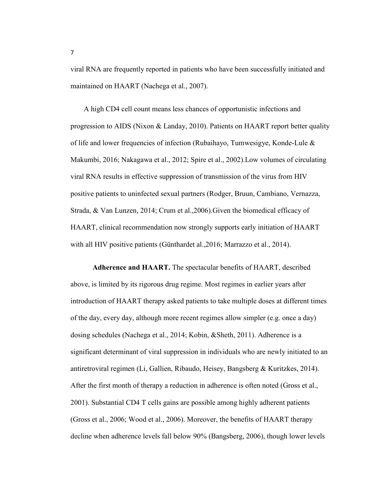viral RNA are frequently reported in patients who have been successfully initiated and maintained on HAART (Nachega et al., 2007).

A high CD4 cell count means less chances of opportunistic infections and progression to AIDS (Nixon & Landay, 2010). Patients on HAART report better quality of life and lower frequencies of infection (Rubaihayo, Tumwesigye, Konde-Lule & Makumbi, 2016; Nakagawa et al., 2012; Spire et al., 2002).Low volumes of circulating viral RNA results in effective suppression of transmission of the virus from HIV positive patients to uninfected sexual partners (Rodger, Bruun, Cambiano, Vernazza, Strada, & Van Lunzen, 2014; Crum et al.,2006).Given the biomedical efficacy of HAART, clinical recommendation now strongly supports early initiation of HAART with all HIV positive patients (Günthardet al., 2016; Marrazzo et al., 2014).

**Adherence and HAART.** The spectacular benefits of HAART, described above, is limited by its rigorous drug regime. Most regimes in earlier years after introduction of HAART therapy asked patients to take multiple doses at different times of the day, every day, although more recent regimes allow simpler (e.g. once a day) dosing schedules (Nachega et al., 2014; Kobin, &Sheth, 2011). Adherence is a significant determinant of viral suppression in individuals who are newly initiated to an antiretroviral regimen (Li, Gallien, Ribaudo, Heisey, Bangsberg & Kuritzkes, 2014). After the first month of therapy a reduction in adherence is often noted (Gross et al., 2001). Substantial CD4 T cells gains are possible among highly adherent patients (Gross et al., 2006; Wood et al., 2006). Moreover, the benefits of HAART therapy decline when adherence levels fall below 90% (Bangsberg, 2006), though lower levels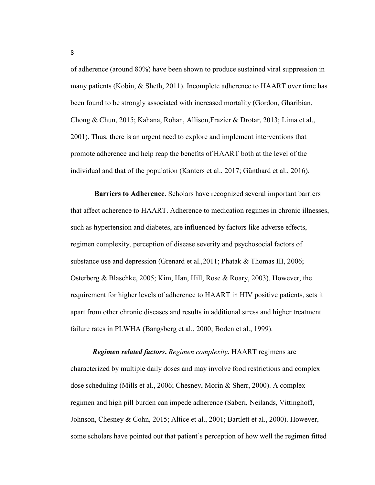of adherence (around 80%) have been shown to produce sustained viral suppression in many patients (Kobin, & Sheth, 2011). Incomplete adherence to HAART over time has been found to be strongly associated with increased mortality (Gordon, Gharibian, Chong & Chun, 2015; Kahana, Rohan, Allison,Frazier & Drotar, 2013; Lima et al., 2001). Thus, there is an urgent need to explore and implement interventions that promote adherence and help reap the benefits of HAART both at the level of the individual and that of the population (Kanters et al., 2017; Günthard et al., 2016).

 **Barriers to Adherence.** Scholars have recognized several important barriers that affect adherence to HAART. Adherence to medication regimes in chronic illnesses, such as hypertension and diabetes, are influenced by factors like adverse effects, regimen complexity, perception of disease severity and psychosocial factors of substance use and depression (Grenard et al.,2011; Phatak & Thomas III, 2006; Osterberg & Blaschke, 2005; Kim, Han, Hill, Rose & Roary, 2003). However, the requirement for higher levels of adherence to HAART in HIV positive patients, sets it apart from other chronic diseases and results in additional stress and higher treatment failure rates in PLWHA (Bangsberg et al., 2000; Boden et al., 1999).

*Regimen related factors***.** *Regimen complexity.* HAART regimens are characterized by multiple daily doses and may involve food restrictions and complex dose scheduling (Mills et al., 2006; Chesney, Morin & Sherr, 2000). A complex regimen and high pill burden can impede adherence (Saberi, Neilands, Vittinghoff, Johnson, Chesney & Cohn, 2015; Altice et al., 2001; Bartlett et al., 2000). However, some scholars have pointed out that patient's perception of how well the regimen fitted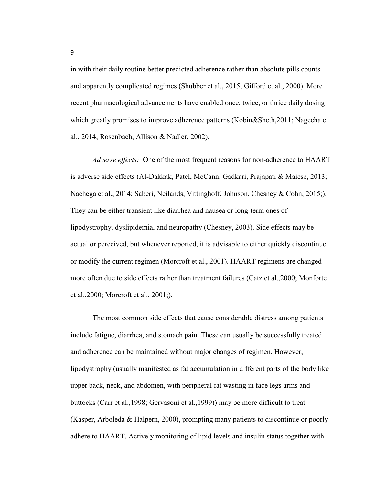in with their daily routine better predicted adherence rather than absolute pills counts and apparently complicated regimes (Shubber et al., 2015; Gifford et al., 2000). More recent pharmacological advancements have enabled once, twice, or thrice daily dosing which greatly promises to improve adherence patterns (Kobin&Sheth,2011; Nagecha et al., 2014; Rosenbach, Allison & Nadler, 2002).

*Adverse effects:* One of the most frequent reasons for non-adherence to HAART is adverse side effects (Al-Dakkak, Patel, McCann, Gadkari, Prajapati & Maiese, 2013; Nachega et al., 2014; Saberi, Neilands, Vittinghoff, Johnson, Chesney & Cohn, 2015;). They can be either transient like diarrhea and nausea or long-term ones of lipodystrophy, dyslipidemia, and neuropathy (Chesney, 2003). Side effects may be actual or perceived, but whenever reported, it is advisable to either quickly discontinue or modify the current regimen (Morcroft et al., 2001). HAART regimens are changed more often due to side effects rather than treatment failures (Catz et al.,2000; Monforte et al.,2000; Morcroft et al., 2001;).

The most common side effects that cause considerable distress among patients include fatigue, diarrhea, and stomach pain. These can usually be successfully treated and adherence can be maintained without major changes of regimen. However, lipodystrophy (usually manifested as fat accumulation in different parts of the body like upper back, neck, and abdomen, with peripheral fat wasting in face legs arms and buttocks (Carr et al.,1998; Gervasoni et al.,1999)) may be more difficult to treat (Kasper, Arboleda & Halpern, 2000), prompting many patients to discontinue or poorly adhere to HAART. Actively monitoring of lipid levels and insulin status together with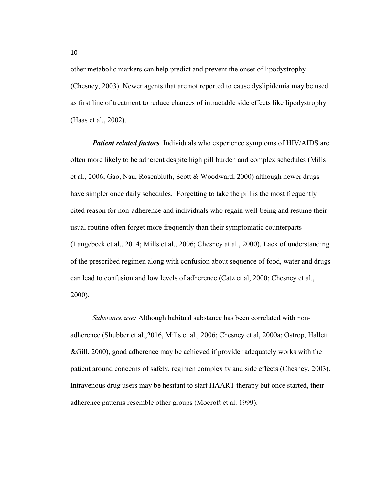other metabolic markers can help predict and prevent the onset of lipodystrophy (Chesney, 2003). Newer agents that are not reported to cause dyslipidemia may be used as first line of treatment to reduce chances of intractable side effects like lipodystrophy (Haas et al., 2002).

*Patient related factors.* Individuals who experience symptoms of HIV/AIDS are often more likely to be adherent despite high pill burden and complex schedules (Mills et al., 2006; Gao, Nau, Rosenbluth, Scott & Woodward, 2000) although newer drugs have simpler once daily schedules. Forgetting to take the pill is the most frequently cited reason for non-adherence and individuals who regain well-being and resume their usual routine often forget more frequently than their symptomatic counterparts (Langebeek et al., 2014; Mills et al., 2006; Chesney at al., 2000). Lack of understanding of the prescribed regimen along with confusion about sequence of food, water and drugs can lead to confusion and low levels of adherence (Catz et al, 2000; Chesney et al., 2000).

*Substance use:* Although habitual substance has been correlated with nonadherence (Shubber et al.,2016, Mills et al., 2006; Chesney et al, 2000a; Ostrop, Hallett &Gill, 2000), good adherence may be achieved if provider adequately works with the patient around concerns of safety, regimen complexity and side effects (Chesney, 2003). Intravenous drug users may be hesitant to start HAART therapy but once started, their adherence patterns resemble other groups (Mocroft et al. 1999).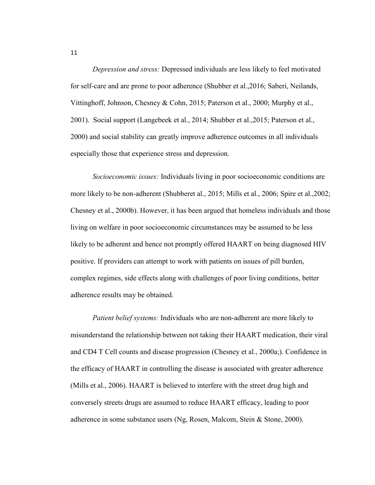*Depression and stress:* Depressed individuals are less likely to feel motivated for self-care and are prone to poor adherence (Shubber et al.,2016; Saberi, Neilands, Vittinghoff, Johnson, Chesney & Cohn, 2015; Paterson et al., 2000; Murphy et al., 2001). Social support (Langebeek et al., 2014; Shubber et al.,2015; Paterson et al., 2000) and social stability can greatly improve adherence outcomes in all individuals especially those that experience stress and depression.

*Socioeconomic issues:* Individuals living in poor socioeconomic conditions are more likely to be non-adherent (Shubberet al., 2015; Mills et al., 2006; Spire et al.,2002; Chesney et al., 2000b). However, it has been argued that homeless individuals and those living on welfare in poor socioeconomic circumstances may be assumed to be less likely to be adherent and hence not promptly offered HAART on being diagnosed HIV positive. If providers can attempt to work with patients on issues of pill burden, complex regimes, side effects along with challenges of poor living conditions, better adherence results may be obtained.

*Patient belief systems:* Individuals who are non-adherent are more likely to misunderstand the relationship between not taking their HAART medication, their viral and CD4 T Cell counts and disease progression (Chesney et al., 2000a;). Confidence in the efficacy of HAART in controlling the disease is associated with greater adherence (Mills et al., 2006). HAART is believed to interfere with the street drug high and conversely streets drugs are assumed to reduce HAART efficacy, leading to poor adherence in some substance users (Ng, Rosen, Malcom, Stein & Stone, 2000).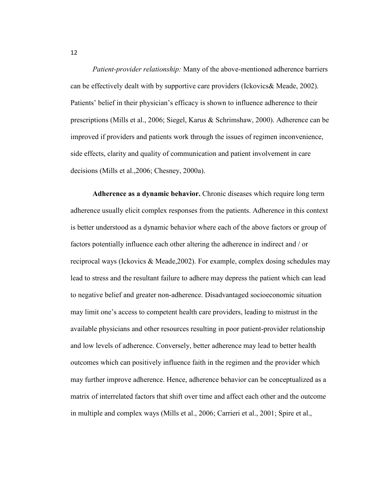*Patient-provider relationship:* Many of the above-mentioned adherence barriers can be effectively dealt with by supportive care providers (Ickovics& Meade, 2002). Patients' belief in their physician's efficacy is shown to influence adherence to their prescriptions (Mills et al., 2006; Siegel, Karus & Schrimshaw, 2000). Adherence can be improved if providers and patients work through the issues of regimen inconvenience, side effects, clarity and quality of communication and patient involvement in care decisions (Mills et al.,2006; Chesney, 2000a).

**Adherence as a dynamic behavior.** Chronic diseases which require long term adherence usually elicit complex responses from the patients. Adherence in this context is better understood as a dynamic behavior where each of the above factors or group of factors potentially influence each other altering the adherence in indirect and / or reciprocal ways (Ickovics & Meade,2002). For example, complex dosing schedules may lead to stress and the resultant failure to adhere may depress the patient which can lead to negative belief and greater non-adherence. Disadvantaged socioeconomic situation may limit one's access to competent health care providers, leading to mistrust in the available physicians and other resources resulting in poor patient-provider relationship and low levels of adherence. Conversely, better adherence may lead to better health outcomes which can positively influence faith in the regimen and the provider which may further improve adherence. Hence, adherence behavior can be conceptualized as a matrix of interrelated factors that shift over time and affect each other and the outcome in multiple and complex ways (Mills et al., 2006; Carrieri et al., 2001; Spire et al.,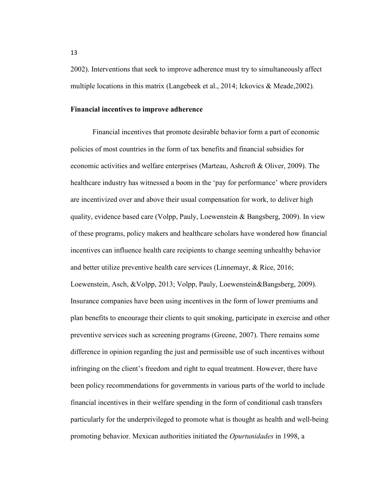2002). Interventions that seek to improve adherence must try to simultaneously affect multiple locations in this matrix (Langebeek et al., 2014; Ickovics & Meade,2002).

#### **Financial incentives to improve adherence**

Financial incentives that promote desirable behavior form a part of economic policies of most countries in the form of tax benefits and financial subsidies for economic activities and welfare enterprises (Marteau, Ashcroft & Oliver, 2009). The healthcare industry has witnessed a boom in the 'pay for performance' where providers are incentivized over and above their usual compensation for work, to deliver high quality, evidence based care (Volpp, Pauly, Loewenstein & Bangsberg, 2009). In view of these programs, policy makers and healthcare scholars have wondered how financial incentives can influence health care recipients to change seeming unhealthy behavior and better utilize preventive health care services (Linnemayr, & Rice, 2016; Loewenstein, Asch, &Volpp, 2013; Volpp, Pauly, Loewenstein&Bangsberg, 2009). Insurance companies have been using incentives in the form of lower premiums and plan benefits to encourage their clients to quit smoking, participate in exercise and other preventive services such as screening programs (Greene, 2007). There remains some difference in opinion regarding the just and permissible use of such incentives without infringing on the client's freedom and right to equal treatment. However, there have been policy recommendations for governments in various parts of the world to include financial incentives in their welfare spending in the form of conditional cash transfers particularly for the underprivileged to promote what is thought as health and well-being promoting behavior. Mexican authorities initiated the *Opurtunidades* in 1998, a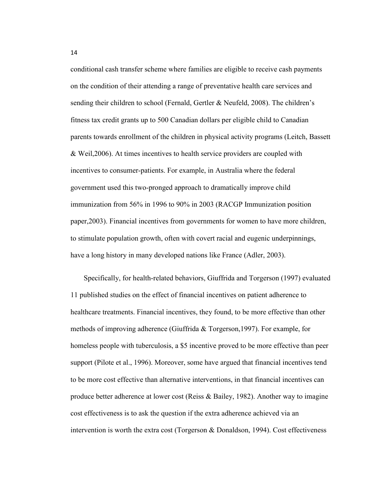conditional cash transfer scheme where families are eligible to receive cash payments on the condition of their attending a range of preventative health care services and sending their children to school (Fernald, Gertler & Neufeld, 2008). The children's fitness tax credit grants up to 500 Canadian dollars per eligible child to Canadian parents towards enrollment of the children in physical activity programs (Leitch, Bassett & Weil,2006). At times incentives to health service providers are coupled with incentives to consumer-patients. For example, in Australia where the federal government used this two-pronged approach to dramatically improve child immunization from 56% in 1996 to 90% in 2003 (RACGP Immunization position paper,2003). Financial incentives from governments for women to have more children, to stimulate population growth, often with covert racial and eugenic underpinnings, have a long history in many developed nations like France (Adler, 2003).

Specifically, for health-related behaviors, Giuffrida and Torgerson (1997) evaluated 11 published studies on the effect of financial incentives on patient adherence to healthcare treatments. Financial incentives, they found, to be more effective than other methods of improving adherence (Giuffrida & Torgerson,1997). For example, for homeless people with tuberculosis, a \$5 incentive proved to be more effective than peer support (Pilote et al., 1996). Moreover, some have argued that financial incentives tend to be more cost effective than alternative interventions, in that financial incentives can produce better adherence at lower cost (Reiss & Bailey, 1982). Another way to imagine cost effectiveness is to ask the question if the extra adherence achieved via an intervention is worth the extra cost (Torgerson & Donaldson, 1994). Cost effectiveness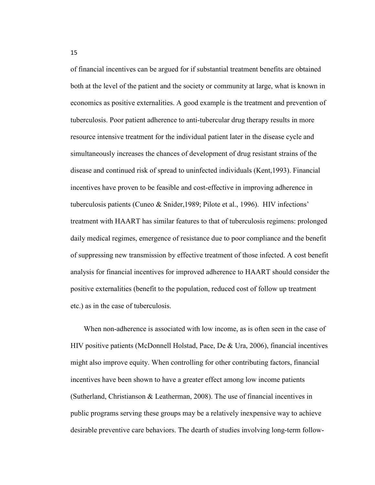of financial incentives can be argued for if substantial treatment benefits are obtained both at the level of the patient and the society or community at large, what is known in economics as positive externalities. A good example is the treatment and prevention of tuberculosis. Poor patient adherence to anti-tubercular drug therapy results in more resource intensive treatment for the individual patient later in the disease cycle and simultaneously increases the chances of development of drug resistant strains of the disease and continued risk of spread to uninfected individuals (Kent,1993). Financial incentives have proven to be feasible and cost-effective in improving adherence in tuberculosis patients (Cuneo & Snider,1989; Pilote et al., 1996). HIV infections' treatment with HAART has similar features to that of tuberculosis regimens: prolonged daily medical regimes, emergence of resistance due to poor compliance and the benefit of suppressing new transmission by effective treatment of those infected. A cost benefit analysis for financial incentives for improved adherence to HAART should consider the positive externalities (benefit to the population, reduced cost of follow up treatment etc.) as in the case of tuberculosis.

When non-adherence is associated with low income, as is often seen in the case of HIV positive patients (McDonnell Holstad, Pace, De & Ura, 2006), financial incentives might also improve equity. When controlling for other contributing factors, financial incentives have been shown to have a greater effect among low income patients (Sutherland, Christianson & Leatherman, 2008). The use of financial incentives in public programs serving these groups may be a relatively inexpensive way to achieve desirable preventive care behaviors. The dearth of studies involving long-term follow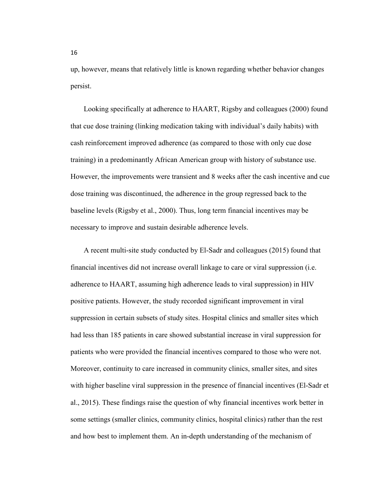up, however, means that relatively little is known regarding whether behavior changes persist.

Looking specifically at adherence to HAART, Rigsby and colleagues (2000) found that cue dose training (linking medication taking with individual's daily habits) with cash reinforcement improved adherence (as compared to those with only cue dose training) in a predominantly African American group with history of substance use. However, the improvements were transient and 8 weeks after the cash incentive and cue dose training was discontinued, the adherence in the group regressed back to the baseline levels (Rigsby et al., 2000). Thus, long term financial incentives may be necessary to improve and sustain desirable adherence levels.

A recent multi-site study conducted by El-Sadr and colleagues (2015) found that financial incentives did not increase overall linkage to care or viral suppression (i.e. adherence to HAART, assuming high adherence leads to viral suppression) in HIV positive patients. However, the study recorded significant improvement in viral suppression in certain subsets of study sites. Hospital clinics and smaller sites which had less than 185 patients in care showed substantial increase in viral suppression for patients who were provided the financial incentives compared to those who were not. Moreover, continuity to care increased in community clinics, smaller sites, and sites with higher baseline viral suppression in the presence of financial incentives (El-Sadr et al., 2015). These findings raise the question of why financial incentives work better in some settings (smaller clinics, community clinics, hospital clinics) rather than the rest and how best to implement them. An in-depth understanding of the mechanism of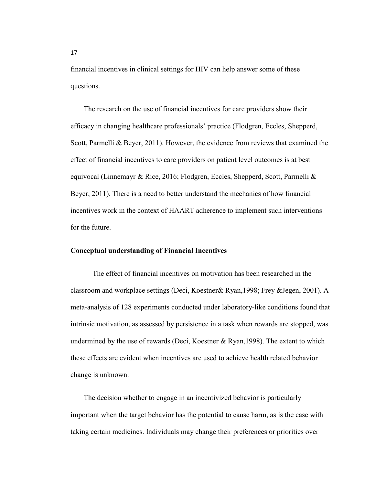financial incentives in clinical settings for HIV can help answer some of these questions.

The research on the use of financial incentives for care providers show their efficacy in changing healthcare professionals' practice (Flodgren, Eccles, Shepperd, Scott, Parmelli & Beyer, 2011). However, the evidence from reviews that examined the effect of financial incentives to care providers on patient level outcomes is at best equivocal (Linnemayr & Rice, 2016; Flodgren, Eccles, Shepperd, Scott, Parmelli & Beyer, 2011). There is a need to better understand the mechanics of how financial incentives work in the context of HAART adherence to implement such interventions for the future.

#### **Conceptual understanding of Financial Incentives**

The effect of financial incentives on motivation has been researched in the classroom and workplace settings (Deci, Koestner& Ryan,1998; Frey &Jegen, 2001). A meta-analysis of 128 experiments conducted under laboratory-like conditions found that intrinsic motivation, as assessed by persistence in a task when rewards are stopped, was undermined by the use of rewards (Deci, Koestner & Ryan,1998). The extent to which these effects are evident when incentives are used to achieve health related behavior change is unknown.

The decision whether to engage in an incentivized behavior is particularly important when the target behavior has the potential to cause harm, as is the case with taking certain medicines. Individuals may change their preferences or priorities over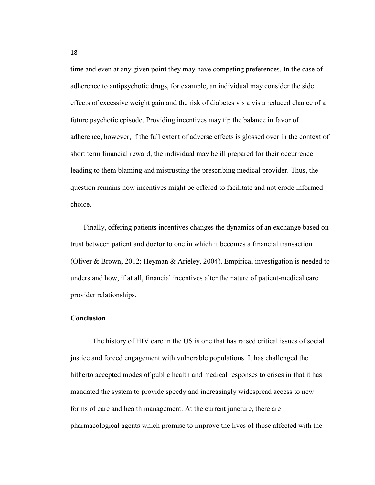time and even at any given point they may have competing preferences. In the case of adherence to antipsychotic drugs, for example, an individual may consider the side effects of excessive weight gain and the risk of diabetes vis a vis a reduced chance of a future psychotic episode. Providing incentives may tip the balance in favor of adherence, however, if the full extent of adverse effects is glossed over in the context of short term financial reward, the individual may be ill prepared for their occurrence leading to them blaming and mistrusting the prescribing medical provider. Thus, the question remains how incentives might be offered to facilitate and not erode informed choice.

Finally, offering patients incentives changes the dynamics of an exchange based on trust between patient and doctor to one in which it becomes a financial transaction (Oliver & Brown, 2012; Heyman & Arieley, 2004). Empirical investigation is needed to understand how, if at all, financial incentives alter the nature of patient-medical care provider relationships.

#### **Conclusion**

The history of HIV care in the US is one that has raised critical issues of social justice and forced engagement with vulnerable populations. It has challenged the hitherto accepted modes of public health and medical responses to crises in that it has mandated the system to provide speedy and increasingly widespread access to new forms of care and health management. At the current juncture, there are pharmacological agents which promise to improve the lives of those affected with the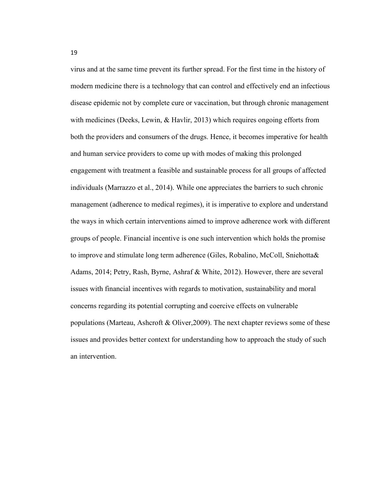virus and at the same time prevent its further spread. For the first time in the history of modern medicine there is a technology that can control and effectively end an infectious disease epidemic not by complete cure or vaccination, but through chronic management with medicines (Deeks, Lewin, & Havlir, 2013) which requires ongoing efforts from both the providers and consumers of the drugs. Hence, it becomes imperative for health and human service providers to come up with modes of making this prolonged engagement with treatment a feasible and sustainable process for all groups of affected individuals (Marrazzo et al., 2014). While one appreciates the barriers to such chronic management (adherence to medical regimes), it is imperative to explore and understand the ways in which certain interventions aimed to improve adherence work with different groups of people. Financial incentive is one such intervention which holds the promise to improve and stimulate long term adherence (Giles, Robalino, McColl, Sniehotta& Adams, 2014; Petry, Rash, Byrne, Ashraf & White, 2012). However, there are several issues with financial incentives with regards to motivation, sustainability and moral concerns regarding its potential corrupting and coercive effects on vulnerable populations (Marteau, Ashcroft & Oliver,2009). The next chapter reviews some of these issues and provides better context for understanding how to approach the study of such an intervention.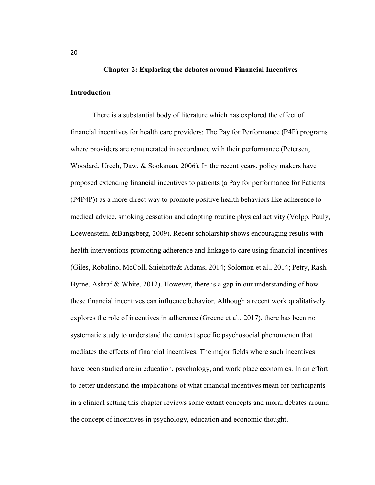## **Chapter 2: Exploring the debates around Financial Incentives**

#### **Introduction**

There is a substantial body of literature which has explored the effect of financial incentives for health care providers: The Pay for Performance (P4P) programs where providers are remunerated in accordance with their performance (Petersen, Woodard, Urech, Daw, & Sookanan, 2006). In the recent years, policy makers have proposed extending financial incentives to patients (a Pay for performance for Patients (P4P4P)) as a more direct way to promote positive health behaviors like adherence to medical advice, smoking cessation and adopting routine physical activity (Volpp, Pauly, Loewenstein, &Bangsberg, 2009). Recent scholarship shows encouraging results with health interventions promoting adherence and linkage to care using financial incentives (Giles, Robalino, McColl, Sniehotta& Adams, 2014; Solomon et al., 2014; Petry, Rash, Byrne, Ashraf & White, 2012). However, there is a gap in our understanding of how these financial incentives can influence behavior. Although a recent work qualitatively explores the role of incentives in adherence (Greene et al., 2017), there has been no systematic study to understand the context specific psychosocial phenomenon that mediates the effects of financial incentives. The major fields where such incentives have been studied are in education, psychology, and work place economics. In an effort to better understand the implications of what financial incentives mean for participants in a clinical setting this chapter reviews some extant concepts and moral debates around the concept of incentives in psychology, education and economic thought.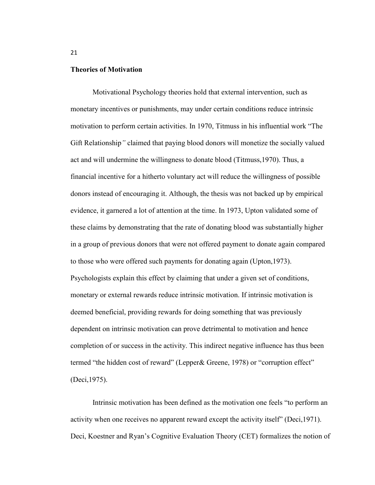### **Theories of Motivation**

Motivational Psychology theories hold that external intervention, such as monetary incentives or punishments, may under certain conditions reduce intrinsic motivation to perform certain activities. In 1970, Titmuss in his influential work "The Gift Relationship*"* claimed that paying blood donors will monetize the socially valued act and will undermine the willingness to donate blood (Titmuss,1970). Thus, a financial incentive for a hitherto voluntary act will reduce the willingness of possible donors instead of encouraging it. Although, the thesis was not backed up by empirical evidence, it garnered a lot of attention at the time. In 1973, Upton validated some of these claims by demonstrating that the rate of donating blood was substantially higher in a group of previous donors that were not offered payment to donate again compared to those who were offered such payments for donating again (Upton,1973). Psychologists explain this effect by claiming that under a given set of conditions, monetary or external rewards reduce intrinsic motivation. If intrinsic motivation is deemed beneficial, providing rewards for doing something that was previously dependent on intrinsic motivation can prove detrimental to motivation and hence completion of or success in the activity. This indirect negative influence has thus been termed "the hidden cost of reward" (Lepper& Greene, 1978) or "corruption effect" (Deci,1975).

Intrinsic motivation has been defined as the motivation one feels "to perform an activity when one receives no apparent reward except the activity itself" (Deci,1971). Deci, Koestner and Ryan's Cognitive Evaluation Theory (CET) formalizes the notion of

21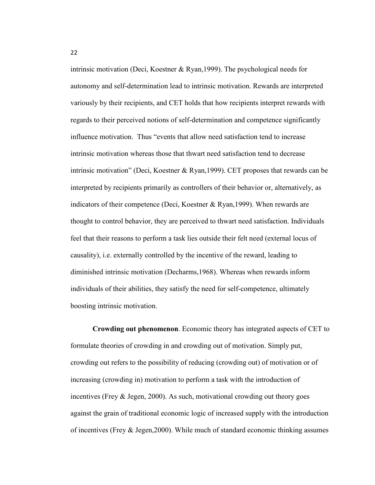intrinsic motivation (Deci, Koestner & Ryan,1999). The psychological needs for autonomy and self-determination lead to intrinsic motivation. Rewards are interpreted variously by their recipients, and CET holds that how recipients interpret rewards with regards to their perceived notions of self-determination and competence significantly influence motivation. Thus "events that allow need satisfaction tend to increase intrinsic motivation whereas those that thwart need satisfaction tend to decrease intrinsic motivation" (Deci, Koestner & Ryan,1999). CET proposes that rewards can be interpreted by recipients primarily as controllers of their behavior or, alternatively, as indicators of their competence (Deci, Koestner & Ryan,1999). When rewards are thought to control behavior, they are perceived to thwart need satisfaction. Individuals feel that their reasons to perform a task lies outside their felt need (external locus of causality), i.e. externally controlled by the incentive of the reward, leading to diminished intrinsic motivation (Decharms,1968). Whereas when rewards inform individuals of their abilities, they satisfy the need for self-competence, ultimately boosting intrinsic motivation.

**Crowding out phenomenon**. Economic theory has integrated aspects of CET to formulate theories of crowding in and crowding out of motivation. Simply put, crowding out refers to the possibility of reducing (crowding out) of motivation or of increasing (crowding in) motivation to perform a task with the introduction of incentives (Frey & Jegen, 2000). As such, motivational crowding out theory goes against the grain of traditional economic logic of increased supply with the introduction of incentives (Frey & Jegen,2000). While much of standard economic thinking assumes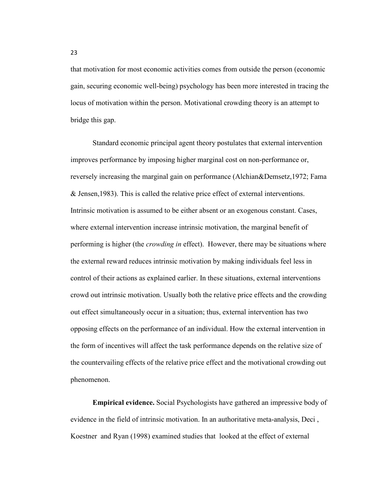that motivation for most economic activities comes from outside the person (economic gain, securing economic well-being) psychology has been more interested in tracing the locus of motivation within the person. Motivational crowding theory is an attempt to bridge this gap.

Standard economic principal agent theory postulates that external intervention improves performance by imposing higher marginal cost on non-performance or, reversely increasing the marginal gain on performance (Alchian&Demsetz,1972; Fama & Jensen,1983). This is called the relative price effect of external interventions. Intrinsic motivation is assumed to be either absent or an exogenous constant. Cases, where external intervention increase intrinsic motivation, the marginal benefit of performing is higher (the *crowding in* effect). However, there may be situations where the external reward reduces intrinsic motivation by making individuals feel less in control of their actions as explained earlier. In these situations, external interventions crowd out intrinsic motivation. Usually both the relative price effects and the crowding out effect simultaneously occur in a situation; thus, external intervention has two opposing effects on the performance of an individual. How the external intervention in the form of incentives will affect the task performance depends on the relative size of the countervailing effects of the relative price effect and the motivational crowding out phenomenon.

**Empirical evidence.** Social Psychologists have gathered an impressive body of evidence in the field of intrinsic motivation. In an authoritative meta-analysis, Deci , Koestner and Ryan (1998) examined studies that looked at the effect of external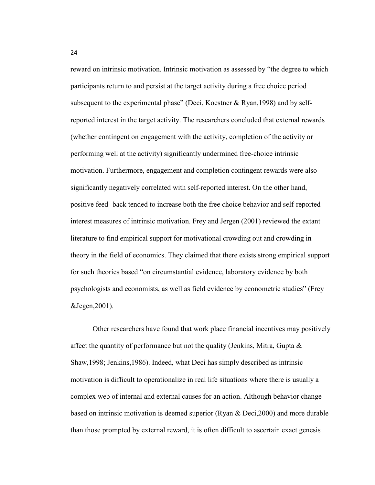reward on intrinsic motivation. Intrinsic motivation as assessed by "the degree to which participants return to and persist at the target activity during a free choice period subsequent to the experimental phase" (Deci, Koestner & Ryan,1998) and by selfreported interest in the target activity. The researchers concluded that external rewards (whether contingent on engagement with the activity, completion of the activity or performing well at the activity) significantly undermined free-choice intrinsic motivation. Furthermore, engagement and completion contingent rewards were also significantly negatively correlated with self-reported interest. On the other hand, positive feed- back tended to increase both the free choice behavior and self-reported interest measures of intrinsic motivation. Frey and Jergen (2001) reviewed the extant literature to find empirical support for motivational crowding out and crowding in theory in the field of economics. They claimed that there exists strong empirical support for such theories based "on circumstantial evidence, laboratory evidence by both psychologists and economists, as well as field evidence by econometric studies" (Frey &Jegen,2001).

Other researchers have found that work place financial incentives may positively affect the quantity of performance but not the quality (Jenkins, Mitra, Gupta  $\&$ Shaw,1998; Jenkins,1986). Indeed, what Deci has simply described as intrinsic motivation is difficult to operationalize in real life situations where there is usually a complex web of internal and external causes for an action. Although behavior change based on intrinsic motivation is deemed superior (Ryan & Deci,2000) and more durable than those prompted by external reward, it is often difficult to ascertain exact genesis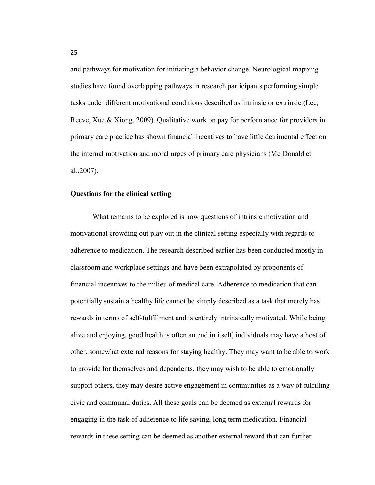and pathways for motivation for initiating a behavior change. Neurological mapping studies have found overlapping pathways in research participants performing simple tasks under different motivational conditions described as intrinsic or extrinsic (Lee, Reeve, Xue & Xiong, 2009). Qualitative work on pay for performance for providers in primary care practice has shown financial incentives to have little detrimental effect on the internal motivation and moral urges of primary care physicians (Mc Donald et al.,2007).

## **Questions for the clinical setting**

What remains to be explored is how questions of intrinsic motivation and motivational crowding out play out in the clinical setting especially with regards to adherence to medication. The research described earlier has been conducted mostly in classroom and workplace settings and have been extrapolated by proponents of financial incentives to the milieu of medical care. Adherence to medication that can potentially sustain a healthy life cannot be simply described as a task that merely has rewards in terms of self-fulfillment and is entirely intrinsically motivated. While being alive and enjoying, good health is often an end in itself, individuals may have a host of other, somewhat external reasons for staying healthy. They may want to be able to work to provide for themselves and dependents, they may wish to be able to emotionally support others, they may desire active engagement in communities as a way of fulfilling civic and communal duties. All these goals can be deemed as external rewards for engaging in the task of adherence to life saving, long term medication. Financial rewards in these setting can be deemed as another external reward that can further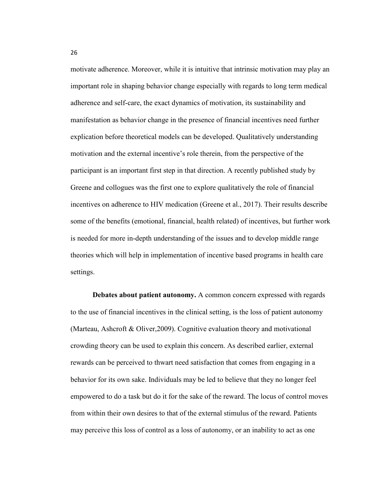motivate adherence. Moreover, while it is intuitive that intrinsic motivation may play an important role in shaping behavior change especially with regards to long term medical adherence and self-care, the exact dynamics of motivation, its sustainability and manifestation as behavior change in the presence of financial incentives need further explication before theoretical models can be developed. Qualitatively understanding motivation and the external incentive's role therein, from the perspective of the participant is an important first step in that direction. A recently published study by Greene and collogues was the first one to explore qualitatively the role of financial incentives on adherence to HIV medication (Greene et al., 2017). Their results describe some of the benefits (emotional, financial, health related) of incentives, but further work is needed for more in-depth understanding of the issues and to develop middle range theories which will help in implementation of incentive based programs in health care settings.

**Debates about patient autonomy.** A common concern expressed with regards to the use of financial incentives in the clinical setting, is the loss of patient autonomy (Marteau, Ashcroft & Oliver,2009). Cognitive evaluation theory and motivational crowding theory can be used to explain this concern. As described earlier, external rewards can be perceived to thwart need satisfaction that comes from engaging in a behavior for its own sake. Individuals may be led to believe that they no longer feel empowered to do a task but do it for the sake of the reward. The locus of control moves from within their own desires to that of the external stimulus of the reward. Patients may perceive this loss of control as a loss of autonomy, or an inability to act as one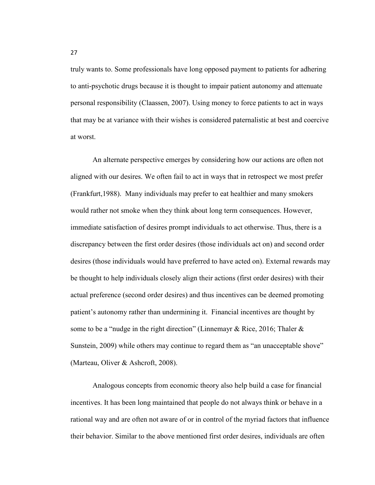truly wants to. Some professionals have long opposed payment to patients for adhering to anti-psychotic drugs because it is thought to impair patient autonomy and attenuate personal responsibility (Claassen, 2007). Using money to force patients to act in ways that may be at variance with their wishes is considered paternalistic at best and coercive at worst.

An alternate perspective emerges by considering how our actions are often not aligned with our desires. We often fail to act in ways that in retrospect we most prefer (Frankfurt,1988). Many individuals may prefer to eat healthier and many smokers would rather not smoke when they think about long term consequences. However, immediate satisfaction of desires prompt individuals to act otherwise. Thus, there is a discrepancy between the first order desires (those individuals act on) and second order desires (those individuals would have preferred to have acted on). External rewards may be thought to help individuals closely align their actions (first order desires) with their actual preference (second order desires) and thus incentives can be deemed promoting patient's autonomy rather than undermining it. Financial incentives are thought by some to be a "nudge in the right direction" (Linnemayr & Rice, 2016; Thaler & Sunstein, 2009) while others may continue to regard them as "an unacceptable shove" (Marteau, Oliver & Ashcroft, 2008).

Analogous concepts from economic theory also help build a case for financial incentives. It has been long maintained that people do not always think or behave in a rational way and are often not aware of or in control of the myriad factors that influence their behavior. Similar to the above mentioned first order desires, individuals are often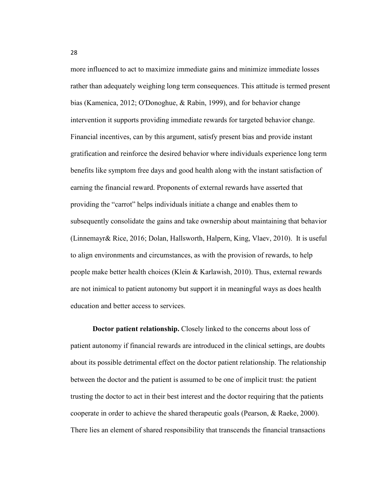more influenced to act to maximize immediate gains and minimize immediate losses rather than adequately weighing long term consequences. This attitude is termed present bias (Kamenica, 2012; O'Donoghue, & Rabin, 1999), and for behavior change intervention it supports providing immediate rewards for targeted behavior change. Financial incentives, can by this argument, satisfy present bias and provide instant gratification and reinforce the desired behavior where individuals experience long term benefits like symptom free days and good health along with the instant satisfaction of earning the financial reward. Proponents of external rewards have asserted that providing the "carrot" helps individuals initiate a change and enables them to subsequently consolidate the gains and take ownership about maintaining that behavior (Linnemayr& Rice, 2016; Dolan, Hallsworth, Halpern, King, Vlaev, 2010). It is useful to align environments and circumstances, as with the provision of rewards, to help people make better health choices (Klein & Karlawish, 2010). Thus, external rewards are not inimical to patient autonomy but support it in meaningful ways as does health education and better access to services.

**Doctor patient relationship.** Closely linked to the concerns about loss of patient autonomy if financial rewards are introduced in the clinical settings, are doubts about its possible detrimental effect on the doctor patient relationship. The relationship between the doctor and the patient is assumed to be one of implicit trust: the patient trusting the doctor to act in their best interest and the doctor requiring that the patients cooperate in order to achieve the shared therapeutic goals (Pearson, & Raeke, 2000). There lies an element of shared responsibility that transcends the financial transactions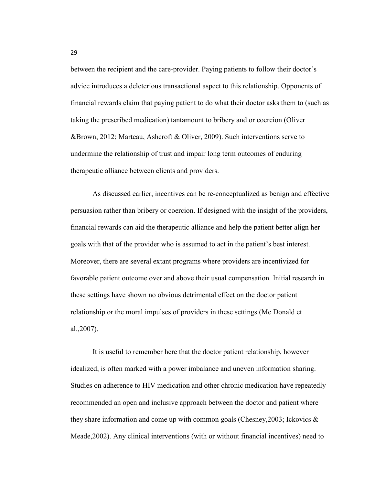between the recipient and the care-provider. Paying patients to follow their doctor's advice introduces a deleterious transactional aspect to this relationship. Opponents of financial rewards claim that paying patient to do what their doctor asks them to (such as taking the prescribed medication) tantamount to bribery and or coercion (Oliver &Brown, 2012; Marteau, Ashcroft & Oliver, 2009). Such interventions serve to undermine the relationship of trust and impair long term outcomes of enduring therapeutic alliance between clients and providers.

As discussed earlier, incentives can be re-conceptualized as benign and effective persuasion rather than bribery or coercion. If designed with the insight of the providers, financial rewards can aid the therapeutic alliance and help the patient better align her goals with that of the provider who is assumed to act in the patient's best interest. Moreover, there are several extant programs where providers are incentivized for favorable patient outcome over and above their usual compensation. Initial research in these settings have shown no obvious detrimental effect on the doctor patient relationship or the moral impulses of providers in these settings (Mc Donald et al.,2007).

It is useful to remember here that the doctor patient relationship, however idealized, is often marked with a power imbalance and uneven information sharing. Studies on adherence to HIV medication and other chronic medication have repeatedly recommended an open and inclusive approach between the doctor and patient where they share information and come up with common goals (Chesney,2003; Ickovics & Meade,2002). Any clinical interventions (with or without financial incentives) need to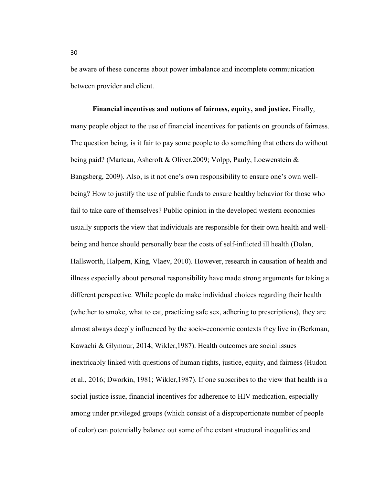be aware of these concerns about power imbalance and incomplete communication between provider and client.

**Financial incentives and notions of fairness, equity, and justice.** Finally, many people object to the use of financial incentives for patients on grounds of fairness. The question being, is it fair to pay some people to do something that others do without being paid? (Marteau, Ashcroft & Oliver,2009; Volpp, Pauly, Loewenstein & Bangsberg, 2009). Also, is it not one's own responsibility to ensure one's own wellbeing? How to justify the use of public funds to ensure healthy behavior for those who fail to take care of themselves? Public opinion in the developed western economies usually supports the view that individuals are responsible for their own health and wellbeing and hence should personally bear the costs of self-inflicted ill health (Dolan, Hallsworth, Halpern, King, Vlaev, 2010). However, research in causation of health and illness especially about personal responsibility have made strong arguments for taking a different perspective. While people do make individual choices regarding their health (whether to smoke, what to eat, practicing safe sex, adhering to prescriptions), they are almost always deeply influenced by the socio-economic contexts they live in (Berkman, Kawachi & Glymour, 2014; Wikler,1987). Health outcomes are social issues inextricably linked with questions of human rights, justice, equity, and fairness (Hudon et al., 2016; Dworkin, 1981; Wikler,1987). If one subscribes to the view that health is a social justice issue, financial incentives for adherence to HIV medication, especially among under privileged groups (which consist of a disproportionate number of people of color) can potentially balance out some of the extant structural inequalities and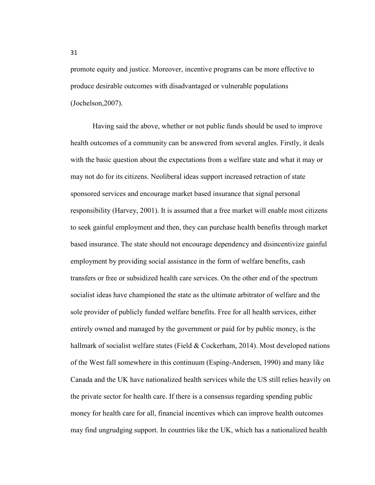promote equity and justice. Moreover, incentive programs can be more effective to produce desirable outcomes with disadvantaged or vulnerable populations (Jochelson,2007).

Having said the above, whether or not public funds should be used to improve health outcomes of a community can be answered from several angles. Firstly, it deals with the basic question about the expectations from a welfare state and what it may or may not do for its citizens. Neoliberal ideas support increased retraction of state sponsored services and encourage market based insurance that signal personal responsibility (Harvey, 2001). It is assumed that a free market will enable most citizens to seek gainful employment and then, they can purchase health benefits through market based insurance. The state should not encourage dependency and disincentivize gainful employment by providing social assistance in the form of welfare benefits, cash transfers or free or subsidized health care services. On the other end of the spectrum socialist ideas have championed the state as the ultimate arbitrator of welfare and the sole provider of publicly funded welfare benefits. Free for all health services, either entirely owned and managed by the government or paid for by public money, is the hallmark of socialist welfare states (Field & Cockerham, 2014). Most developed nations of the West fall somewhere in this continuum (Esping-Andersen, 1990) and many like Canada and the UK have nationalized health services while the US still relies heavily on the private sector for health care. If there is a consensus regarding spending public money for health care for all, financial incentives which can improve health outcomes may find ungrudging support. In countries like the UK, which has a nationalized health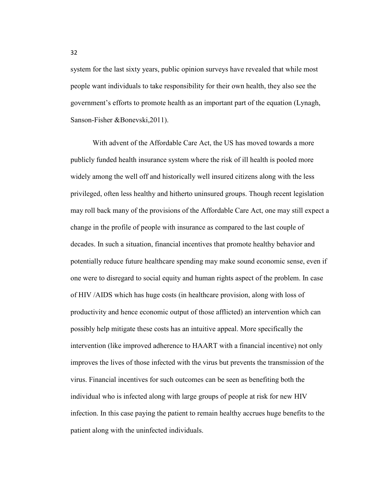system for the last sixty years, public opinion surveys have revealed that while most people want individuals to take responsibility for their own health, they also see the government's efforts to promote health as an important part of the equation (Lynagh, Sanson-Fisher &Bonevski,2011).

With advent of the Affordable Care Act, the US has moved towards a more publicly funded health insurance system where the risk of ill health is pooled more widely among the well off and historically well insured citizens along with the less privileged, often less healthy and hitherto uninsured groups. Though recent legislation may roll back many of the provisions of the Affordable Care Act, one may still expect a change in the profile of people with insurance as compared to the last couple of decades. In such a situation, financial incentives that promote healthy behavior and potentially reduce future healthcare spending may make sound economic sense, even if one were to disregard to social equity and human rights aspect of the problem. In case of HIV /AIDS which has huge costs (in healthcare provision, along with loss of productivity and hence economic output of those afflicted) an intervention which can possibly help mitigate these costs has an intuitive appeal. More specifically the intervention (like improved adherence to HAART with a financial incentive) not only improves the lives of those infected with the virus but prevents the transmission of the virus. Financial incentives for such outcomes can be seen as benefiting both the individual who is infected along with large groups of people at risk for new HIV infection. In this case paying the patient to remain healthy accrues huge benefits to the patient along with the uninfected individuals.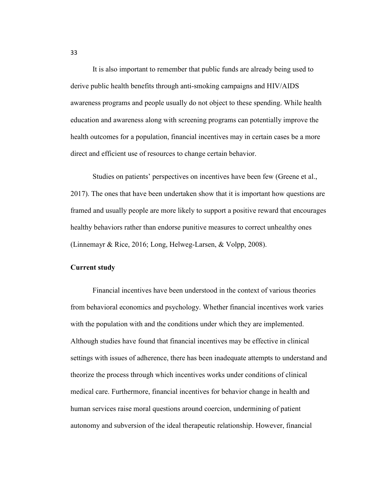It is also important to remember that public funds are already being used to derive public health benefits through anti-smoking campaigns and HIV/AIDS awareness programs and people usually do not object to these spending. While health education and awareness along with screening programs can potentially improve the health outcomes for a population, financial incentives may in certain cases be a more direct and efficient use of resources to change certain behavior.

Studies on patients' perspectives on incentives have been few (Greene et al., 2017). The ones that have been undertaken show that it is important how questions are framed and usually people are more likely to support a positive reward that encourages healthy behaviors rather than endorse punitive measures to correct unhealthy ones (Linnemayr & Rice, 2016; Long, Helweg-Larsen, & Volpp, 2008).

## **Current study**

Financial incentives have been understood in the context of various theories from behavioral economics and psychology. Whether financial incentives work varies with the population with and the conditions under which they are implemented. Although studies have found that financial incentives may be effective in clinical settings with issues of adherence, there has been inadequate attempts to understand and theorize the process through which incentives works under conditions of clinical medical care. Furthermore, financial incentives for behavior change in health and human services raise moral questions around coercion, undermining of patient autonomy and subversion of the ideal therapeutic relationship. However, financial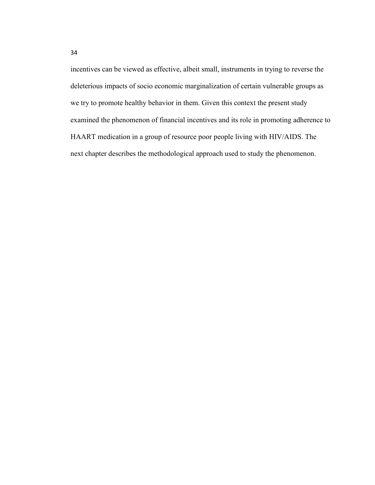incentives can be viewed as effective, albeit small, instruments in trying to reverse the deleterious impacts of socio economic marginalization of certain vulnerable groups as we try to promote healthy behavior in them. Given this context the present study examined the phenomenon of financial incentives and its role in promoting adherence to HAART medication in a group of resource poor people living with HIV/AIDS. The next chapter describes the methodological approach used to study the phenomenon.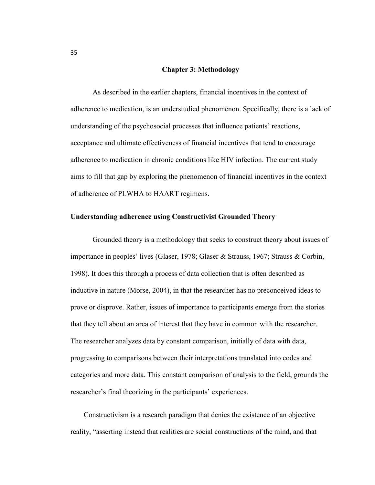## **Chapter 3: Methodology**

As described in the earlier chapters, financial incentives in the context of adherence to medication, is an understudied phenomenon. Specifically, there is a lack of understanding of the psychosocial processes that influence patients' reactions, acceptance and ultimate effectiveness of financial incentives that tend to encourage adherence to medication in chronic conditions like HIV infection. The current study aims to fill that gap by exploring the phenomenon of financial incentives in the context of adherence of PLWHA to HAART regimens.

## **Understanding adherence using Constructivist Grounded Theory**

Grounded theory is a methodology that seeks to construct theory about issues of importance in peoples' lives (Glaser, 1978; Glaser & Strauss, 1967; Strauss & Corbin, 1998). It does this through a process of data collection that is often described as inductive in nature (Morse, 2004), in that the researcher has no preconceived ideas to prove or disprove. Rather, issues of importance to participants emerge from the stories that they tell about an area of interest that they have in common with the researcher. The researcher analyzes data by constant comparison, initially of data with data, progressing to comparisons between their interpretations translated into codes and categories and more data. This constant comparison of analysis to the field, grounds the researcher's final theorizing in the participants' experiences.

Constructivism is a research paradigm that denies the existence of an objective reality, "asserting instead that realities are social constructions of the mind, and that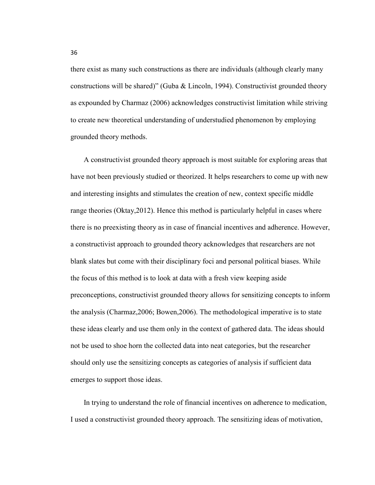there exist as many such constructions as there are individuals (although clearly many constructions will be shared)" (Guba & Lincoln, 1994). Constructivist grounded theory as expounded by Charmaz (2006) acknowledges constructivist limitation while striving to create new theoretical understanding of understudied phenomenon by employing grounded theory methods.

A constructivist grounded theory approach is most suitable for exploring areas that have not been previously studied or theorized. It helps researchers to come up with new and interesting insights and stimulates the creation of new, context specific middle range theories (Oktay,2012). Hence this method is particularly helpful in cases where there is no preexisting theory as in case of financial incentives and adherence. However, a constructivist approach to grounded theory acknowledges that researchers are not blank slates but come with their disciplinary foci and personal political biases. While the focus of this method is to look at data with a fresh view keeping aside preconceptions, constructivist grounded theory allows for sensitizing concepts to inform the analysis (Charmaz,2006; Bowen,2006). The methodological imperative is to state these ideas clearly and use them only in the context of gathered data. The ideas should not be used to shoe horn the collected data into neat categories, but the researcher should only use the sensitizing concepts as categories of analysis if sufficient data emerges to support those ideas.

In trying to understand the role of financial incentives on adherence to medication, I used a constructivist grounded theory approach. The sensitizing ideas of motivation,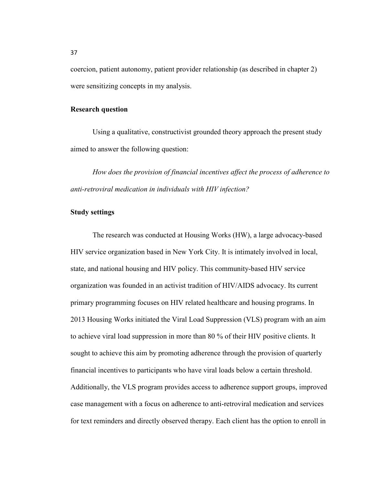coercion, patient autonomy, patient provider relationship (as described in chapter 2) were sensitizing concepts in my analysis.

## **Research question**

Using a qualitative, constructivist grounded theory approach the present study aimed to answer the following question:

*How does the provision of financial incentives affect the process of adherence to anti-retroviral medication in individuals with HIV infection?*

## **Study settings**

The research was conducted at Housing Works (HW), a large advocacy-based HIV service organization based in New York City. It is intimately involved in local, state, and national housing and HIV policy. This community-based HIV service organization was founded in an activist tradition of HIV/AIDS advocacy. Its current primary programming focuses on HIV related healthcare and housing programs. In 2013 Housing Works initiated the Viral Load Suppression (VLS) program with an aim to achieve viral load suppression in more than 80 % of their HIV positive clients. It sought to achieve this aim by promoting adherence through the provision of quarterly financial incentives to participants who have viral loads below a certain threshold. Additionally, the VLS program provides access to adherence support groups, improved case management with a focus on adherence to anti-retroviral medication and services for text reminders and directly observed therapy. Each client has the option to enroll in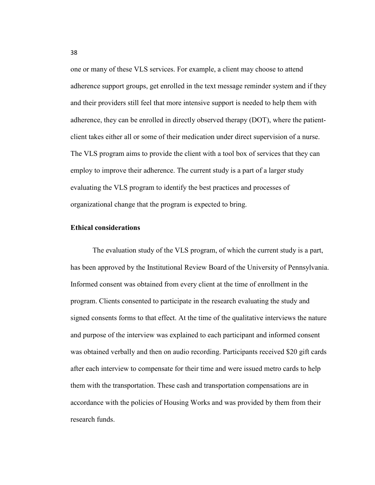one or many of these VLS services. For example, a client may choose to attend adherence support groups, get enrolled in the text message reminder system and if they and their providers still feel that more intensive support is needed to help them with adherence, they can be enrolled in directly observed therapy (DOT), where the patientclient takes either all or some of their medication under direct supervision of a nurse. The VLS program aims to provide the client with a tool box of services that they can employ to improve their adherence. The current study is a part of a larger study evaluating the VLS program to identify the best practices and processes of organizational change that the program is expected to bring.

## **Ethical considerations**

The evaluation study of the VLS program, of which the current study is a part, has been approved by the Institutional Review Board of the University of Pennsylvania. Informed consent was obtained from every client at the time of enrollment in the program. Clients consented to participate in the research evaluating the study and signed consents forms to that effect. At the time of the qualitative interviews the nature and purpose of the interview was explained to each participant and informed consent was obtained verbally and then on audio recording. Participants received \$20 gift cards after each interview to compensate for their time and were issued metro cards to help them with the transportation. These cash and transportation compensations are in accordance with the policies of Housing Works and was provided by them from their research funds.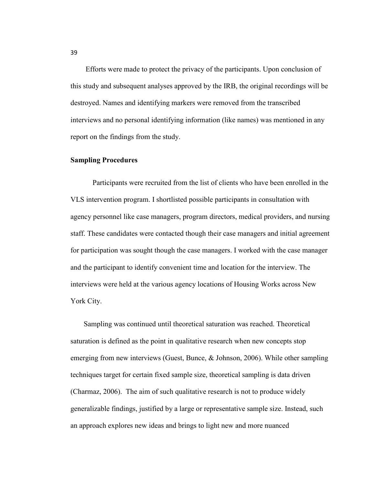Efforts were made to protect the privacy of the participants. Upon conclusion of this study and subsequent analyses approved by the IRB, the original recordings will be destroyed. Names and identifying markers were removed from the transcribed interviews and no personal identifying information (like names) was mentioned in any report on the findings from the study.

## **Sampling Procedures**

Participants were recruited from the list of clients who have been enrolled in the VLS intervention program. I shortlisted possible participants in consultation with agency personnel like case managers, program directors, medical providers, and nursing staff. These candidates were contacted though their case managers and initial agreement for participation was sought though the case managers. I worked with the case manager and the participant to identify convenient time and location for the interview. The interviews were held at the various agency locations of Housing Works across New York City.

Sampling was continued until theoretical saturation was reached. Theoretical saturation is defined as the point in qualitative research when new concepts stop emerging from new interviews (Guest, Bunce, & Johnson, 2006). While other sampling techniques target for certain fixed sample size, theoretical sampling is data driven (Charmaz, 2006). The aim of such qualitative research is not to produce widely generalizable findings, justified by a large or representative sample size. Instead, such an approach explores new ideas and brings to light new and more nuanced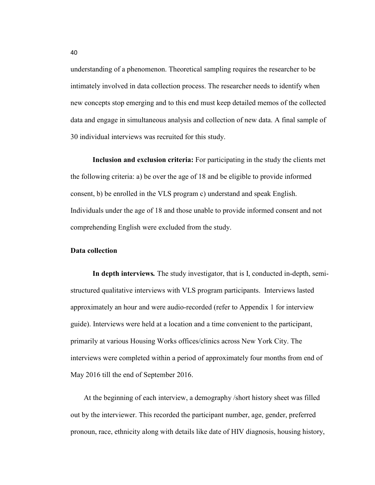understanding of a phenomenon. Theoretical sampling requires the researcher to be intimately involved in data collection process. The researcher needs to identify when new concepts stop emerging and to this end must keep detailed memos of the collected data and engage in simultaneous analysis and collection of new data. A final sample of 30 individual interviews was recruited for this study.

**Inclusion and exclusion criteria:** For participating in the study the clients met the following criteria: a) be over the age of 18 and be eligible to provide informed consent, b) be enrolled in the VLS program c) understand and speak English. Individuals under the age of 18 and those unable to provide informed consent and not comprehending English were excluded from the study.

#### **Data collection**

**In depth interviews***.* The study investigator, that is I, conducted in-depth, semistructured qualitative interviews with VLS program participants. Interviews lasted approximately an hour and were audio-recorded (refer to Appendix 1 for interview guide). Interviews were held at a location and a time convenient to the participant, primarily at various Housing Works offices/clinics across New York City. The interviews were completed within a period of approximately four months from end of May 2016 till the end of September 2016.

At the beginning of each interview, a demography /short history sheet was filled out by the interviewer. This recorded the participant number, age, gender, preferred pronoun, race, ethnicity along with details like date of HIV diagnosis, housing history,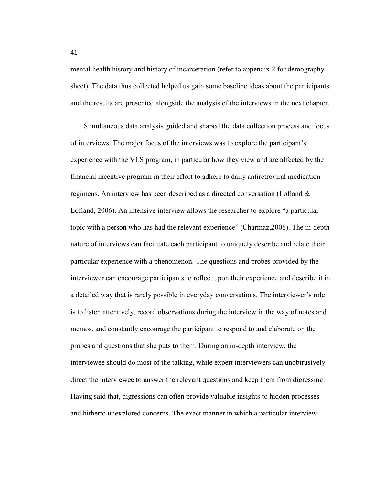mental health history and history of incarceration (refer to appendix 2 for demography sheet). The data thus collected helped us gain some baseline ideas about the participants and the results are presented alongside the analysis of the interviews in the next chapter.

Simultaneous data analysis guided and shaped the data collection process and focus of interviews. The major focus of the interviews was to explore the participant's experience with the VLS program, in particular how they view and are affected by the financial incentive program in their effort to adhere to daily antiretroviral medication regimens. An interview has been described as a directed conversation (Lofland & Lofland, 2006). An intensive interview allows the researcher to explore "a particular topic with a person who has had the relevant experience" (Charmaz,2006). The in-depth nature of interviews can facilitate each participant to uniquely describe and relate their particular experience with a phenomenon. The questions and probes provided by the interviewer can encourage participants to reflect upon their experience and describe it in a detailed way that is rarely possible in everyday conversations. The interviewer's role is to listen attentively, record observations during the interview in the way of notes and memos, and constantly encourage the participant to respond to and elaborate on the probes and questions that she puts to them. During an in-depth interview, the interviewee should do most of the talking, while expert interviewers can unobtrusively direct the interviewee to answer the relevant questions and keep them from digressing. Having said that, digressions can often provide valuable insights to hidden processes and hitherto unexplored concerns. The exact manner in which a particular interview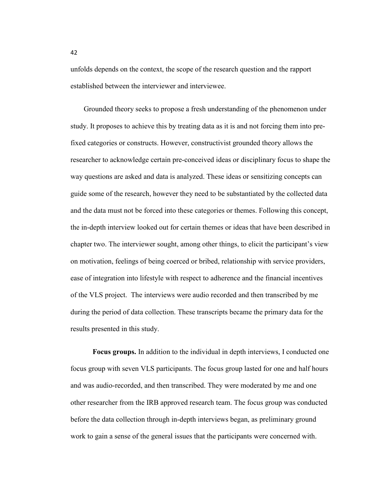unfolds depends on the context, the scope of the research question and the rapport established between the interviewer and interviewee.

Grounded theory seeks to propose a fresh understanding of the phenomenon under study. It proposes to achieve this by treating data as it is and not forcing them into prefixed categories or constructs. However, constructivist grounded theory allows the researcher to acknowledge certain pre-conceived ideas or disciplinary focus to shape the way questions are asked and data is analyzed. These ideas or sensitizing concepts can guide some of the research, however they need to be substantiated by the collected data and the data must not be forced into these categories or themes. Following this concept, the in-depth interview looked out for certain themes or ideas that have been described in chapter two. The interviewer sought, among other things, to elicit the participant's view on motivation, feelings of being coerced or bribed, relationship with service providers, ease of integration into lifestyle with respect to adherence and the financial incentives of the VLS project. The interviews were audio recorded and then transcribed by me during the period of data collection. These transcripts became the primary data for the results presented in this study.

**Focus groups.** In addition to the individual in depth interviews, I conducted one focus group with seven VLS participants. The focus group lasted for one and half hours and was audio-recorded, and then transcribed. They were moderated by me and one other researcher from the IRB approved research team. The focus group was conducted before the data collection through in-depth interviews began, as preliminary ground work to gain a sense of the general issues that the participants were concerned with.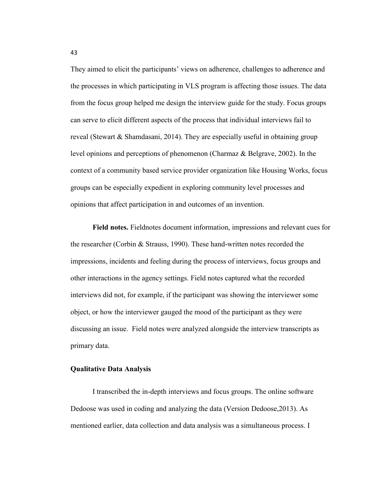They aimed to elicit the participants' views on adherence, challenges to adherence and the processes in which participating in VLS program is affecting those issues. The data from the focus group helped me design the interview guide for the study. Focus groups can serve to elicit different aspects of the process that individual interviews fail to reveal (Stewart & Shamdasani, 2014). They are especially useful in obtaining group level opinions and perceptions of phenomenon (Charmaz & Belgrave, 2002). In the context of a community based service provider organization like Housing Works, focus groups can be especially expedient in exploring community level processes and opinions that affect participation in and outcomes of an invention.

**Field notes.** Fieldnotes document information, impressions and relevant cues for the researcher (Corbin & Strauss, 1990). These hand-written notes recorded the impressions, incidents and feeling during the process of interviews, focus groups and other interactions in the agency settings. Field notes captured what the recorded interviews did not, for example, if the participant was showing the interviewer some object, or how the interviewer gauged the mood of the participant as they were discussing an issue. Field notes were analyzed alongside the interview transcripts as primary data.

## **Qualitative Data Analysis**

I transcribed the in-depth interviews and focus groups. The online software Dedoose was used in coding and analyzing the data (Version Dedoose,2013). As mentioned earlier, data collection and data analysis was a simultaneous process. I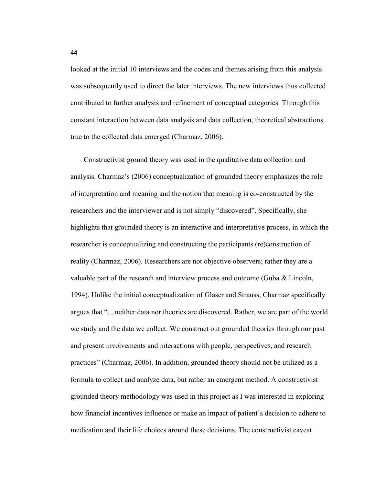looked at the initial 10 interviews and the codes and themes arising from this analysis was subsequently used to direct the later interviews. The new interviews thus collected contributed to further analysis and refinement of conceptual categories. Through this constant interaction between data analysis and data collection, theoretical abstractions true to the collected data emerged (Charmaz, 2006).

Constructivist ground theory was used in the qualitative data collection and analysis. Charmaz's (2006) conceptualization of grounded theory emphasizes the role of interpretation and meaning and the notion that meaning is co-constructed by the researchers and the interviewer and is not simply "discovered". Specifically, she highlights that grounded theory is an interactive and interpretative process, in which the researcher is conceptualizing and constructing the participants (re)construction of reality (Charmaz, 2006). Researchers are not objective observers; rather they are a valuable part of the research and interview process and outcome (Guba & Lincoln, 1994). Unlike the initial conceptualization of Glaser and Strauss, Charmaz specifically argues that "…neither data nor theories are discovered. Rather, we are part of the world we study and the data we collect. We construct out grounded theories through our past and present involvements and interactions with people, perspectives, and research practices" (Charmaz, 2006). In addition, grounded theory should not be utilized as a formula to collect and analyze data, but rather an emergent method. A constructivist grounded theory methodology was used in this project as I was interested in exploring how financial incentives influence or make an impact of patient's decision to adhere to medication and their life choices around these decisions. The constructivist caveat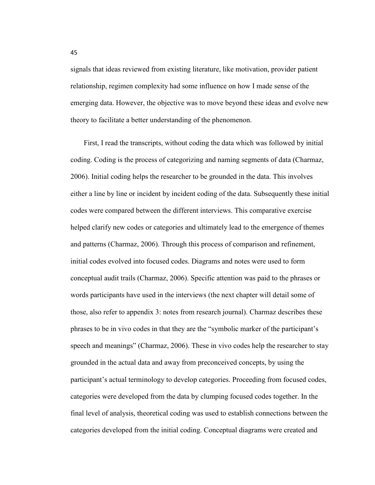signals that ideas reviewed from existing literature, like motivation, provider patient relationship, regimen complexity had some influence on how I made sense of the emerging data. However, the objective was to move beyond these ideas and evolve new theory to facilitate a better understanding of the phenomenon.

First, I read the transcripts, without coding the data which was followed by initial coding. Coding is the process of categorizing and naming segments of data (Charmaz, 2006). Initial coding helps the researcher to be grounded in the data. This involves either a line by line or incident by incident coding of the data. Subsequently these initial codes were compared between the different interviews. This comparative exercise helped clarify new codes or categories and ultimately lead to the emergence of themes and patterns (Charmaz, 2006). Through this process of comparison and refinement, initial codes evolved into focused codes. Diagrams and notes were used to form conceptual audit trails (Charmaz, 2006). Specific attention was paid to the phrases or words participants have used in the interviews (the next chapter will detail some of those, also refer to appendix 3: notes from research journal). Charmaz describes these phrases to be in vivo codes in that they are the "symbolic marker of the participant's speech and meanings" (Charmaz, 2006). These in vivo codes help the researcher to stay grounded in the actual data and away from preconceived concepts, by using the participant's actual terminology to develop categories. Proceeding from focused codes, categories were developed from the data by clumping focused codes together. In the final level of analysis, theoretical coding was used to establish connections between the categories developed from the initial coding. Conceptual diagrams were created and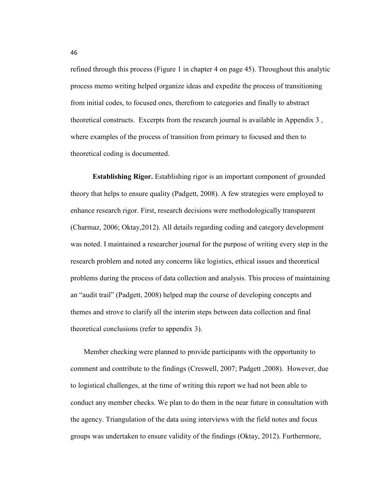refined through this process (Figure 1 in chapter 4 on page 45). Throughout this analytic process memo writing helped organize ideas and expedite the process of transitioning from initial codes, to focused ones, therefrom to categories and finally to abstract theoretical constructs. Excerpts from the research journal is available in Appendix 3 , where examples of the process of transition from primary to focused and then to theoretical coding is documented.

**Establishing Rigor.** Establishing rigor is an important component of grounded theory that helps to ensure quality (Padgett, 2008). A few strategies were employed to enhance research rigor. First, research decisions were methodologically transparent (Charmaz, 2006; Oktay,2012). All details regarding coding and category development was noted. I maintained a researcher journal for the purpose of writing every step in the research problem and noted any concerns like logistics, ethical issues and theoretical problems during the process of data collection and analysis. This process of maintaining an "audit trail" (Padgett, 2008) helped map the course of developing concepts and themes and strove to clarify all the interim steps between data collection and final theoretical conclusions (refer to appendix 3).

Member checking were planned to provide participants with the opportunity to comment and contribute to the findings (Creswell, 2007; Padgett ,2008). However, due to logistical challenges, at the time of writing this report we had not been able to conduct any member checks. We plan to do them in the near future in consultation with the agency. Triangulation of the data using interviews with the field notes and focus groups was undertaken to ensure validity of the findings (Oktay, 2012). Furthermore,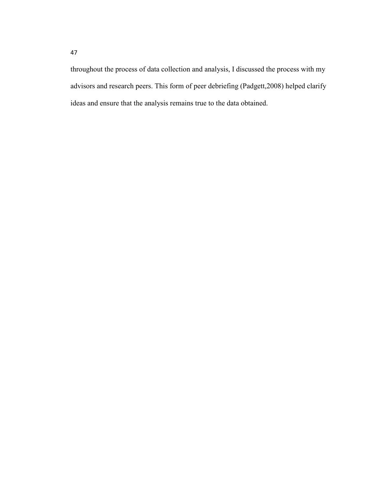throughout the process of data collection and analysis, I discussed the process with my advisors and research peers. This form of peer debriefing (Padgett,2008) helped clarify ideas and ensure that the analysis remains true to the data obtained.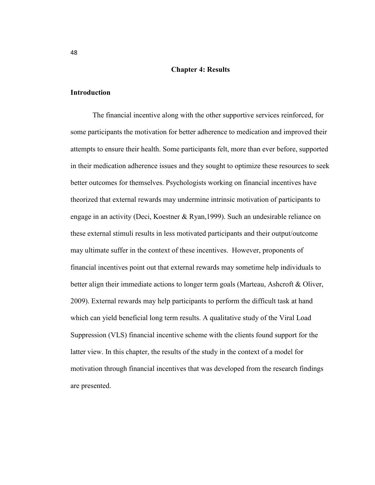#### **Chapter 4: Results**

#### **Introduction**

The financial incentive along with the other supportive services reinforced, for some participants the motivation for better adherence to medication and improved their attempts to ensure their health. Some participants felt, more than ever before, supported in their medication adherence issues and they sought to optimize these resources to seek better outcomes for themselves. Psychologists working on financial incentives have theorized that external rewards may undermine intrinsic motivation of participants to engage in an activity (Deci, Koestner & Ryan,1999). Such an undesirable reliance on these external stimuli results in less motivated participants and their output/outcome may ultimate suffer in the context of these incentives. However, proponents of financial incentives point out that external rewards may sometime help individuals to better align their immediate actions to longer term goals (Marteau, Ashcroft & Oliver, 2009). External rewards may help participants to perform the difficult task at hand which can yield beneficial long term results. A qualitative study of the Viral Load Suppression (VLS) financial incentive scheme with the clients found support for the latter view. In this chapter, the results of the study in the context of a model for motivation through financial incentives that was developed from the research findings are presented.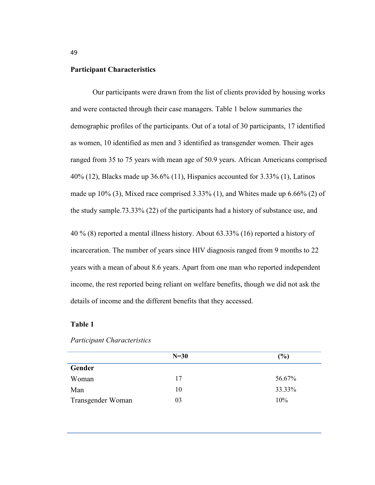## **Participant Characteristics**

Our participants were drawn from the list of clients provided by housing works and were contacted through their case managers. Table 1 below summaries the demographic profiles of the participants. Out of a total of 30 participants, 17 identified as women, 10 identified as men and 3 identified as transgender women. Their ages ranged from 35 to 75 years with mean age of 50.9 years. African Americans comprised 40% (12), Blacks made up 36.6% (11), Hispanics accounted for 3.33% (1), Latinos made up 10% (3), Mixed race comprised 3.33% (1), and Whites made up 6.66% (2) of the study sample.73.33% (22) of the participants had a history of substance use, and

40 % (8) reported a mental illness history. About 63.33% (16) reported a history of incarceration. The number of years since HIV diagnosis ranged from 9 months to 22 years with a mean of about 8.6 years. Apart from one man who reported independent income, the rest reported being reliant on welfare benefits, though we did not ask the details of income and the different benefits that they accessed.

## **Table 1**

|                   | $N=30$ | (%)    |
|-------------------|--------|--------|
| Gender            |        |        |
| Woman             | 17     | 56.67% |
| Man               | 10     | 33.33% |
| Transgender Woman | 03     | 10%    |

#### *Participant Characteristics*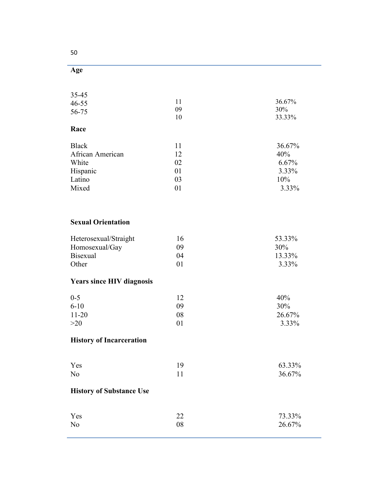| 35-45<br>$46 - 55$<br>56-75 | 11<br>09<br>10 | 36.67%<br>30%<br>33.33% |
|-----------------------------|----------------|-------------------------|
| Race                        |                |                         |
| <b>Black</b>                | 11             | 36.67%                  |
| African American            | 12             | 40%                     |
| White                       | 02             | 6.67%                   |
| Hispanic                    | 01             | 3.33%                   |
| Latino                      | 03             | 10%                     |
| Mixed                       | 01             | 3.33%                   |

# **Sexual Orientation**

| Heterosexual/Straight | 16      | 53.33% |
|-----------------------|---------|--------|
| Homosexual/Gay        | 09      | 30%    |
| <b>Bisexual</b>       | 04      | 13.33% |
| Other                 | $^{01}$ | 3.33%  |

# **Years since HIV diagnosis**

| $0 - 5$   |    | 40%      |
|-----------|----|----------|
| $6 - 10$  | 09 | 30%      |
| $11 - 20$ | 08 | 26.67%   |
| >20       | 01 | $3.33\%$ |

# **History of Incarceration**

| Yes            | 63.33% |
|----------------|--------|
| N <sub>o</sub> | 36.67% |

# **History of Substance Use**

| Yes            |    | 73.33% |
|----------------|----|--------|
| N <sub>0</sub> | 08 | 26.67% |

50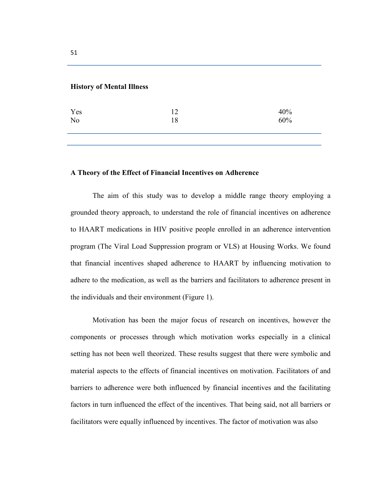## **History of Mental Illness**

| Yes            | 12 | 40% |
|----------------|----|-----|
| N <sub>o</sub> | 18 | 60% |
|                |    |     |

## **A Theory of the Effect of Financial Incentives on Adherence**

The aim of this study was to develop a middle range theory employing a grounded theory approach, to understand the role of financial incentives on adherence to HAART medications in HIV positive people enrolled in an adherence intervention program (The Viral Load Suppression program or VLS) at Housing Works. We found that financial incentives shaped adherence to HAART by influencing motivation to adhere to the medication, as well as the barriers and facilitators to adherence present in the individuals and their environment (Figure 1).

Motivation has been the major focus of research on incentives, however the components or processes through which motivation works especially in a clinical setting has not been well theorized. These results suggest that there were symbolic and material aspects to the effects of financial incentives on motivation. Facilitators of and barriers to adherence were both influenced by financial incentives and the facilitating factors in turn influenced the effect of the incentives. That being said, not all barriers or facilitators were equally influenced by incentives. The factor of motivation was also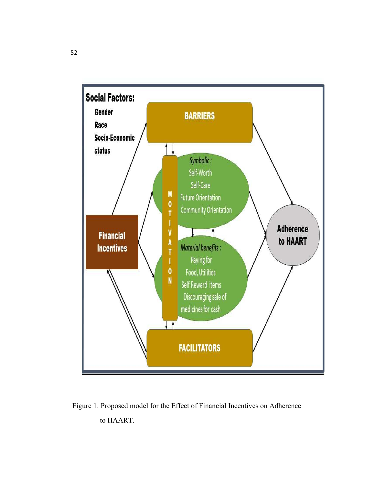

 Figure 1. Proposed model for the Effect of Financial Incentives on Adherence to HAART.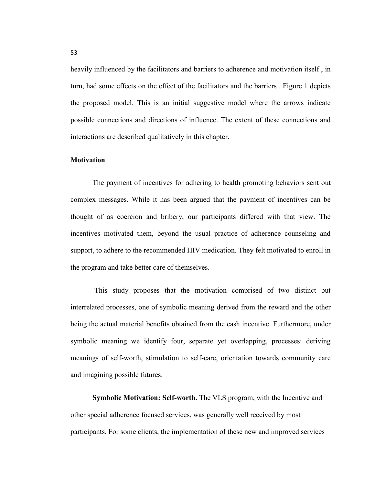heavily influenced by the facilitators and barriers to adherence and motivation itself , in turn, had some effects on the effect of the facilitators and the barriers . Figure 1 depicts the proposed model. This is an initial suggestive model where the arrows indicate possible connections and directions of influence. The extent of these connections and interactions are described qualitatively in this chapter.

#### **Motivation**

The payment of incentives for adhering to health promoting behaviors sent out complex messages. While it has been argued that the payment of incentives can be thought of as coercion and bribery, our participants differed with that view. The incentives motivated them, beyond the usual practice of adherence counseling and support, to adhere to the recommended HIV medication. They felt motivated to enroll in the program and take better care of themselves.

 This study proposes that the motivation comprised of two distinct but interrelated processes, one of symbolic meaning derived from the reward and the other being the actual material benefits obtained from the cash incentive. Furthermore, under symbolic meaning we identify four, separate yet overlapping, processes: deriving meanings of self-worth, stimulation to self-care, orientation towards community care and imagining possible futures.

**Symbolic Motivation: Self-worth.** The VLS program, with the Incentive and other special adherence focused services, was generally well received by most participants. For some clients, the implementation of these new and improved services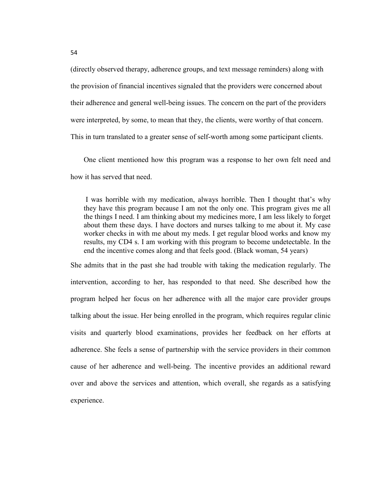(directly observed therapy, adherence groups, and text message reminders) along with the provision of financial incentives signaled that the providers were concerned about their adherence and general well-being issues. The concern on the part of the providers were interpreted, by some, to mean that they, the clients, were worthy of that concern. This in turn translated to a greater sense of self-worth among some participant clients.

One client mentioned how this program was a response to her own felt need and how it has served that need.

 I was horrible with my medication, always horrible. Then I thought that's why they have this program because I am not the only one. This program gives me all the things I need. I am thinking about my medicines more, I am less likely to forget about them these days. I have doctors and nurses talking to me about it. My case worker checks in with me about my meds. I get regular blood works and know my results, my CD4 s. I am working with this program to become undetectable. In the end the incentive comes along and that feels good. (Black woman, 54 years)

She admits that in the past she had trouble with taking the medication regularly. The intervention, according to her, has responded to that need. She described how the program helped her focus on her adherence with all the major care provider groups talking about the issue. Her being enrolled in the program, which requires regular clinic visits and quarterly blood examinations, provides her feedback on her efforts at adherence. She feels a sense of partnership with the service providers in their common cause of her adherence and well-being. The incentive provides an additional reward over and above the services and attention, which overall, she regards as a satisfying experience.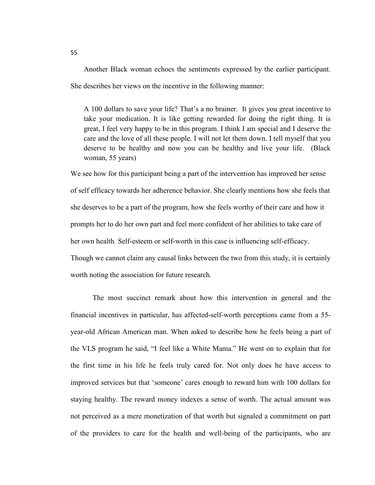Another Black woman echoes the sentiments expressed by the earlier participant. She describes her views on the incentive in the following manner:

A 100 dollars to save your life? That's a no brainer. It gives you great incentive to take your medication. It is like getting rewarded for doing the right thing. It is great, I feel very happy to be in this program. I think I am special and I deserve the care and the love of all these people. I will not let them down. I tell myself that you deserve to be healthy and now you can be healthy and live your life. (Black woman, 55 years)

We see how for this participant being a part of the intervention has improved her sense of self efficacy towards her adherence behavior. She clearly mentions how she feels that she deserves to be a part of the program, how she feels worthy of their care and how it prompts her to do her own part and feel more confident of her abilities to take care of her own health. Self-esteem or self-worth in this case is influencing self-efficacy. Though we cannot claim any causal links between the two from this study, it is certainly worth noting the association for future research.

The most succinct remark about how this intervention in general and the financial incentives in particular, has affected-self-worth perceptions came from a 55 year-old African American man. When asked to describe how he feels being a part of the VLS program he said, "I feel like a White Mama." He went on to explain that for the first time in his life he feels truly cared for. Not only does he have access to improved services but that 'someone' cares enough to reward him with 100 dollars for staying healthy. The reward money indexes a sense of worth. The actual amount was not perceived as a mere monetization of that worth but signaled a commitment on part of the providers to care for the health and well-being of the participants, who are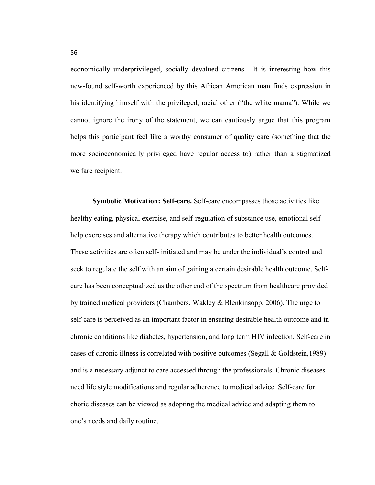economically underprivileged, socially devalued citizens. It is interesting how this new-found self-worth experienced by this African American man finds expression in his identifying himself with the privileged, racial other ("the white mama"). While we cannot ignore the irony of the statement, we can cautiously argue that this program helps this participant feel like a worthy consumer of quality care (something that the more socioeconomically privileged have regular access to) rather than a stigmatized welfare recipient.

**Symbolic Motivation: Self-care.** Self-care encompasses those activities like healthy eating, physical exercise, and self-regulation of substance use, emotional selfhelp exercises and alternative therapy which contributes to better health outcomes. These activities are often self- initiated and may be under the individual's control and seek to regulate the self with an aim of gaining a certain desirable health outcome. Selfcare has been conceptualized as the other end of the spectrum from healthcare provided by trained medical providers (Chambers, Wakley & Blenkinsopp, 2006). The urge to self-care is perceived as an important factor in ensuring desirable health outcome and in chronic conditions like diabetes, hypertension, and long term HIV infection. Self-care in cases of chronic illness is correlated with positive outcomes (Segall & Goldstein,1989) and is a necessary adjunct to care accessed through the professionals. Chronic diseases need life style modifications and regular adherence to medical advice. Self-care for choric diseases can be viewed as adopting the medical advice and adapting them to one's needs and daily routine.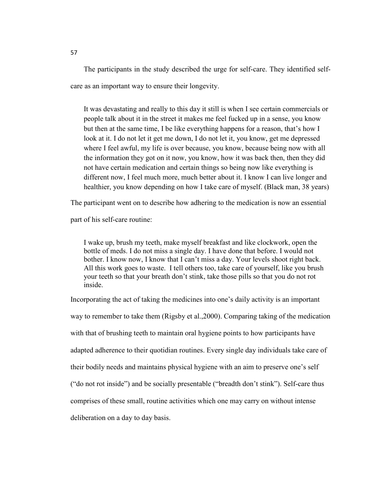The participants in the study described the urge for self-care. They identified selfcare as an important way to ensure their longevity.

It was devastating and really to this day it still is when I see certain commercials or people talk about it in the street it makes me feel fucked up in a sense, you know but then at the same time, I be like everything happens for a reason, that's how I look at it. I do not let it get me down, I do not let it, you know, get me depressed where I feel awful, my life is over because, you know, because being now with all the information they got on it now, you know, how it was back then, then they did not have certain medication and certain things so being now like everything is different now, I feel much more, much better about it. I know I can live longer and healthier, you know depending on how I take care of myself. (Black man, 38 years)

The participant went on to describe how adhering to the medication is now an essential

part of his self-care routine:

I wake up, brush my teeth, make myself breakfast and like clockwork, open the bottle of meds. I do not miss a single day. I have done that before. I would not bother. I know now, I know that I can't miss a day. Your levels shoot right back. All this work goes to waste. I tell others too, take care of yourself, like you brush your teeth so that your breath don't stink, take those pills so that you do not rot inside.

Incorporating the act of taking the medicines into one's daily activity is an important way to remember to take them (Rigsby et al.,2000). Comparing taking of the medication with that of brushing teeth to maintain oral hygiene points to how participants have adapted adherence to their quotidian routines. Every single day individuals take care of their bodily needs and maintains physical hygiene with an aim to preserve one's self ("do not rot inside") and be socially presentable ("breadth don't stink"). Self-care thus comprises of these small, routine activities which one may carry on without intense deliberation on a day to day basis.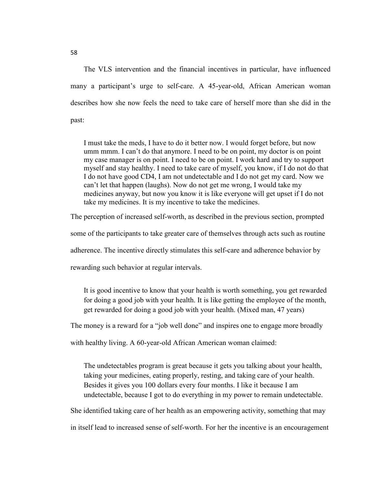The VLS intervention and the financial incentives in particular, have influenced many a participant's urge to self-care. A 45-year-old, African American woman describes how she now feels the need to take care of herself more than she did in the past:

I must take the meds, I have to do it better now. I would forget before, but now umm mmm. I can't do that anymore. I need to be on point, my doctor is on point my case manager is on point. I need to be on point. I work hard and try to support myself and stay healthy. I need to take care of myself, you know, if I do not do that I do not have good CD4, I am not undetectable and I do not get my card. Now we can't let that happen (laughs). Now do not get me wrong, I would take my medicines anyway, but now you know it is like everyone will get upset if I do not take my medicines. It is my incentive to take the medicines.

The perception of increased self-worth, as described in the previous section, prompted

some of the participants to take greater care of themselves through acts such as routine

adherence. The incentive directly stimulates this self-care and adherence behavior by

rewarding such behavior at regular intervals.

It is good incentive to know that your health is worth something, you get rewarded for doing a good job with your health. It is like getting the employee of the month, get rewarded for doing a good job with your health. (Mixed man, 47 years)

The money is a reward for a "job well done" and inspires one to engage more broadly

with healthy living. A 60-year-old African American woman claimed:

The undetectables program is great because it gets you talking about your health, taking your medicines, eating properly, resting, and taking care of your health. Besides it gives you 100 dollars every four months. I like it because I am undetectable, because I got to do everything in my power to remain undetectable.

She identified taking care of her health as an empowering activity, something that may

in itself lead to increased sense of self-worth. For her the incentive is an encouragement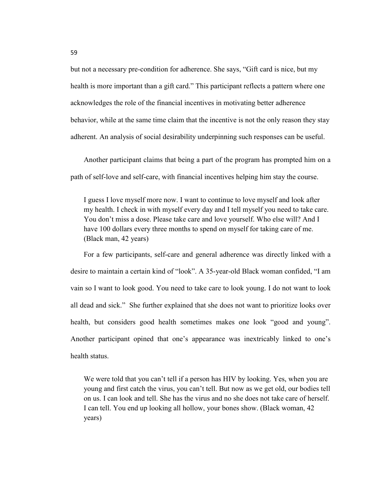but not a necessary pre-condition for adherence. She says, "Gift card is nice, but my health is more important than a gift card." This participant reflects a pattern where one acknowledges the role of the financial incentives in motivating better adherence behavior, while at the same time claim that the incentive is not the only reason they stay adherent. An analysis of social desirability underpinning such responses can be useful.

Another participant claims that being a part of the program has prompted him on a path of self-love and self-care, with financial incentives helping him stay the course.

I guess I love myself more now. I want to continue to love myself and look after my health. I check in with myself every day and I tell myself you need to take care. You don't miss a dose. Please take care and love yourself. Who else will? And I have 100 dollars every three months to spend on myself for taking care of me. (Black man, 42 years)

For a few participants, self-care and general adherence was directly linked with a desire to maintain a certain kind of "look". A 35-year-old Black woman confided, "I am vain so I want to look good. You need to take care to look young. I do not want to look all dead and sick." She further explained that she does not want to prioritize looks over health, but considers good health sometimes makes one look "good and young". Another participant opined that one's appearance was inextricably linked to one's health status.

We were told that you can't tell if a person has HIV by looking. Yes, when you are young and first catch the virus, you can't tell. But now as we get old, our bodies tell on us. I can look and tell. She has the virus and no she does not take care of herself. I can tell. You end up looking all hollow, your bones show. (Black woman, 42 years)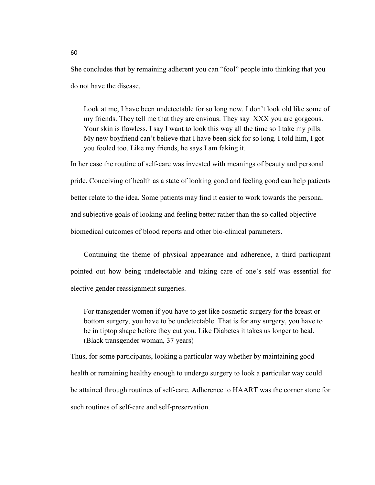She concludes that by remaining adherent you can "fool" people into thinking that you do not have the disease.

Look at me, I have been undetectable for so long now. I don't look old like some of my friends. They tell me that they are envious. They say XXX you are gorgeous. Your skin is flawless. I say I want to look this way all the time so I take my pills. My new boyfriend can't believe that I have been sick for so long. I told him, I got you fooled too. Like my friends, he says I am faking it.

In her case the routine of self-care was invested with meanings of beauty and personal pride. Conceiving of health as a state of looking good and feeling good can help patients better relate to the idea. Some patients may find it easier to work towards the personal and subjective goals of looking and feeling better rather than the so called objective biomedical outcomes of blood reports and other bio-clinical parameters.

Continuing the theme of physical appearance and adherence, a third participant pointed out how being undetectable and taking care of one's self was essential for elective gender reassignment surgeries.

For transgender women if you have to get like cosmetic surgery for the breast or bottom surgery, you have to be undetectable. That is for any surgery, you have to be in tiptop shape before they cut you. Like Diabetes it takes us longer to heal. (Black transgender woman, 37 years)

Thus, for some participants, looking a particular way whether by maintaining good health or remaining healthy enough to undergo surgery to look a particular way could be attained through routines of self-care. Adherence to HAART was the corner stone for such routines of self-care and self-preservation.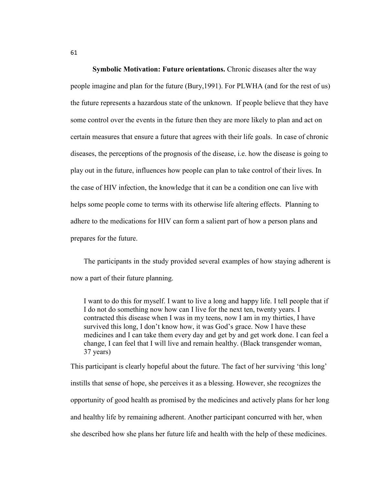**Symbolic Motivation: Future orientations.** Chronic diseases alter the way people imagine and plan for the future (Bury,1991). For PLWHA (and for the rest of us) the future represents a hazardous state of the unknown. If people believe that they have some control over the events in the future then they are more likely to plan and act on certain measures that ensure a future that agrees with their life goals. In case of chronic diseases, the perceptions of the prognosis of the disease, i.e. how the disease is going to play out in the future, influences how people can plan to take control of their lives. In the case of HIV infection, the knowledge that it can be a condition one can live with helps some people come to terms with its otherwise life altering effects. Planning to adhere to the medications for HIV can form a salient part of how a person plans and prepares for the future.

The participants in the study provided several examples of how staying adherent is now a part of their future planning.

I want to do this for myself. I want to live a long and happy life. I tell people that if I do not do something now how can I live for the next ten, twenty years. I contracted this disease when I was in my teens, now I am in my thirties, I have survived this long, I don't know how, it was God's grace. Now I have these medicines and I can take them every day and get by and get work done. I can feel a change, I can feel that I will live and remain healthy. (Black transgender woman, 37 years)

This participant is clearly hopeful about the future. The fact of her surviving 'this long' instills that sense of hope, she perceives it as a blessing. However, she recognizes the opportunity of good health as promised by the medicines and actively plans for her long and healthy life by remaining adherent. Another participant concurred with her, when she described how she plans her future life and health with the help of these medicines.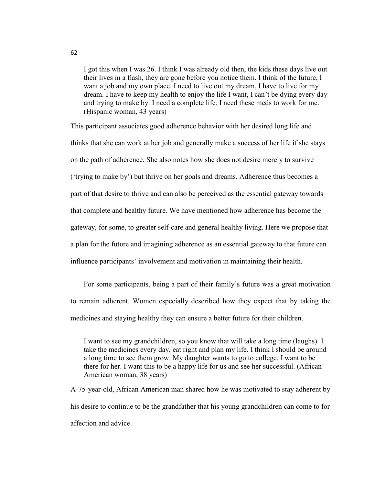I got this when I was 26. I think I was already old then, the kids these days live out their lives in a flash, they are gone before you notice them. I think of the future, I want a job and my own place. I need to live out my dream, I have to live for my dream. I have to keep my health to enjoy the life I want, I can't be dying every day and trying to make by. I need a complete life. I need these meds to work for me. (Hispanic woman, 43 years)

This participant associates good adherence behavior with her desired long life and thinks that she can work at her job and generally make a success of her life if she stays on the path of adherence. She also notes how she does not desire merely to survive ('trying to make by') but thrive on her goals and dreams. Adherence thus becomes a part of that desire to thrive and can also be perceived as the essential gateway towards that complete and healthy future. We have mentioned how adherence has become the gateway, for some, to greater self-care and general healthy living. Here we propose that a plan for the future and imagining adherence as an essential gateway to that future can influence participants' involvement and motivation in maintaining their health.

For some participants, being a part of their family's future was a great motivation to remain adherent. Women especially described how they expect that by taking the medicines and staying healthy they can ensure a better future for their children.

I want to see my grandchildren, so you know that will take a long time (laughs). I take the medicines every day, eat right and plan my life. I think I should be around a long time to see them grow. My daughter wants to go to college. I want to be there for her. I want this to be a happy life for us and see her successful. (African American woman, 38 years)

A-75-year-old, African American man shared how he was motivated to stay adherent by his desire to continue to be the grandfather that his young grandchildren can come to for affection and advice.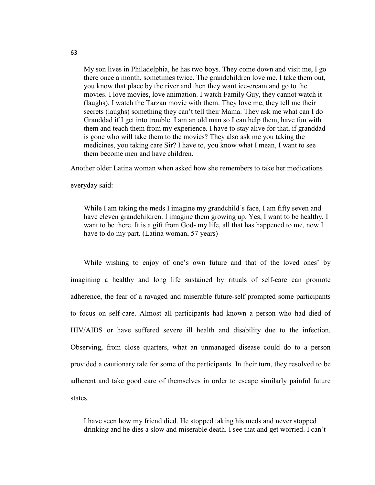My son lives in Philadelphia, he has two boys. They come down and visit me, I go there once a month, sometimes twice. The grandchildren love me. I take them out, you know that place by the river and then they want ice-cream and go to the movies. I love movies, love animation. I watch Family Guy, they cannot watch it (laughs). I watch the Tarzan movie with them. They love me, they tell me their secrets (laughs) something they can't tell their Mama. They ask me what can I do Granddad if I get into trouble. I am an old man so I can help them, have fun with them and teach them from my experience. I have to stay alive for that, if granddad is gone who will take them to the movies? They also ask me you taking the medicines, you taking care Sir? I have to, you know what I mean, I want to see them become men and have children.

Another older Latina woman when asked how she remembers to take her medications

everyday said:

While I am taking the meds I imagine my grandchild's face, I am fifty seven and have eleven grandchildren. I imagine them growing up. Yes, I want to be healthy, I want to be there. It is a gift from God- my life, all that has happened to me, now I have to do my part. (Latina woman, 57 years)

While wishing to enjoy of one's own future and that of the loved ones' by imagining a healthy and long life sustained by rituals of self-care can promote adherence, the fear of a ravaged and miserable future-self prompted some participants to focus on self-care. Almost all participants had known a person who had died of HIV/AIDS or have suffered severe ill health and disability due to the infection. Observing, from close quarters, what an unmanaged disease could do to a person provided a cautionary tale for some of the participants. In their turn, they resolved to be adherent and take good care of themselves in order to escape similarly painful future states.

I have seen how my friend died. He stopped taking his meds and never stopped drinking and he dies a slow and miserable death. I see that and get worried. I can't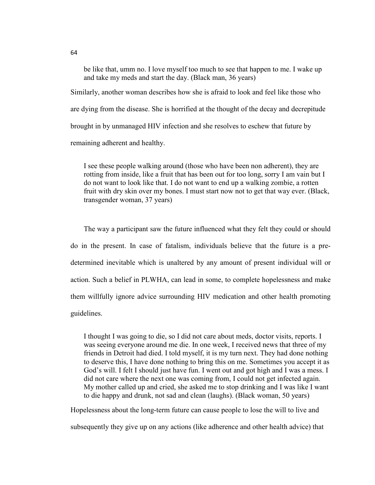be like that, umm no. I love myself too much to see that happen to me. I wake up and take my meds and start the day. (Black man, 36 years)

Similarly, another woman describes how she is afraid to look and feel like those who are dying from the disease. She is horrified at the thought of the decay and decrepitude brought in by unmanaged HIV infection and she resolves to eschew that future by remaining adherent and healthy.

I see these people walking around (those who have been non adherent), they are rotting from inside, like a fruit that has been out for too long, sorry I am vain but I do not want to look like that. I do not want to end up a walking zombie, a rotten fruit with dry skin over my bones. I must start now not to get that way ever. (Black, transgender woman, 37 years)

The way a participant saw the future influenced what they felt they could or should do in the present. In case of fatalism, individuals believe that the future is a predetermined inevitable which is unaltered by any amount of present individual will or action. Such a belief in PLWHA, can lead in some, to complete hopelessness and make them willfully ignore advice surrounding HIV medication and other health promoting guidelines.

I thought I was going to die, so I did not care about meds, doctor visits, reports. I was seeing everyone around me die. In one week, I received news that three of my friends in Detroit had died. I told myself, it is my turn next. They had done nothing to deserve this, I have done nothing to bring this on me. Sometimes you accept it as God's will. I felt I should just have fun. I went out and got high and I was a mess. I did not care where the next one was coming from, I could not get infected again. My mother called up and cried, she asked me to stop drinking and I was like I want to die happy and drunk, not sad and clean (laughs). (Black woman, 50 years)

Hopelessness about the long-term future can cause people to lose the will to live and

subsequently they give up on any actions (like adherence and other health advice) that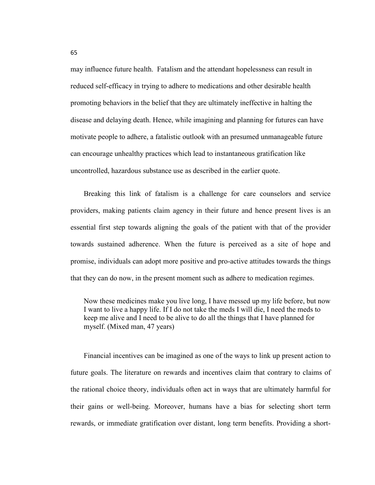may influence future health. Fatalism and the attendant hopelessness can result in reduced self-efficacy in trying to adhere to medications and other desirable health promoting behaviors in the belief that they are ultimately ineffective in halting the disease and delaying death. Hence, while imagining and planning for futures can have motivate people to adhere, a fatalistic outlook with an presumed unmanageable future can encourage unhealthy practices which lead to instantaneous gratification like uncontrolled, hazardous substance use as described in the earlier quote.

Breaking this link of fatalism is a challenge for care counselors and service providers, making patients claim agency in their future and hence present lives is an essential first step towards aligning the goals of the patient with that of the provider towards sustained adherence. When the future is perceived as a site of hope and promise, individuals can adopt more positive and pro-active attitudes towards the things that they can do now, in the present moment such as adhere to medication regimes.

Now these medicines make you live long, I have messed up my life before, but now I want to live a happy life. If I do not take the meds I will die, I need the meds to keep me alive and I need to be alive to do all the things that I have planned for myself. (Mixed man, 47 years)

Financial incentives can be imagined as one of the ways to link up present action to future goals. The literature on rewards and incentives claim that contrary to claims of the rational choice theory, individuals often act in ways that are ultimately harmful for their gains or well-being. Moreover, humans have a bias for selecting short term rewards, or immediate gratification over distant, long term benefits. Providing a short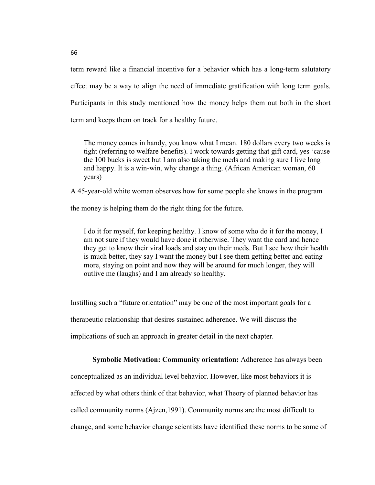term reward like a financial incentive for a behavior which has a long-term salutatory effect may be a way to align the need of immediate gratification with long term goals. Participants in this study mentioned how the money helps them out both in the short term and keeps them on track for a healthy future.

The money comes in handy, you know what I mean. 180 dollars every two weeks is tight (referring to welfare benefits). I work towards getting that gift card, yes 'cause the 100 bucks is sweet but I am also taking the meds and making sure I live long and happy. It is a win-win, why change a thing. (African American woman, 60 years)

A 45-year-old white woman observes how for some people she knows in the program

the money is helping them do the right thing for the future.

I do it for myself, for keeping healthy. I know of some who do it for the money, I am not sure if they would have done it otherwise. They want the card and hence they get to know their viral loads and stay on their meds. But I see how their health is much better, they say I want the money but I see them getting better and eating more, staying on point and now they will be around for much longer, they will outlive me (laughs) and I am already so healthy.

Instilling such a "future orientation" may be one of the most important goals for a therapeutic relationship that desires sustained adherence. We will discuss the implications of such an approach in greater detail in the next chapter.

**Symbolic Motivation: Community orientation:** Adherence has always been conceptualized as an individual level behavior. However, like most behaviors it is affected by what others think of that behavior, what Theory of planned behavior has called community norms (Ajzen,1991). Community norms are the most difficult to change, and some behavior change scientists have identified these norms to be some of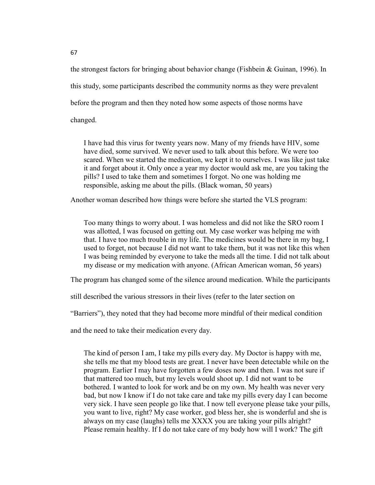the strongest factors for bringing about behavior change (Fishbein & Guinan, 1996). In this study, some participants described the community norms as they were prevalent before the program and then they noted how some aspects of those norms have changed.

I have had this virus for twenty years now. Many of my friends have HIV, some have died, some survived. We never used to talk about this before. We were too scared. When we started the medication, we kept it to ourselves. I was like just take it and forget about it. Only once a year my doctor would ask me, are you taking the pills? I used to take them and sometimes I forgot. No one was holding me responsible, asking me about the pills. (Black woman, 50 years)

Another woman described how things were before she started the VLS program:

Too many things to worry about. I was homeless and did not like the SRO room I was allotted, I was focused on getting out. My case worker was helping me with that. I have too much trouble in my life. The medicines would be there in my bag, I used to forget, not because I did not want to take them, but it was not like this when I was being reminded by everyone to take the meds all the time. I did not talk about my disease or my medication with anyone. (African American woman, 56 years)

The program has changed some of the silence around medication. While the participants

still described the various stressors in their lives (refer to the later section on

"Barriers"), they noted that they had become more mindful of their medical condition

and the need to take their medication every day.

The kind of person I am, I take my pills every day. My Doctor is happy with me, she tells me that my blood tests are great. I never have been detectable while on the program. Earlier I may have forgotten a few doses now and then. I was not sure if that mattered too much, but my levels would shoot up. I did not want to be bothered. I wanted to look for work and be on my own. My health was never very bad, but now I know if I do not take care and take my pills every day I can become very sick. I have seen people go like that. I now tell everyone please take your pills, you want to live, right? My case worker, god bless her, she is wonderful and she is always on my case (laughs) tells me XXXX you are taking your pills alright? Please remain healthy. If I do not take care of my body how will I work? The gift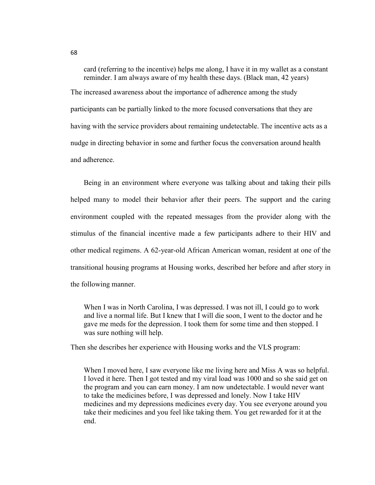card (referring to the incentive) helps me along, I have it in my wallet as a constant reminder. I am always aware of my health these days. (Black man, 42 years) The increased awareness about the importance of adherence among the study participants can be partially linked to the more focused conversations that they are having with the service providers about remaining undetectable. The incentive acts as a nudge in directing behavior in some and further focus the conversation around health and adherence.

Being in an environment where everyone was talking about and taking their pills helped many to model their behavior after their peers. The support and the caring environment coupled with the repeated messages from the provider along with the stimulus of the financial incentive made a few participants adhere to their HIV and other medical regimens. A 62-year-old African American woman, resident at one of the transitional housing programs at Housing works, described her before and after story in the following manner.

When I was in North Carolina, I was depressed. I was not ill, I could go to work and live a normal life. But I knew that I will die soon, I went to the doctor and he gave me meds for the depression. I took them for some time and then stopped. I was sure nothing will help.

Then she describes her experience with Housing works and the VLS program:

When I moved here, I saw everyone like me living here and Miss A was so helpful. I loved it here. Then I got tested and my viral load was 1000 and so she said get on the program and you can earn money. I am now undetectable. I would never want to take the medicines before, I was depressed and lonely. Now I take HIV medicines and my depressions medicines every day. You see everyone around you take their medicines and you feel like taking them. You get rewarded for it at the end.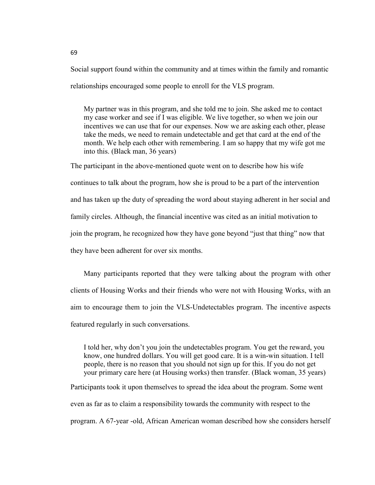Social support found within the community and at times within the family and romantic relationships encouraged some people to enroll for the VLS program.

My partner was in this program, and she told me to join. She asked me to contact my case worker and see if I was eligible. We live together, so when we join our incentives we can use that for our expenses. Now we are asking each other, please take the meds, we need to remain undetectable and get that card at the end of the month. We help each other with remembering. I am so happy that my wife got me into this. (Black man, 36 years)

The participant in the above-mentioned quote went on to describe how his wife continues to talk about the program, how she is proud to be a part of the intervention and has taken up the duty of spreading the word about staying adherent in her social and family circles. Although, the financial incentive was cited as an initial motivation to join the program, he recognized how they have gone beyond "just that thing" now that they have been adherent for over six months.

Many participants reported that they were talking about the program with other clients of Housing Works and their friends who were not with Housing Works, with an aim to encourage them to join the VLS-Undetectables program. The incentive aspects featured regularly in such conversations.

I told her, why don't you join the undetectables program. You get the reward, you know, one hundred dollars. You will get good care. It is a win-win situation. I tell people, there is no reason that you should not sign up for this. If you do not get your primary care here (at Housing works) then transfer. (Black woman, 35 years)

Participants took it upon themselves to spread the idea about the program. Some went even as far as to claim a responsibility towards the community with respect to the program. A 67-year -old, African American woman described how she considers herself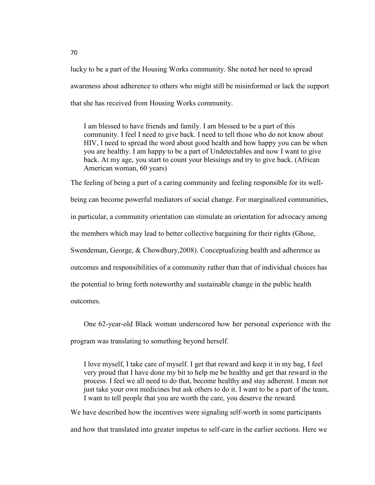lucky to be a part of the Housing Works community. She noted her need to spread awareness about adherence to others who might still be misinformed or lack the support that she has received from Housing Works community.

I am blessed to have friends and family. I am blessed to be a part of this community. I feel I need to give back. I need to tell those who do not know about HIV, I need to spread the word about good health and how happy you can be when you are healthy. I am happy to be a part of Undetectables and now I want to give back. At my age, you start to count your blessings and try to give back. (African American woman, 60 years)

The feeling of being a part of a caring community and feeling responsible for its wellbeing can become powerful mediators of social change. For marginalized communities, in particular, a community orientation can stimulate an orientation for advocacy among the members which may lead to better collective bargaining for their rights (Ghose, Swendeman, George, & Chowdhury,2008). Conceptualizing health and adherence as outcomes and responsibilities of a community rather than that of individual choices has the potential to bring forth noteworthy and sustainable change in the public health outcomes.

One 62-year-old Black woman underscored how her personal experience with the program was translating to something beyond herself.

I love myself, I take care of myself. I get that reward and keep it in my bag, I feel very proud that I have done my bit to help me be healthy and get that reward in the process. I feel we all need to do that, become healthy and stay adherent. I mean not just take your own medicines but ask others to do it. I want to be a part of the team, I want to tell people that you are worth the care, you deserve the reward.

We have described how the incentives were signaling self-worth in some participants and how that translated into greater impetus to self-care in the earlier sections. Here we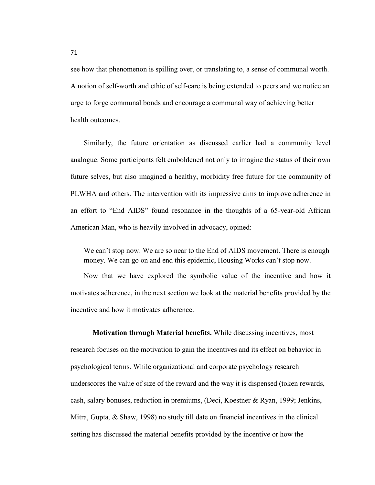see how that phenomenon is spilling over, or translating to, a sense of communal worth. A notion of self-worth and ethic of self-care is being extended to peers and we notice an urge to forge communal bonds and encourage a communal way of achieving better health outcomes.

Similarly, the future orientation as discussed earlier had a community level analogue. Some participants felt emboldened not only to imagine the status of their own future selves, but also imagined a healthy, morbidity free future for the community of PLWHA and others. The intervention with its impressive aims to improve adherence in an effort to "End AIDS" found resonance in the thoughts of a 65-year-old African American Man, who is heavily involved in advocacy, opined:

We can't stop now. We are so near to the End of AIDS movement. There is enough money. We can go on and end this epidemic, Housing Works can't stop now.

Now that we have explored the symbolic value of the incentive and how it motivates adherence, in the next section we look at the material benefits provided by the incentive and how it motivates adherence.

**Motivation through Material benefits.** While discussing incentives, most research focuses on the motivation to gain the incentives and its effect on behavior in psychological terms. While organizational and corporate psychology research underscores the value of size of the reward and the way it is dispensed (token rewards, cash, salary bonuses, reduction in premiums, (Deci, Koestner & Ryan, 1999; Jenkins, Mitra, Gupta, & Shaw, 1998) no study till date on financial incentives in the clinical setting has discussed the material benefits provided by the incentive or how the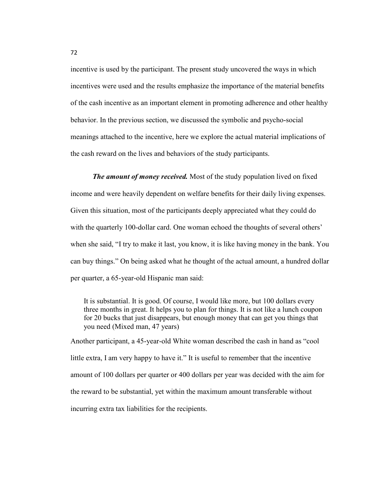incentive is used by the participant. The present study uncovered the ways in which incentives were used and the results emphasize the importance of the material benefits of the cash incentive as an important element in promoting adherence and other healthy behavior. In the previous section, we discussed the symbolic and psycho-social meanings attached to the incentive, here we explore the actual material implications of the cash reward on the lives and behaviors of the study participants.

*The amount of money received.* Most of the study population lived on fixed income and were heavily dependent on welfare benefits for their daily living expenses. Given this situation, most of the participants deeply appreciated what they could do with the quarterly 100-dollar card. One woman echoed the thoughts of several others' when she said, "I try to make it last, you know, it is like having money in the bank. You can buy things." On being asked what he thought of the actual amount, a hundred dollar per quarter, a 65-year-old Hispanic man said:

It is substantial. It is good. Of course, I would like more, but 100 dollars every three months in great. It helps you to plan for things. It is not like a lunch coupon for 20 bucks that just disappears, but enough money that can get you things that you need (Mixed man, 47 years)

Another participant, a 45-year-old White woman described the cash in hand as "cool little extra, I am very happy to have it." It is useful to remember that the incentive amount of 100 dollars per quarter or 400 dollars per year was decided with the aim for the reward to be substantial, yet within the maximum amount transferable without incurring extra tax liabilities for the recipients.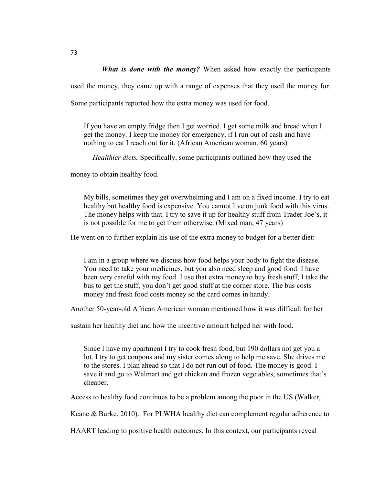*What is done with the money?* When asked how exactly the participants

used the money, they came up with a range of expenses that they used the money for.

Some participants reported how the extra money was used for food.

If you have an empty fridge then I get worried. I get some milk and bread when I get the money. I keep the money for emergency, if I run out of cash and have nothing to eat I reach out for it. (African American woman, 60 years)

*Healthier diets.* Specifically, some participants outlined how they used the

money to obtain healthy food.

My bills, sometimes they get overwhelming and I am on a fixed income. I try to eat healthy but healthy food is expensive. You cannot live on junk food with this virus. The money helps with that. I try to save it up for healthy stuff from Trader Joe's, it is not possible for me to get them otherwise. (Mixed man, 47 years)

He went on to further explain his use of the extra money to budget for a better diet:

I am in a group where we discuss how food helps your body to fight the disease. You need to take your medicines, but you also need sleep and good food. I have been very careful with my food. I use that extra money to buy fresh stuff, I take the bus to get the stuff, you don't get good stuff at the corner store. The bus costs money and fresh food costs money so the card comes in handy.

Another 50-year-old African American woman mentioned how it was difficult for her

sustain her healthy diet and how the incentive amount helped her with food.

Since I have my apartment I try to cook fresh food, but 190 dollars not get you a lot. I try to get coupons and my sister comes along to help me save. She drives me to the stores. I plan ahead so that I do not run out of food. The money is good. I save it and go to Walmart and get chicken and frozen vegetables, sometimes that's cheaper.

Access to healthy food continues to be a problem among the poor in the US (Walker,

Keane & Burke, 2010). For PLWHA healthy diet can complement regular adherence to

HAART leading to positive health outcomes. In this context, our participants reveal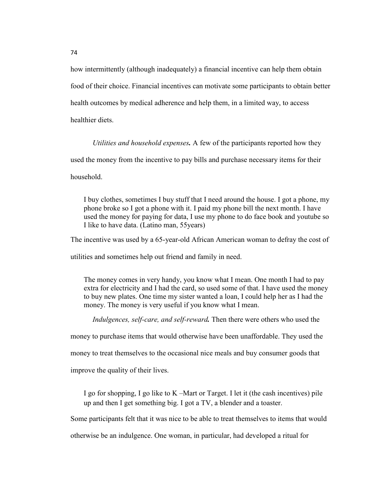how intermittently (although inadequately) a financial incentive can help them obtain food of their choice. Financial incentives can motivate some participants to obtain better health outcomes by medical adherence and help them, in a limited way, to access healthier diets.

*Utilities and household expenses.* A few of the participants reported how they used the money from the incentive to pay bills and purchase necessary items for their household.

I buy clothes, sometimes I buy stuff that I need around the house. I got a phone, my phone broke so I got a phone with it. I paid my phone bill the next month. I have used the money for paying for data, I use my phone to do face book and youtube so I like to have data. (Latino man, 55years)

The incentive was used by a 65-year-old African American woman to defray the cost of

utilities and sometimes help out friend and family in need.

The money comes in very handy, you know what I mean. One month I had to pay extra for electricity and I had the card, so used some of that. I have used the money to buy new plates. One time my sister wanted a loan, I could help her as I had the money. The money is very useful if you know what I mean.

*Indulgences, self-care, and self-reward.* Then there were others who used the

money to purchase items that would otherwise have been unaffordable. They used the

money to treat themselves to the occasional nice meals and buy consumer goods that

improve the quality of their lives.

I go for shopping, I go like to K –Mart or Target. I let it (the cash incentives) pile up and then I get something big. I got a TV, a blender and a toaster.

Some participants felt that it was nice to be able to treat themselves to items that would

otherwise be an indulgence. One woman, in particular, had developed a ritual for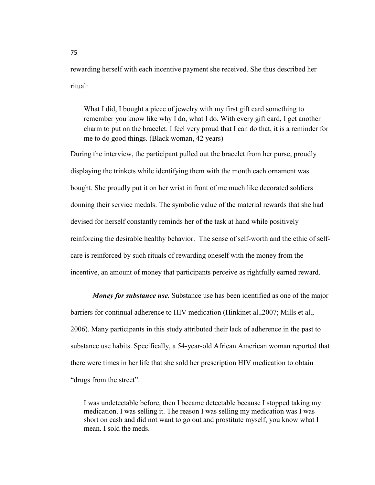rewarding herself with each incentive payment she received. She thus described her ritual:

What I did, I bought a piece of jewelry with my first gift card something to remember you know like why I do, what I do. With every gift card, I get another charm to put on the bracelet. I feel very proud that I can do that, it is a reminder for me to do good things. (Black woman, 42 years)

During the interview, the participant pulled out the bracelet from her purse, proudly displaying the trinkets while identifying them with the month each ornament was bought. She proudly put it on her wrist in front of me much like decorated soldiers donning their service medals. The symbolic value of the material rewards that she had devised for herself constantly reminds her of the task at hand while positively reinforcing the desirable healthy behavior. The sense of self-worth and the ethic of selfcare is reinforced by such rituals of rewarding oneself with the money from the incentive, an amount of money that participants perceive as rightfully earned reward.

*Money for substance use.* Substance use has been identified as one of the major barriers for continual adherence to HIV medication (Hinkinet al.,2007; Mills et al., 2006). Many participants in this study attributed their lack of adherence in the past to substance use habits. Specifically, a 54-year-old African American woman reported that there were times in her life that she sold her prescription HIV medication to obtain "drugs from the street".

I was undetectable before, then I became detectable because I stopped taking my medication. I was selling it. The reason I was selling my medication was I was short on cash and did not want to go out and prostitute myself, you know what I mean. I sold the meds.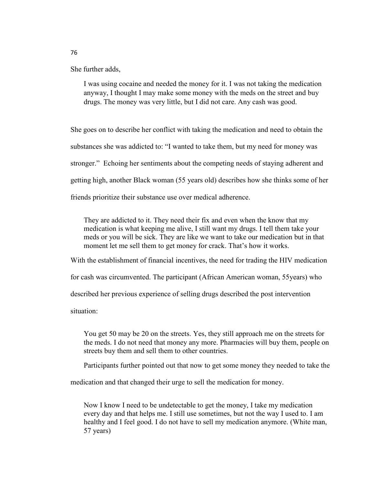She further adds,

I was using cocaine and needed the money for it. I was not taking the medication anyway, I thought I may make some money with the meds on the street and buy drugs. The money was very little, but I did not care. Any cash was good.

She goes on to describe her conflict with taking the medication and need to obtain the substances she was addicted to: "I wanted to take them, but my need for money was stronger." Echoing her sentiments about the competing needs of staying adherent and getting high, another Black woman (55 years old) describes how she thinks some of her friends prioritize their substance use over medical adherence.

They are addicted to it. They need their fix and even when the know that my medication is what keeping me alive, I still want my drugs. I tell them take your meds or you will be sick. They are like we want to take our medication but in that moment let me sell them to get money for crack. That's how it works.

With the establishment of financial incentives, the need for trading the HIV medication

for cash was circumvented. The participant (African American woman, 55years) who

described her previous experience of selling drugs described the post intervention

situation:

You get 50 may be 20 on the streets. Yes, they still approach me on the streets for the meds. I do not need that money any more. Pharmacies will buy them, people on streets buy them and sell them to other countries.

Participants further pointed out that now to get some money they needed to take the

medication and that changed their urge to sell the medication for money.

Now I know I need to be undetectable to get the money, I take my medication every day and that helps me. I still use sometimes, but not the way I used to. I am healthy and I feel good. I do not have to sell my medication anymore. (White man, 57 years)

76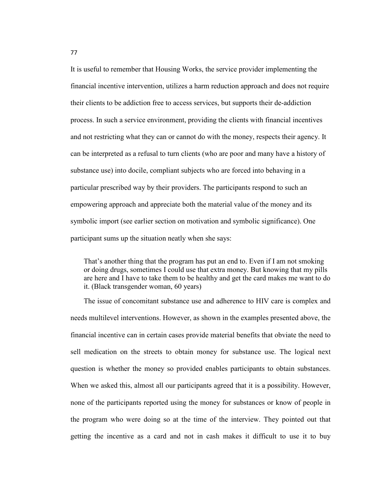It is useful to remember that Housing Works, the service provider implementing the financial incentive intervention, utilizes a harm reduction approach and does not require their clients to be addiction free to access services, but supports their de-addiction process. In such a service environment, providing the clients with financial incentives and not restricting what they can or cannot do with the money, respects their agency. It can be interpreted as a refusal to turn clients (who are poor and many have a history of substance use) into docile, compliant subjects who are forced into behaving in a particular prescribed way by their providers. The participants respond to such an empowering approach and appreciate both the material value of the money and its symbolic import (see earlier section on motivation and symbolic significance). One participant sums up the situation neatly when she says:

That's another thing that the program has put an end to. Even if I am not smoking or doing drugs, sometimes I could use that extra money. But knowing that my pills are here and I have to take them to be healthy and get the card makes me want to do it. (Black transgender woman, 60 years)

The issue of concomitant substance use and adherence to HIV care is complex and needs multilevel interventions. However, as shown in the examples presented above, the financial incentive can in certain cases provide material benefits that obviate the need to sell medication on the streets to obtain money for substance use. The logical next question is whether the money so provided enables participants to obtain substances. When we asked this, almost all our participants agreed that it is a possibility. However, none of the participants reported using the money for substances or know of people in the program who were doing so at the time of the interview. They pointed out that getting the incentive as a card and not in cash makes it difficult to use it to buy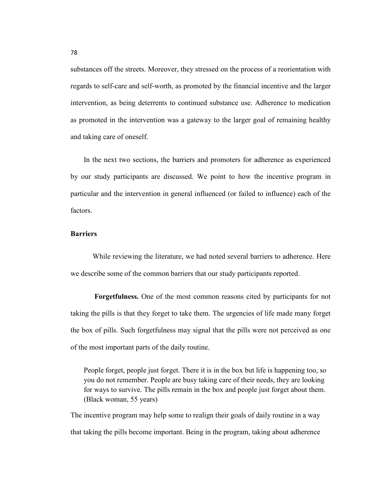substances off the streets. Moreover, they stressed on the process of a reorientation with regards to self-care and self-worth, as promoted by the financial incentive and the larger intervention, as being deterrents to continued substance use. Adherence to medication as promoted in the intervention was a gateway to the larger goal of remaining healthy and taking care of oneself.

In the next two sections, the barriers and promoters for adherence as experienced by our study participants are discussed. We point to how the incentive program in particular and the intervention in general influenced (or failed to influence) each of the factors.

## **Barriers**

While reviewing the literature, we had noted several barriers to adherence. Here we describe some of the common barriers that our study participants reported.

 **Forgetfulness.** One of the most common reasons cited by participants for not taking the pills is that they forget to take them. The urgencies of life made many forget the box of pills. Such forgetfulness may signal that the pills were not perceived as one of the most important parts of the daily routine.

People forget, people just forget. There it is in the box but life is happening too, so you do not remember. People are busy taking care of their needs, they are looking for ways to survive. The pills remain in the box and people just forget about them. (Black woman, 55 years)

The incentive program may help some to realign their goals of daily routine in a way that taking the pills become important. Being in the program, taking about adherence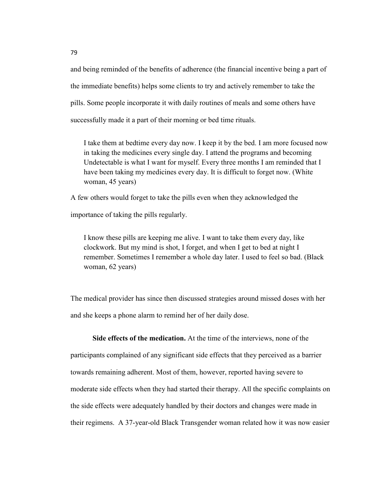and being reminded of the benefits of adherence (the financial incentive being a part of the immediate benefits) helps some clients to try and actively remember to take the pills. Some people incorporate it with daily routines of meals and some others have successfully made it a part of their morning or bed time rituals.

I take them at bedtime every day now. I keep it by the bed. I am more focused now in taking the medicines every single day. I attend the programs and becoming Undetectable is what I want for myself. Every three months I am reminded that I have been taking my medicines every day. It is difficult to forget now. (White woman, 45 years)

A few others would forget to take the pills even when they acknowledged the

importance of taking the pills regularly.

I know these pills are keeping me alive. I want to take them every day, like clockwork. But my mind is shot, I forget, and when I get to bed at night I remember. Sometimes I remember a whole day later. I used to feel so bad. (Black woman, 62 years)

The medical provider has since then discussed strategies around missed doses with her and she keeps a phone alarm to remind her of her daily dose.

**Side effects of the medication.** At the time of the interviews, none of the participants complained of any significant side effects that they perceived as a barrier towards remaining adherent. Most of them, however, reported having severe to moderate side effects when they had started their therapy. All the specific complaints on the side effects were adequately handled by their doctors and changes were made in their regimens. A 37-year-old Black Transgender woman related how it was now easier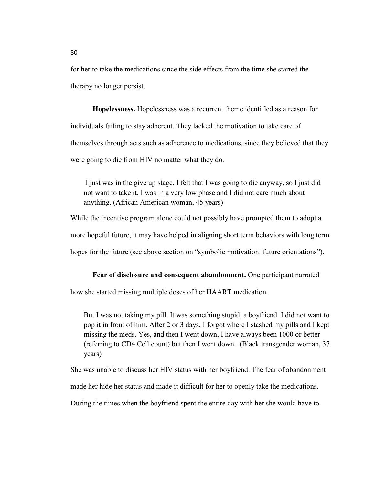for her to take the medications since the side effects from the time she started the therapy no longer persist.

**Hopelessness.** Hopelessness was a recurrent theme identified as a reason for individuals failing to stay adherent. They lacked the motivation to take care of themselves through acts such as adherence to medications, since they believed that they were going to die from HIV no matter what they do.

 I just was in the give up stage. I felt that I was going to die anyway, so I just did not want to take it. I was in a very low phase and I did not care much about anything. (African American woman, 45 years)

While the incentive program alone could not possibly have prompted them to adopt a more hopeful future, it may have helped in aligning short term behaviors with long term hopes for the future (see above section on "symbolic motivation: future orientations").

## **Fear of disclosure and consequent abandonment.** One participant narrated

how she started missing multiple doses of her HAART medication.

But I was not taking my pill. It was something stupid, a boyfriend. I did not want to pop it in front of him. After 2 or 3 days, I forgot where I stashed my pills and I kept missing the meds. Yes, and then I went down, I have always been 1000 or better (referring to CD4 Cell count) but then I went down. (Black transgender woman, 37 years)

She was unable to discuss her HIV status with her boyfriend. The fear of abandonment

made her hide her status and made it difficult for her to openly take the medications.

During the times when the boyfriend spent the entire day with her she would have to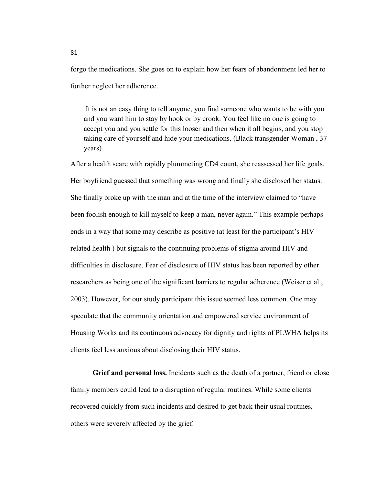forgo the medications. She goes on to explain how her fears of abandonment led her to further neglect her adherence.

 It is not an easy thing to tell anyone, you find someone who wants to be with you and you want him to stay by hook or by crook. You feel like no one is going to accept you and you settle for this looser and then when it all begins, and you stop taking care of yourself and hide your medications. (Black transgender Woman , 37 years)

After a health scare with rapidly plummeting CD4 count, she reassessed her life goals. Her boyfriend guessed that something was wrong and finally she disclosed her status. She finally broke up with the man and at the time of the interview claimed to "have been foolish enough to kill myself to keep a man, never again." This example perhaps ends in a way that some may describe as positive (at least for the participant's HIV related health ) but signals to the continuing problems of stigma around HIV and difficulties in disclosure. Fear of disclosure of HIV status has been reported by other researchers as being one of the significant barriers to regular adherence (Weiser et al., 2003). However, for our study participant this issue seemed less common. One may speculate that the community orientation and empowered service environment of Housing Works and its continuous advocacy for dignity and rights of PLWHA helps its clients feel less anxious about disclosing their HIV status.

**Grief and personal loss.** Incidents such as the death of a partner, friend or close family members could lead to a disruption of regular routines. While some clients recovered quickly from such incidents and desired to get back their usual routines, others were severely affected by the grief.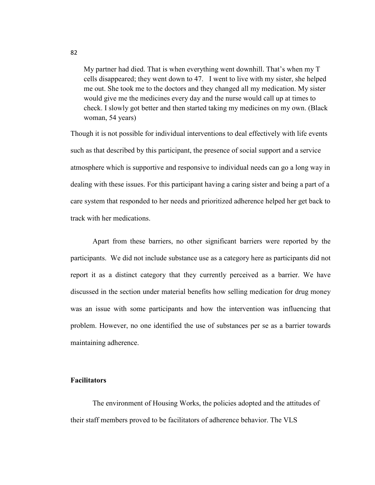My partner had died. That is when everything went downhill. That's when my T cells disappeared; they went down to 47. I went to live with my sister, she helped me out. She took me to the doctors and they changed all my medication. My sister would give me the medicines every day and the nurse would call up at times to check. I slowly got better and then started taking my medicines on my own. (Black woman, 54 years)

Though it is not possible for individual interventions to deal effectively with life events such as that described by this participant, the presence of social support and a service atmosphere which is supportive and responsive to individual needs can go a long way in dealing with these issues. For this participant having a caring sister and being a part of a care system that responded to her needs and prioritized adherence helped her get back to track with her medications.

Apart from these barriers, no other significant barriers were reported by the participants. We did not include substance use as a category here as participants did not report it as a distinct category that they currently perceived as a barrier. We have discussed in the section under material benefits how selling medication for drug money was an issue with some participants and how the intervention was influencing that problem. However, no one identified the use of substances per se as a barrier towards maintaining adherence.

## **Facilitators**

The environment of Housing Works, the policies adopted and the attitudes of their staff members proved to be facilitators of adherence behavior. The VLS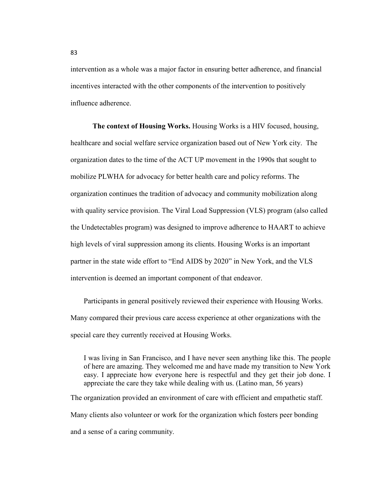intervention as a whole was a major factor in ensuring better adherence, and financial incentives interacted with the other components of the intervention to positively influence adherence.

**The context of Housing Works.** Housing Works is a HIV focused, housing, healthcare and social welfare service organization based out of New York city. The organization dates to the time of the ACT UP movement in the 1990s that sought to mobilize PLWHA for advocacy for better health care and policy reforms. The organization continues the tradition of advocacy and community mobilization along with quality service provision. The Viral Load Suppression (VLS) program (also called the Undetectables program) was designed to improve adherence to HAART to achieve high levels of viral suppression among its clients. Housing Works is an important partner in the state wide effort to "End AIDS by 2020" in New York, and the VLS intervention is deemed an important component of that endeavor.

Participants in general positively reviewed their experience with Housing Works. Many compared their previous care access experience at other organizations with the special care they currently received at Housing Works.

I was living in San Francisco, and I have never seen anything like this. The people of here are amazing. They welcomed me and have made my transition to New York easy. I appreciate how everyone here is respectful and they get their job done. I appreciate the care they take while dealing with us. (Latino man, 56 years)

The organization provided an environment of care with efficient and empathetic staff. Many clients also volunteer or work for the organization which fosters peer bonding and a sense of a caring community.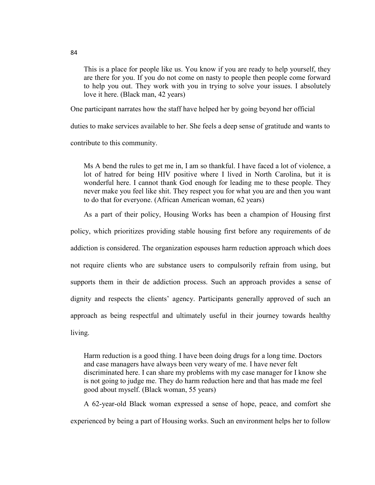This is a place for people like us. You know if you are ready to help yourself, they are there for you. If you do not come on nasty to people then people come forward to help you out. They work with you in trying to solve your issues. I absolutely love it here. (Black man, 42 years)

One participant narrates how the staff have helped her by going beyond her official

duties to make services available to her. She feels a deep sense of gratitude and wants to

contribute to this community.

Ms A bend the rules to get me in, I am so thankful. I have faced a lot of violence, a lot of hatred for being HIV positive where I lived in North Carolina, but it is wonderful here. I cannot thank God enough for leading me to these people. They never make you feel like shit. They respect you for what you are and then you want to do that for everyone. (African American woman, 62 years)

As a part of their policy, Housing Works has been a champion of Housing first

policy, which prioritizes providing stable housing first before any requirements of de addiction is considered. The organization espouses harm reduction approach which does not require clients who are substance users to compulsorily refrain from using, but supports them in their de addiction process. Such an approach provides a sense of dignity and respects the clients' agency. Participants generally approved of such an approach as being respectful and ultimately useful in their journey towards healthy living.

Harm reduction is a good thing. I have been doing drugs for a long time. Doctors and case managers have always been very weary of me. I have never felt discriminated here. I can share my problems with my case manager for I know she is not going to judge me. They do harm reduction here and that has made me feel good about myself. (Black woman, 55 years)

A 62-year-old Black woman expressed a sense of hope, peace, and comfort she experienced by being a part of Housing works. Such an environment helps her to follow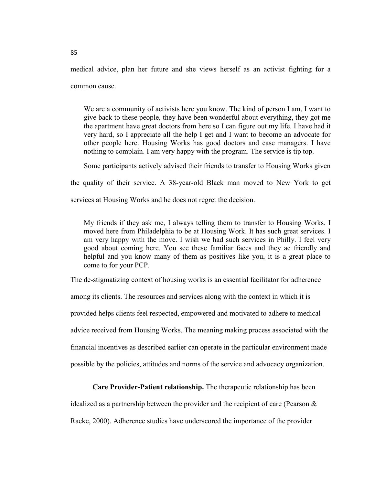medical advice, plan her future and she views herself as an activist fighting for a common cause.

We are a community of activists here you know. The kind of person I am, I want to give back to these people, they have been wonderful about everything, they got me the apartment have great doctors from here so I can figure out my life. I have had it very hard, so I appreciate all the help I get and I want to become an advocate for other people here. Housing Works has good doctors and case managers. I have nothing to complain. I am very happy with the program. The service is tip top.

Some participants actively advised their friends to transfer to Housing Works given

the quality of their service. A 38-year-old Black man moved to New York to get

services at Housing Works and he does not regret the decision.

My friends if they ask me, I always telling them to transfer to Housing Works. I moved here from Philadelphia to be at Housing Work. It has such great services. I am very happy with the move. I wish we had such services in Philly. I feel very good about coming here. You see these familiar faces and they ae friendly and helpful and you know many of them as positives like you, it is a great place to come to for your PCP.

The de-stigmatizing context of housing works is an essential facilitator for adherence among its clients. The resources and services along with the context in which it is provided helps clients feel respected, empowered and motivated to adhere to medical advice received from Housing Works. The meaning making process associated with the financial incentives as described earlier can operate in the particular environment made possible by the policies, attitudes and norms of the service and advocacy organization.

## **Care Provider-Patient relationship.** The therapeutic relationship has been

idealized as a partnership between the provider and the recipient of care (Pearson & Raeke, 2000). Adherence studies have underscored the importance of the provider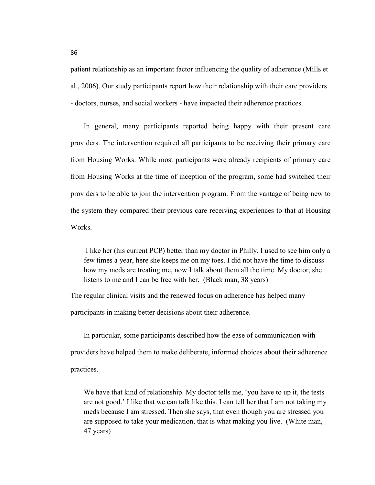patient relationship as an important factor influencing the quality of adherence (Mills et al., 2006). Our study participants report how their relationship with their care providers - doctors, nurses, and social workers - have impacted their adherence practices.

In general, many participants reported being happy with their present care providers. The intervention required all participants to be receiving their primary care from Housing Works. While most participants were already recipients of primary care from Housing Works at the time of inception of the program, some had switched their providers to be able to join the intervention program. From the vantage of being new to the system they compared their previous care receiving experiences to that at Housing Works.

 I like her (his current PCP) better than my doctor in Philly. I used to see him only a few times a year, here she keeps me on my toes. I did not have the time to discuss how my meds are treating me, now I talk about them all the time. My doctor, she listens to me and I can be free with her. (Black man, 38 years)

The regular clinical visits and the renewed focus on adherence has helped many

participants in making better decisions about their adherence.

In particular, some participants described how the ease of communication with providers have helped them to make deliberate, informed choices about their adherence practices.

We have that kind of relationship. My doctor tells me, 'you have to up it, the tests are not good.' I like that we can talk like this. I can tell her that I am not taking my meds because I am stressed. Then she says, that even though you are stressed you are supposed to take your medication, that is what making you live. (White man, 47 years)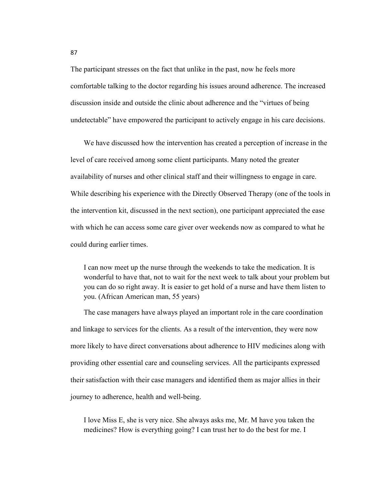The participant stresses on the fact that unlike in the past, now he feels more comfortable talking to the doctor regarding his issues around adherence. The increased discussion inside and outside the clinic about adherence and the "virtues of being undetectable" have empowered the participant to actively engage in his care decisions.

We have discussed how the intervention has created a perception of increase in the level of care received among some client participants. Many noted the greater availability of nurses and other clinical staff and their willingness to engage in care. While describing his experience with the Directly Observed Therapy (one of the tools in the intervention kit, discussed in the next section), one participant appreciated the ease with which he can access some care giver over weekends now as compared to what he could during earlier times.

I can now meet up the nurse through the weekends to take the medication. It is wonderful to have that, not to wait for the next week to talk about your problem but you can do so right away. It is easier to get hold of a nurse and have them listen to you. (African American man, 55 years)

The case managers have always played an important role in the care coordination and linkage to services for the clients. As a result of the intervention, they were now more likely to have direct conversations about adherence to HIV medicines along with providing other essential care and counseling services. All the participants expressed their satisfaction with their case managers and identified them as major allies in their journey to adherence, health and well-being.

I love Miss E, she is very nice. She always asks me, Mr. M have you taken the medicines? How is everything going? I can trust her to do the best for me. I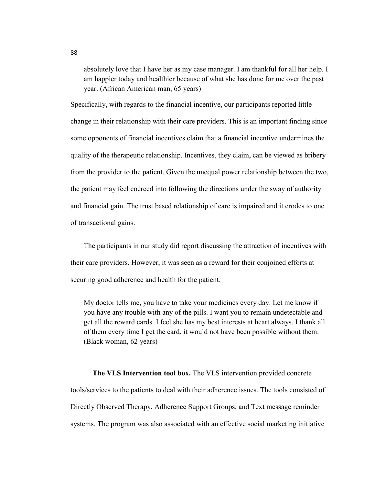absolutely love that I have her as my case manager. I am thankful for all her help. I am happier today and healthier because of what she has done for me over the past year. (African American man, 65 years)

Specifically, with regards to the financial incentive, our participants reported little change in their relationship with their care providers. This is an important finding since some opponents of financial incentives claim that a financial incentive undermines the quality of the therapeutic relationship. Incentives, they claim, can be viewed as bribery from the provider to the patient. Given the unequal power relationship between the two, the patient may feel coerced into following the directions under the sway of authority and financial gain. The trust based relationship of care is impaired and it erodes to one of transactional gains.

The participants in our study did report discussing the attraction of incentives with their care providers. However, it was seen as a reward for their conjoined efforts at securing good adherence and health for the patient.

My doctor tells me, you have to take your medicines every day. Let me know if you have any trouble with any of the pills. I want you to remain undetectable and get all the reward cards. I feel she has my best interests at heart always. I thank all of them every time I get the card, it would not have been possible without them. (Black woman, 62 years)

**The VLS Intervention tool box.** The VLS intervention provided concrete tools/services to the patients to deal with their adherence issues. The tools consisted of Directly Observed Therapy, Adherence Support Groups, and Text message reminder systems. The program was also associated with an effective social marketing initiative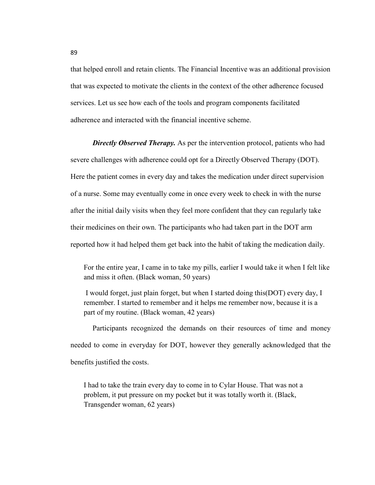that helped enroll and retain clients. The Financial Incentive was an additional provision that was expected to motivate the clients in the context of the other adherence focused services. Let us see how each of the tools and program components facilitated adherence and interacted with the financial incentive scheme.

*Directly Observed Therapy.* As per the intervention protocol, patients who had severe challenges with adherence could opt for a Directly Observed Therapy (DOT). Here the patient comes in every day and takes the medication under direct supervision of a nurse. Some may eventually come in once every week to check in with the nurse after the initial daily visits when they feel more confident that they can regularly take their medicines on their own. The participants who had taken part in the DOT arm reported how it had helped them get back into the habit of taking the medication daily.

For the entire year, I came in to take my pills, earlier I would take it when I felt like and miss it often. (Black woman, 50 years)

 I would forget, just plain forget, but when I started doing this(DOT) every day, I remember. I started to remember and it helps me remember now, because it is a part of my routine. (Black woman, 42 years)

Participants recognized the demands on their resources of time and money needed to come in everyday for DOT, however they generally acknowledged that the benefits justified the costs.

I had to take the train every day to come in to Cylar House. That was not a problem, it put pressure on my pocket but it was totally worth it. (Black, Transgender woman, 62 years)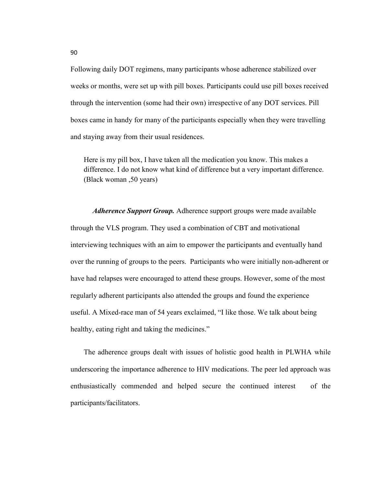Following daily DOT regimens, many participants whose adherence stabilized over weeks or months, were set up with pill boxes. Participants could use pill boxes received through the intervention (some had their own) irrespective of any DOT services. Pill boxes came in handy for many of the participants especially when they were travelling and staying away from their usual residences.

Here is my pill box, I have taken all the medication you know. This makes a difference. I do not know what kind of difference but a very important difference. (Black woman ,50 years)

*Adherence Support Group.* Adherence support groups were made available through the VLS program. They used a combination of CBT and motivational interviewing techniques with an aim to empower the participants and eventually hand over the running of groups to the peers. Participants who were initially non-adherent or have had relapses were encouraged to attend these groups. However, some of the most regularly adherent participants also attended the groups and found the experience useful. A Mixed-race man of 54 years exclaimed, "I like those. We talk about being healthy, eating right and taking the medicines."

The adherence groups dealt with issues of holistic good health in PLWHA while underscoring the importance adherence to HIV medications. The peer led approach was enthusiastically commended and helped secure the continued interest of the participants/facilitators.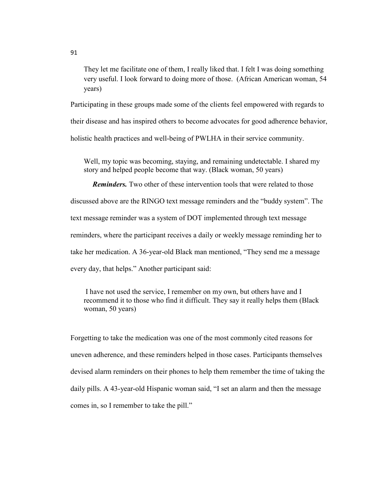They let me facilitate one of them, I really liked that. I felt I was doing something very useful. I look forward to doing more of those. (African American woman, 54 years)

Participating in these groups made some of the clients feel empowered with regards to their disease and has inspired others to become advocates for good adherence behavior, holistic health practices and well-being of PWLHA in their service community.

Well, my topic was becoming, staying, and remaining undetectable. I shared my story and helped people become that way. (Black woman, 50 years)

*Reminders.* Two other of these intervention tools that were related to those discussed above are the RINGO text message reminders and the "buddy system". The text message reminder was a system of DOT implemented through text message reminders, where the participant receives a daily or weekly message reminding her to take her medication. A 36-year-old Black man mentioned, "They send me a message every day, that helps." Another participant said:

 I have not used the service, I remember on my own, but others have and I recommend it to those who find it difficult. They say it really helps them (Black woman, 50 years)

Forgetting to take the medication was one of the most commonly cited reasons for uneven adherence, and these reminders helped in those cases. Participants themselves devised alarm reminders on their phones to help them remember the time of taking the daily pills. A 43-year-old Hispanic woman said, "I set an alarm and then the message comes in, so I remember to take the pill."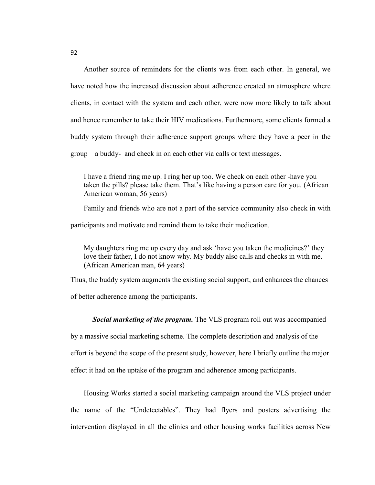Another source of reminders for the clients was from each other. In general, we have noted how the increased discussion about adherence created an atmosphere where clients, in contact with the system and each other, were now more likely to talk about and hence remember to take their HIV medications. Furthermore, some clients formed a buddy system through their adherence support groups where they have a peer in the group – a buddy- and check in on each other via calls or text messages.

I have a friend ring me up. I ring her up too. We check on each other -have you taken the pills? please take them. That's like having a person care for you. (African American woman, 56 years)

Family and friends who are not a part of the service community also check in with

participants and motivate and remind them to take their medication.

My daughters ring me up every day and ask 'have you taken the medicines?' they love their father, I do not know why. My buddy also calls and checks in with me. (African American man, 64 years)

Thus, the buddy system augments the existing social support, and enhances the chances of better adherence among the participants.

*Social marketing of the program.* The VLS program roll out was accompanied

by a massive social marketing scheme. The complete description and analysis of the effort is beyond the scope of the present study, however, here I briefly outline the major effect it had on the uptake of the program and adherence among participants.

Housing Works started a social marketing campaign around the VLS project under the name of the "Undetectables". They had flyers and posters advertising the intervention displayed in all the clinics and other housing works facilities across New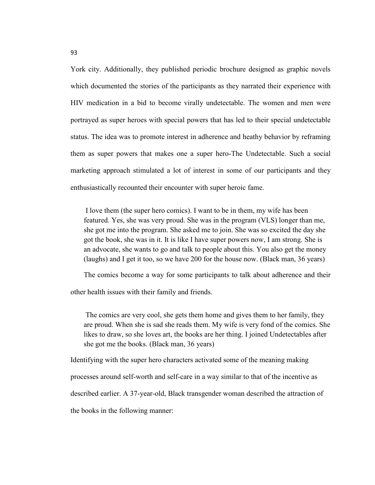York city. Additionally, they published periodic brochure designed as graphic novels which documented the stories of the participants as they narrated their experience with HIV medication in a bid to become virally undetectable. The women and men were portrayed as super heroes with special powers that has led to their special undetectable status. The idea was to promote interest in adherence and heathy behavior by reframing them as super powers that makes one a super hero-The Undetectable. Such a social marketing approach stimulated a lot of interest in some of our participants and they enthusiastically recounted their encounter with super heroic fame.

 I love them (the super hero comics). I want to be in them, my wife has been featured. Yes, she was very proud. She was in the program (VLS) longer than me, she got me into the program. She asked me to join. She was so excited the day she got the book, she was in it. It is like I have super powers now, I am strong. She is an advocate, she wants to go and talk to people about this. You also get the money (laughs) and I get it too, so we have 200 for the house now. (Black man, 36 years)

The comics become a way for some participants to talk about adherence and their

other health issues with their family and friends.

 The comics are very cool, she gets them home and gives them to her family, they are proud. When she is sad she reads them. My wife is very fond of the comics. She likes to draw, so she loves art, the books are her thing. I joined Undetectables after she got me the books. (Black man, 36 years)

Identifying with the super hero characters activated some of the meaning making

processes around self-worth and self-care in a way similar to that of the incentive as

described earlier. A 37-year-old, Black transgender woman described the attraction of

the books in the following manner: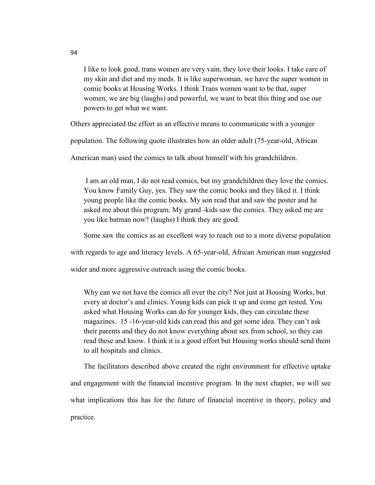I like to look good, trans women are very vain, they love their looks. I take care of my skin and diet and my meds. It is like superwoman, we have the super women in comic books at Housing Works. I think Trans women want to be that, super women, we are big (laughs) and powerful, we want to beat this thing and use our powers to get what we want.

Others appreciated the effort as an effective means to communicate with a younger

population. The following quote illustrates how an older adult (75-year-old, African

American man) used the comics to talk about himself with his grandchildren.

 I am an old man, I do not read comics, but my grandchildren they love the comics. You know Family Guy, yes. They saw the comic books and they liked it. I think young people like the comic books. My son read that and saw the poster and he asked me about this program. My grand -kids saw the comics. They asked me are you like batman now? (laughs) I think they are good.

Some saw the comics as an excellent way to reach out to a more diverse population

with regards to age and literacy levels. A 65-year-old, African American man suggested

wider and more aggressive outreach using the comic books.

Why can we not have the comics all over the city? Not just at Housing Works, but every at doctor's and clinics. Young kids can pick it up and come get tested. You asked what Housing Works can do for younger kids, they can circulate these magazines. 15 -16-year-old kids can read this and get some idea. They can't ask their parents and they do not know everything about sex from school, so they can read these and know. I think it is a good effort but Housing works should send them to all hospitals and clinics.

The facilitators described above created the right environment for effective uptake and engagement with the financial incentive program. In the next chapter, we will see what implications this has for the future of financial incentive in theory, policy and practice.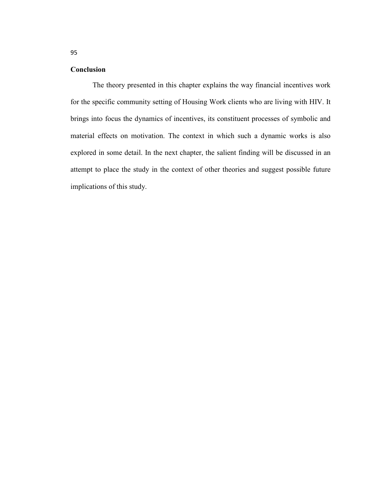## **Conclusion**

The theory presented in this chapter explains the way financial incentives work for the specific community setting of Housing Work clients who are living with HIV. It brings into focus the dynamics of incentives, its constituent processes of symbolic and material effects on motivation. The context in which such a dynamic works is also explored in some detail. In the next chapter, the salient finding will be discussed in an attempt to place the study in the context of other theories and suggest possible future implications of this study.

95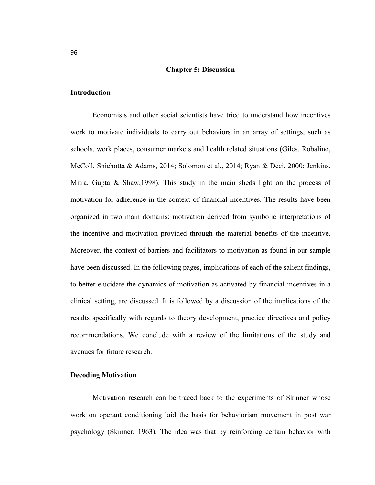#### **Chapter 5: Discussion**

#### **Introduction**

Economists and other social scientists have tried to understand how incentives work to motivate individuals to carry out behaviors in an array of settings, such as schools, work places, consumer markets and health related situations (Giles, Robalino, McColl, Sniehotta & Adams, 2014; Solomon et al., 2014; Ryan & Deci, 2000; Jenkins, Mitra, Gupta & Shaw,1998). This study in the main sheds light on the process of motivation for adherence in the context of financial incentives. The results have been organized in two main domains: motivation derived from symbolic interpretations of the incentive and motivation provided through the material benefits of the incentive. Moreover, the context of barriers and facilitators to motivation as found in our sample have been discussed. In the following pages, implications of each of the salient findings, to better elucidate the dynamics of motivation as activated by financial incentives in a clinical setting, are discussed. It is followed by a discussion of the implications of the results specifically with regards to theory development, practice directives and policy recommendations. We conclude with a review of the limitations of the study and avenues for future research.

#### **Decoding Motivation**

Motivation research can be traced back to the experiments of Skinner whose work on operant conditioning laid the basis for behaviorism movement in post war psychology (Skinner, 1963). The idea was that by reinforcing certain behavior with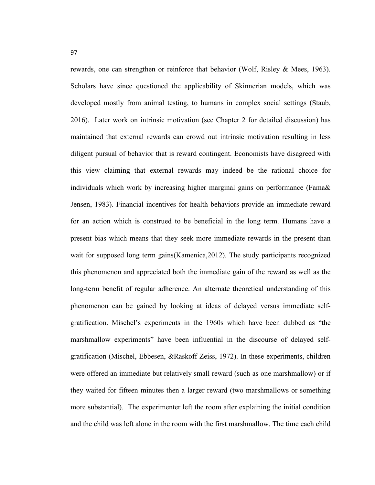rewards, one can strengthen or reinforce that behavior (Wolf, Risley & Mees, 1963). Scholars have since questioned the applicability of Skinnerian models, which was developed mostly from animal testing, to humans in complex social settings (Staub, 2016). Later work on intrinsic motivation (see Chapter 2 for detailed discussion) has maintained that external rewards can crowd out intrinsic motivation resulting in less diligent pursual of behavior that is reward contingent. Economists have disagreed with this view claiming that external rewards may indeed be the rational choice for individuals which work by increasing higher marginal gains on performance (Fama& Jensen, 1983). Financial incentives for health behaviors provide an immediate reward for an action which is construed to be beneficial in the long term. Humans have a present bias which means that they seek more immediate rewards in the present than wait for supposed long term gains(Kamenica,2012). The study participants recognized this phenomenon and appreciated both the immediate gain of the reward as well as the long-term benefit of regular adherence. An alternate theoretical understanding of this phenomenon can be gained by looking at ideas of delayed versus immediate selfgratification. Mischel's experiments in the 1960s which have been dubbed as "the marshmallow experiments" have been influential in the discourse of delayed selfgratification (Mischel, Ebbesen, &Raskoff Zeiss, 1972). In these experiments, children were offered an immediate but relatively small reward (such as one marshmallow) or if they waited for fifteen minutes then a larger reward (two marshmallows or something more substantial). The experimenter left the room after explaining the initial condition and the child was left alone in the room with the first marshmallow. The time each child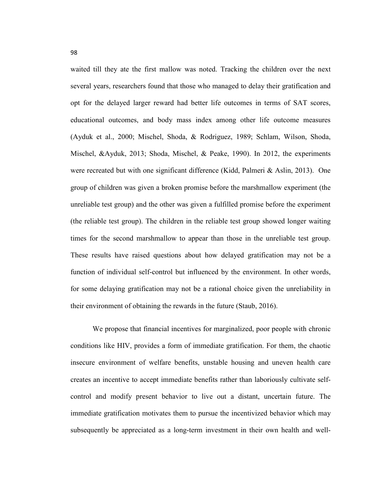waited till they ate the first mallow was noted. Tracking the children over the next several years, researchers found that those who managed to delay their gratification and opt for the delayed larger reward had better life outcomes in terms of SAT scores, educational outcomes, and body mass index among other life outcome measures (Ayduk et al., 2000; Mischel, Shoda, & Rodriguez, 1989; Schlam, Wilson, Shoda, Mischel, &Ayduk, 2013; Shoda, Mischel, & Peake, 1990). In 2012, the experiments were recreated but with one significant difference (Kidd, Palmeri & Aslin, 2013). One group of children was given a broken promise before the marshmallow experiment (the unreliable test group) and the other was given a fulfilled promise before the experiment (the reliable test group). The children in the reliable test group showed longer waiting times for the second marshmallow to appear than those in the unreliable test group. These results have raised questions about how delayed gratification may not be a function of individual self-control but influenced by the environment. In other words, for some delaying gratification may not be a rational choice given the unreliability in their environment of obtaining the rewards in the future (Staub, 2016).

We propose that financial incentives for marginalized, poor people with chronic conditions like HIV, provides a form of immediate gratification. For them, the chaotic insecure environment of welfare benefits, unstable housing and uneven health care creates an incentive to accept immediate benefits rather than laboriously cultivate selfcontrol and modify present behavior to live out a distant, uncertain future. The immediate gratification motivates them to pursue the incentivized behavior which may subsequently be appreciated as a long-term investment in their own health and well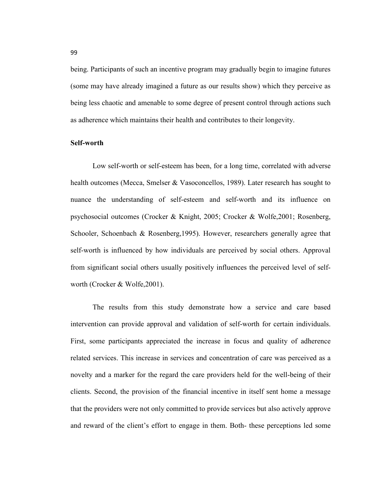being. Participants of such an incentive program may gradually begin to imagine futures (some may have already imagined a future as our results show) which they perceive as being less chaotic and amenable to some degree of present control through actions such as adherence which maintains their health and contributes to their longevity.

#### **Self-worth**

Low self-worth or self-esteem has been, for a long time, correlated with adverse health outcomes (Mecca, Smelser & Vasoconcellos, 1989). Later research has sought to nuance the understanding of self-esteem and self-worth and its influence on psychosocial outcomes (Crocker & Knight, 2005; Crocker & Wolfe,2001; Rosenberg, Schooler, Schoenbach & Rosenberg,1995). However, researchers generally agree that self-worth is influenced by how individuals are perceived by social others. Approval from significant social others usually positively influences the perceived level of selfworth (Crocker & Wolfe,2001).

The results from this study demonstrate how a service and care based intervention can provide approval and validation of self-worth for certain individuals. First, some participants appreciated the increase in focus and quality of adherence related services. This increase in services and concentration of care was perceived as a novelty and a marker for the regard the care providers held for the well-being of their clients. Second, the provision of the financial incentive in itself sent home a message that the providers were not only committed to provide services but also actively approve and reward of the client's effort to engage in them. Both- these perceptions led some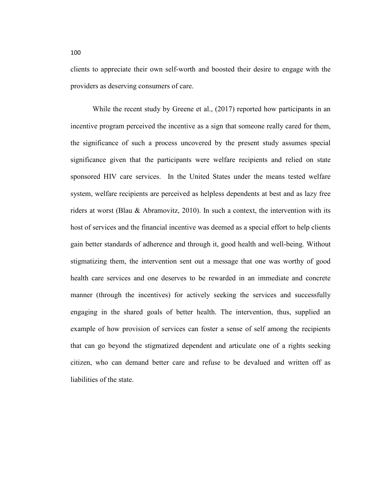clients to appreciate their own self-worth and boosted their desire to engage with the providers as deserving consumers of care.

While the recent study by Greene et al., (2017) reported how participants in an incentive program perceived the incentive as a sign that someone really cared for them, the significance of such a process uncovered by the present study assumes special significance given that the participants were welfare recipients and relied on state sponsored HIV care services. In the United States under the means tested welfare system, welfare recipients are perceived as helpless dependents at best and as lazy free riders at worst (Blau & Abramovitz, 2010). In such a context, the intervention with its host of services and the financial incentive was deemed as a special effort to help clients gain better standards of adherence and through it, good health and well-being. Without stigmatizing them, the intervention sent out a message that one was worthy of good health care services and one deserves to be rewarded in an immediate and concrete manner (through the incentives) for actively seeking the services and successfully engaging in the shared goals of better health. The intervention, thus, supplied an example of how provision of services can foster a sense of self among the recipients that can go beyond the stigmatized dependent and articulate one of a rights seeking citizen, who can demand better care and refuse to be devalued and written off as liabilities of the state.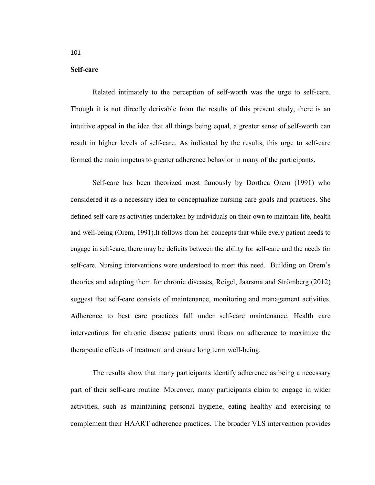#### **Self-care**

Related intimately to the perception of self-worth was the urge to self-care. Though it is not directly derivable from the results of this present study, there is an intuitive appeal in the idea that all things being equal, a greater sense of self-worth can result in higher levels of self-care. As indicated by the results, this urge to self-care formed the main impetus to greater adherence behavior in many of the participants.

Self-care has been theorized most famously by Dorthea Orem (1991) who considered it as a necessary idea to conceptualize nursing care goals and practices. She defined self-care as activities undertaken by individuals on their own to maintain life, health and well-being (Orem, 1991).It follows from her concepts that while every patient needs to engage in self-care, there may be deficits between the ability for self-care and the needs for self-care. Nursing interventions were understood to meet this need. Building on Orem's theories and adapting them for chronic diseases, Reigel, Jaarsma and Strömberg (2012) suggest that self-care consists of maintenance, monitoring and management activities. Adherence to best care practices fall under self-care maintenance. Health care interventions for chronic disease patients must focus on adherence to maximize the therapeutic effects of treatment and ensure long term well-being.

The results show that many participants identify adherence as being a necessary part of their self-care routine. Moreover, many participants claim to engage in wider activities, such as maintaining personal hygiene, eating healthy and exercising to complement their HAART adherence practices. The broader VLS intervention provides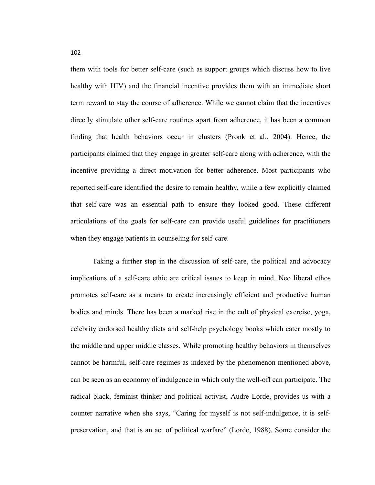them with tools for better self-care (such as support groups which discuss how to live healthy with HIV) and the financial incentive provides them with an immediate short term reward to stay the course of adherence. While we cannot claim that the incentives directly stimulate other self-care routines apart from adherence, it has been a common finding that health behaviors occur in clusters (Pronk et al., 2004). Hence, the participants claimed that they engage in greater self-care along with adherence, with the incentive providing a direct motivation for better adherence. Most participants who reported self-care identified the desire to remain healthy, while a few explicitly claimed that self-care was an essential path to ensure they looked good. These different articulations of the goals for self-care can provide useful guidelines for practitioners when they engage patients in counseling for self-care.

Taking a further step in the discussion of self-care, the political and advocacy implications of a self-care ethic are critical issues to keep in mind. Neo liberal ethos promotes self-care as a means to create increasingly efficient and productive human bodies and minds. There has been a marked rise in the cult of physical exercise, yoga, celebrity endorsed healthy diets and self-help psychology books which cater mostly to the middle and upper middle classes. While promoting healthy behaviors in themselves cannot be harmful, self-care regimes as indexed by the phenomenon mentioned above, can be seen as an economy of indulgence in which only the well-off can participate. The radical black, feminist thinker and political activist, Audre Lorde, provides us with a counter narrative when she says, "Caring for myself is not self-indulgence, it is selfpreservation, and that is an act of political warfare" (Lorde, 1988). Some consider the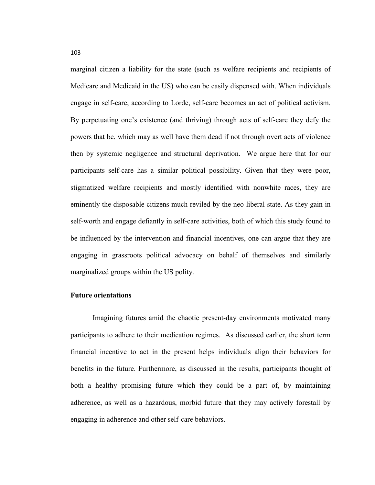marginal citizen a liability for the state (such as welfare recipients and recipients of Medicare and Medicaid in the US) who can be easily dispensed with. When individuals engage in self-care, according to Lorde, self-care becomes an act of political activism. By perpetuating one's existence (and thriving) through acts of self-care they defy the powers that be, which may as well have them dead if not through overt acts of violence then by systemic negligence and structural deprivation. We argue here that for our participants self-care has a similar political possibility. Given that they were poor, stigmatized welfare recipients and mostly identified with nonwhite races, they are eminently the disposable citizens much reviled by the neo liberal state. As they gain in self-worth and engage defiantly in self-care activities, both of which this study found to be influenced by the intervention and financial incentives, one can argue that they are engaging in grassroots political advocacy on behalf of themselves and similarly marginalized groups within the US polity.

#### **Future orientations**

Imagining futures amid the chaotic present-day environments motivated many participants to adhere to their medication regimes. As discussed earlier, the short term financial incentive to act in the present helps individuals align their behaviors for benefits in the future. Furthermore, as discussed in the results, participants thought of both a healthy promising future which they could be a part of, by maintaining adherence, as well as a hazardous, morbid future that they may actively forestall by engaging in adherence and other self-care behaviors.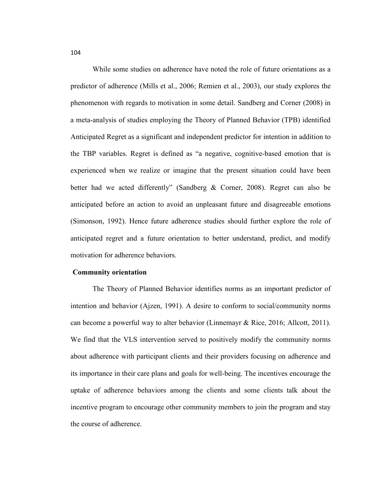While some studies on adherence have noted the role of future orientations as a predictor of adherence (Mills et al., 2006; Remien et al., 2003), our study explores the phenomenon with regards to motivation in some detail. Sandberg and Corner (2008) in a meta-analysis of studies employing the Theory of Planned Behavior (TPB) identified Anticipated Regret as a significant and independent predictor for intention in addition to the TBP variables. Regret is defined as "a negative, cognitive-based emotion that is experienced when we realize or imagine that the present situation could have been better had we acted differently" (Sandberg & Corner, 2008). Regret can also be anticipated before an action to avoid an unpleasant future and disagreeable emotions (Simonson, 1992). Hence future adherence studies should further explore the role of anticipated regret and a future orientation to better understand, predict, and modify motivation for adherence behaviors.

#### **Community orientation**

The Theory of Planned Behavior identifies norms as an important predictor of intention and behavior (Ajzen, 1991). A desire to conform to social/community norms can become a powerful way to alter behavior (Linnemayr & Rice, 2016; Allcott, 2011). We find that the VLS intervention served to positively modify the community norms about adherence with participant clients and their providers focusing on adherence and its importance in their care plans and goals for well-being. The incentives encourage the uptake of adherence behaviors among the clients and some clients talk about the incentive program to encourage other community members to join the program and stay the course of adherence.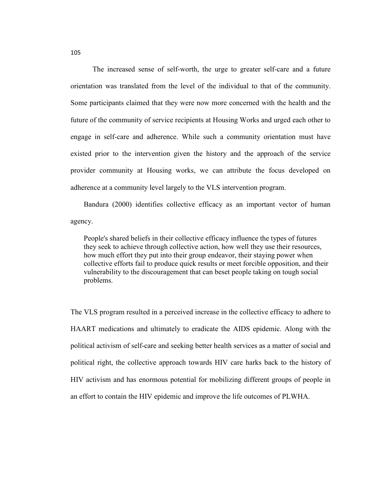The increased sense of self-worth, the urge to greater self-care and a future orientation was translated from the level of the individual to that of the community. Some participants claimed that they were now more concerned with the health and the future of the community of service recipients at Housing Works and urged each other to engage in self-care and adherence. While such a community orientation must have existed prior to the intervention given the history and the approach of the service provider community at Housing works, we can attribute the focus developed on adherence at a community level largely to the VLS intervention program.

Bandura (2000) identifies collective efficacy as an important vector of human agency.

People's shared beliefs in their collective efficacy influence the types of futures they seek to achieve through collective action, how well they use their resources, how much effort they put into their group endeavor, their staying power when collective efforts fail to produce quick results or meet forcible opposition, and their vulnerability to the discouragement that can beset people taking on tough social problems.

The VLS program resulted in a perceived increase in the collective efficacy to adhere to HAART medications and ultimately to eradicate the AIDS epidemic. Along with the political activism of self-care and seeking better health services as a matter of social and political right, the collective approach towards HIV care harks back to the history of HIV activism and has enormous potential for mobilizing different groups of people in an effort to contain the HIV epidemic and improve the life outcomes of PLWHA.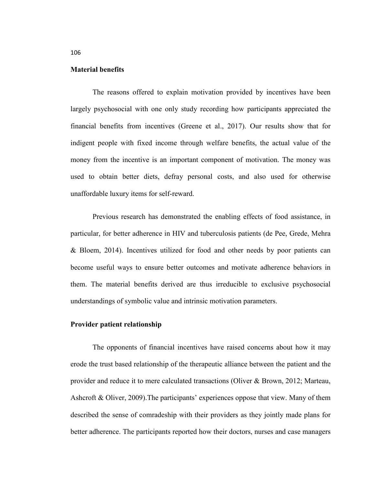#### **Material benefits**

The reasons offered to explain motivation provided by incentives have been largely psychosocial with one only study recording how participants appreciated the financial benefits from incentives (Greene et al., 2017). Our results show that for indigent people with fixed income through welfare benefits, the actual value of the money from the incentive is an important component of motivation. The money was used to obtain better diets, defray personal costs, and also used for otherwise unaffordable luxury items for self-reward.

Previous research has demonstrated the enabling effects of food assistance, in particular, for better adherence in HIV and tuberculosis patients (de Pee, Grede, Mehra & Bloem, 2014). Incentives utilized for food and other needs by poor patients can become useful ways to ensure better outcomes and motivate adherence behaviors in them. The material benefits derived are thus irreducible to exclusive psychosocial understandings of symbolic value and intrinsic motivation parameters.

### **Provider patient relationship**

The opponents of financial incentives have raised concerns about how it may erode the trust based relationship of the therapeutic alliance between the patient and the provider and reduce it to mere calculated transactions (Oliver & Brown, 2012; Marteau, Ashcroft & Oliver, 2009).The participants' experiences oppose that view. Many of them described the sense of comradeship with their providers as they jointly made plans for better adherence. The participants reported how their doctors, nurses and case managers

106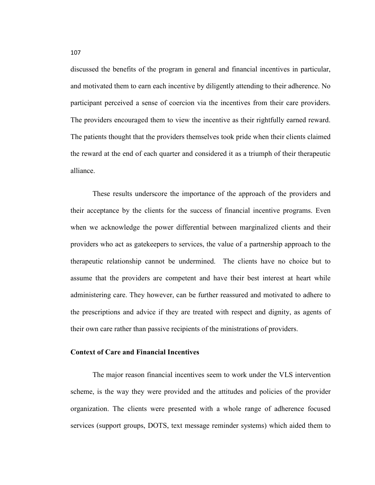discussed the benefits of the program in general and financial incentives in particular, and motivated them to earn each incentive by diligently attending to their adherence. No participant perceived a sense of coercion via the incentives from their care providers. The providers encouraged them to view the incentive as their rightfully earned reward. The patients thought that the providers themselves took pride when their clients claimed the reward at the end of each quarter and considered it as a triumph of their therapeutic alliance.

These results underscore the importance of the approach of the providers and their acceptance by the clients for the success of financial incentive programs. Even when we acknowledge the power differential between marginalized clients and their providers who act as gatekeepers to services, the value of a partnership approach to the therapeutic relationship cannot be undermined. The clients have no choice but to assume that the providers are competent and have their best interest at heart while administering care. They however, can be further reassured and motivated to adhere to the prescriptions and advice if they are treated with respect and dignity, as agents of their own care rather than passive recipients of the ministrations of providers.

## **Context of Care and Financial Incentives**

The major reason financial incentives seem to work under the VLS intervention scheme, is the way they were provided and the attitudes and policies of the provider organization. The clients were presented with a whole range of adherence focused services (support groups, DOTS, text message reminder systems) which aided them to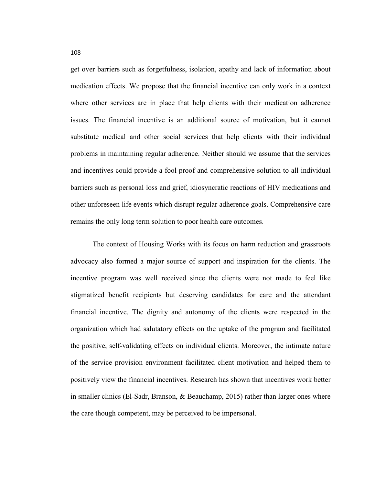get over barriers such as forgetfulness, isolation, apathy and lack of information about medication effects. We propose that the financial incentive can only work in a context where other services are in place that help clients with their medication adherence issues. The financial incentive is an additional source of motivation, but it cannot substitute medical and other social services that help clients with their individual problems in maintaining regular adherence. Neither should we assume that the services and incentives could provide a fool proof and comprehensive solution to all individual barriers such as personal loss and grief, idiosyncratic reactions of HIV medications and other unforeseen life events which disrupt regular adherence goals. Comprehensive care remains the only long term solution to poor health care outcomes.

The context of Housing Works with its focus on harm reduction and grassroots advocacy also formed a major source of support and inspiration for the clients. The incentive program was well received since the clients were not made to feel like stigmatized benefit recipients but deserving candidates for care and the attendant financial incentive. The dignity and autonomy of the clients were respected in the organization which had salutatory effects on the uptake of the program and facilitated the positive, self-validating effects on individual clients. Moreover, the intimate nature of the service provision environment facilitated client motivation and helped them to positively view the financial incentives. Research has shown that incentives work better in smaller clinics (El-Sadr, Branson, & Beauchamp, 2015) rather than larger ones where the care though competent, may be perceived to be impersonal.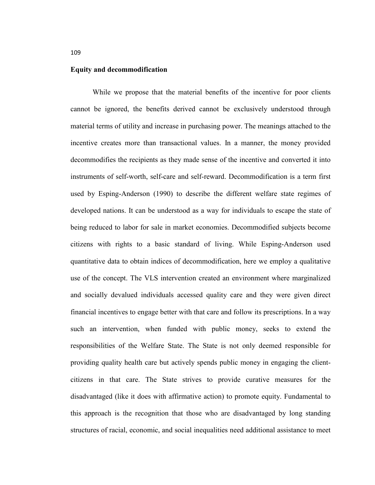#### **Equity and decommodification**

While we propose that the material benefits of the incentive for poor clients cannot be ignored, the benefits derived cannot be exclusively understood through material terms of utility and increase in purchasing power. The meanings attached to the incentive creates more than transactional values. In a manner, the money provided decommodifies the recipients as they made sense of the incentive and converted it into instruments of self-worth, self-care and self-reward. Decommodification is a term first used by Esping-Anderson (1990) to describe the different welfare state regimes of developed nations. It can be understood as a way for individuals to escape the state of being reduced to labor for sale in market economies. Decommodified subjects become citizens with rights to a basic standard of living. While Esping-Anderson used quantitative data to obtain indices of decommodification, here we employ a qualitative use of the concept. The VLS intervention created an environment where marginalized and socially devalued individuals accessed quality care and they were given direct financial incentives to engage better with that care and follow its prescriptions. In a way such an intervention, when funded with public money, seeks to extend the responsibilities of the Welfare State. The State is not only deemed responsible for providing quality health care but actively spends public money in engaging the clientcitizens in that care. The State strives to provide curative measures for the disadvantaged (like it does with affirmative action) to promote equity. Fundamental to this approach is the recognition that those who are disadvantaged by long standing structures of racial, economic, and social inequalities need additional assistance to meet

109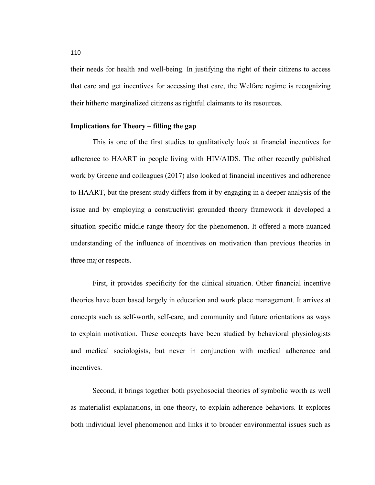their needs for health and well-being. In justifying the right of their citizens to access that care and get incentives for accessing that care, the Welfare regime is recognizing their hitherto marginalized citizens as rightful claimants to its resources.

#### **Implications for Theory – filling the gap**

This is one of the first studies to qualitatively look at financial incentives for adherence to HAART in people living with HIV/AIDS. The other recently published work by Greene and colleagues (2017) also looked at financial incentives and adherence to HAART, but the present study differs from it by engaging in a deeper analysis of the issue and by employing a constructivist grounded theory framework it developed a situation specific middle range theory for the phenomenon. It offered a more nuanced understanding of the influence of incentives on motivation than previous theories in three major respects.

First, it provides specificity for the clinical situation. Other financial incentive theories have been based largely in education and work place management. It arrives at concepts such as self-worth, self-care, and community and future orientations as ways to explain motivation. These concepts have been studied by behavioral physiologists and medical sociologists, but never in conjunction with medical adherence and incentives.

Second, it brings together both psychosocial theories of symbolic worth as well as materialist explanations, in one theory, to explain adherence behaviors. It explores both individual level phenomenon and links it to broader environmental issues such as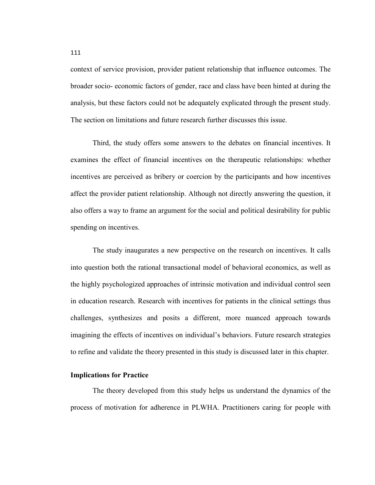context of service provision, provider patient relationship that influence outcomes. The broader socio- economic factors of gender, race and class have been hinted at during the analysis, but these factors could not be adequately explicated through the present study. The section on limitations and future research further discusses this issue.

Third, the study offers some answers to the debates on financial incentives. It examines the effect of financial incentives on the therapeutic relationships: whether incentives are perceived as bribery or coercion by the participants and how incentives affect the provider patient relationship. Although not directly answering the question, it also offers a way to frame an argument for the social and political desirability for public spending on incentives.

The study inaugurates a new perspective on the research on incentives. It calls into question both the rational transactional model of behavioral economics, as well as the highly psychologized approaches of intrinsic motivation and individual control seen in education research. Research with incentives for patients in the clinical settings thus challenges, synthesizes and posits a different, more nuanced approach towards imagining the effects of incentives on individual's behaviors. Future research strategies to refine and validate the theory presented in this study is discussed later in this chapter.

#### **Implications for Practice**

The theory developed from this study helps us understand the dynamics of the process of motivation for adherence in PLWHA. Practitioners caring for people with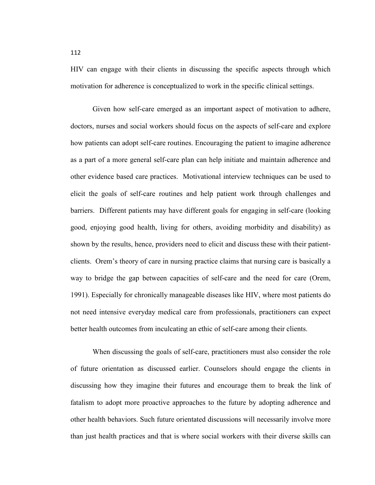HIV can engage with their clients in discussing the specific aspects through which motivation for adherence is conceptualized to work in the specific clinical settings.

Given how self-care emerged as an important aspect of motivation to adhere, doctors, nurses and social workers should focus on the aspects of self-care and explore how patients can adopt self-care routines. Encouraging the patient to imagine adherence as a part of a more general self-care plan can help initiate and maintain adherence and other evidence based care practices. Motivational interview techniques can be used to elicit the goals of self-care routines and help patient work through challenges and barriers. Different patients may have different goals for engaging in self-care (looking good, enjoying good health, living for others, avoiding morbidity and disability) as shown by the results, hence, providers need to elicit and discuss these with their patientclients. Orem's theory of care in nursing practice claims that nursing care is basically a way to bridge the gap between capacities of self-care and the need for care (Orem, 1991). Especially for chronically manageable diseases like HIV, where most patients do not need intensive everyday medical care from professionals, practitioners can expect better health outcomes from inculcating an ethic of self-care among their clients.

When discussing the goals of self-care, practitioners must also consider the role of future orientation as discussed earlier. Counselors should engage the clients in discussing how they imagine their futures and encourage them to break the link of fatalism to adopt more proactive approaches to the future by adopting adherence and other health behaviors. Such future orientated discussions will necessarily involve more than just health practices and that is where social workers with their diverse skills can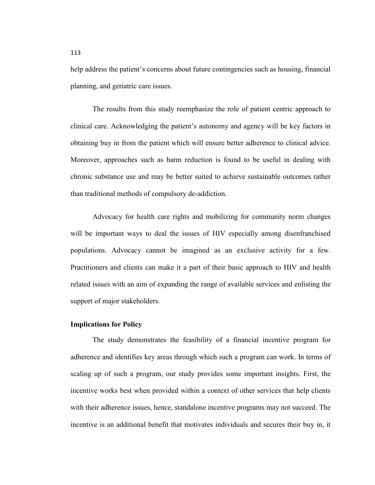help address the patient's concerns about future contingencies such as housing, financial planning, and geriatric care issues.

The results from this study reemphasize the role of patient centric approach to clinical care. Acknowledging the patient's autonomy and agency will be key factors in obtaining buy in from the patient which will ensure better adherence to clinical advice. Moreover, approaches such as harm reduction is found to be useful in dealing with chronic substance use and may be better suited to achieve sustainable outcomes rather than traditional methods of compulsory de-addiction.

Advocacy for health care rights and mobilizing for community norm changes will be important ways to deal the issues of HIV especially among disenfranchised populations. Advocacy cannot be imagined as an exclusive activity for a few. Practitioners and clients can make it a part of their basic approach to HIV and health related issues with an aim of expanding the range of available services and enlisting the support of major stakeholders.

## **Implications for Policy**

The study demonstrates the feasibility of a financial incentive program for adherence and identifies key areas through which such a program can work. In terms of scaling up of such a program, our study provides some important insights. First, the incentive works best when provided within a context of other services that help clients with their adherence issues, hence, standalone incentive programs may not succeed. The incentive is an additional benefit that motivates individuals and secures their buy in, it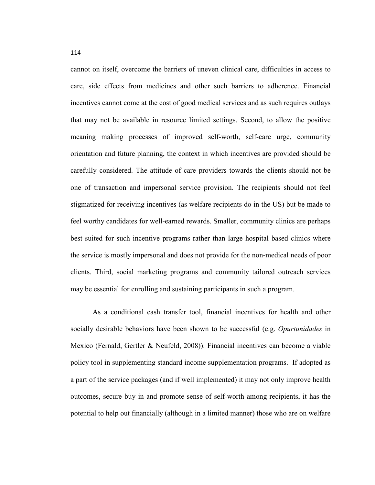cannot on itself, overcome the barriers of uneven clinical care, difficulties in access to care, side effects from medicines and other such barriers to adherence. Financial incentives cannot come at the cost of good medical services and as such requires outlays that may not be available in resource limited settings. Second, to allow the positive meaning making processes of improved self-worth, self-care urge, community orientation and future planning, the context in which incentives are provided should be carefully considered. The attitude of care providers towards the clients should not be one of transaction and impersonal service provision. The recipients should not feel stigmatized for receiving incentives (as welfare recipients do in the US) but be made to feel worthy candidates for well-earned rewards. Smaller, community clinics are perhaps best suited for such incentive programs rather than large hospital based clinics where the service is mostly impersonal and does not provide for the non-medical needs of poor clients. Third, social marketing programs and community tailored outreach services may be essential for enrolling and sustaining participants in such a program.

As a conditional cash transfer tool, financial incentives for health and other socially desirable behaviors have been shown to be successful (e.g. *Opurtunidades* in Mexico (Fernald, Gertler & Neufeld, 2008)). Financial incentives can become a viable policy tool in supplementing standard income supplementation programs. If adopted as a part of the service packages (and if well implemented) it may not only improve health outcomes, secure buy in and promote sense of self-worth among recipients, it has the potential to help out financially (although in a limited manner) those who are on welfare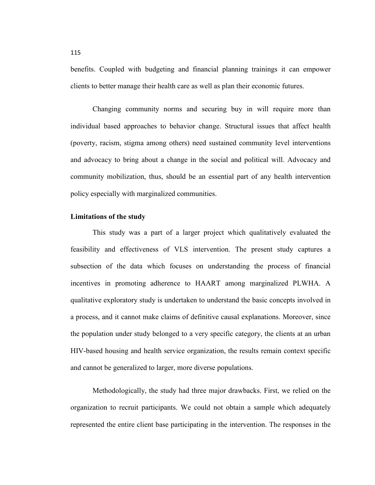benefits. Coupled with budgeting and financial planning trainings it can empower clients to better manage their health care as well as plan their economic futures.

Changing community norms and securing buy in will require more than individual based approaches to behavior change. Structural issues that affect health (poverty, racism, stigma among others) need sustained community level interventions and advocacy to bring about a change in the social and political will. Advocacy and community mobilization, thus, should be an essential part of any health intervention policy especially with marginalized communities.

#### **Limitations of the study**

This study was a part of a larger project which qualitatively evaluated the feasibility and effectiveness of VLS intervention. The present study captures a subsection of the data which focuses on understanding the process of financial incentives in promoting adherence to HAART among marginalized PLWHA. A qualitative exploratory study is undertaken to understand the basic concepts involved in a process, and it cannot make claims of definitive causal explanations. Moreover, since the population under study belonged to a very specific category, the clients at an urban HIV-based housing and health service organization, the results remain context specific and cannot be generalized to larger, more diverse populations.

Methodologically, the study had three major drawbacks. First, we relied on the organization to recruit participants. We could not obtain a sample which adequately represented the entire client base participating in the intervention. The responses in the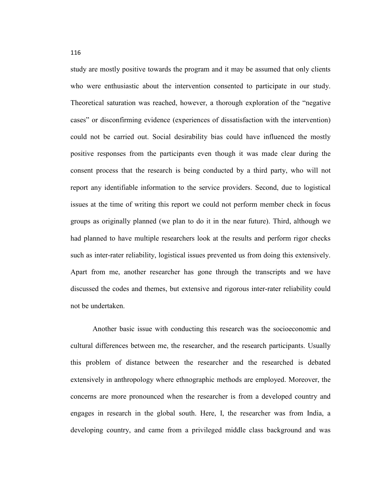study are mostly positive towards the program and it may be assumed that only clients who were enthusiastic about the intervention consented to participate in our study. Theoretical saturation was reached, however, a thorough exploration of the "negative cases" or disconfirming evidence (experiences of dissatisfaction with the intervention) could not be carried out. Social desirability bias could have influenced the mostly positive responses from the participants even though it was made clear during the consent process that the research is being conducted by a third party, who will not report any identifiable information to the service providers. Second, due to logistical issues at the time of writing this report we could not perform member check in focus groups as originally planned (we plan to do it in the near future). Third, although we had planned to have multiple researchers look at the results and perform rigor checks such as inter-rater reliability, logistical issues prevented us from doing this extensively. Apart from me, another researcher has gone through the transcripts and we have discussed the codes and themes, but extensive and rigorous inter-rater reliability could not be undertaken.

Another basic issue with conducting this research was the socioeconomic and cultural differences between me, the researcher, and the research participants. Usually this problem of distance between the researcher and the researched is debated extensively in anthropology where ethnographic methods are employed. Moreover, the concerns are more pronounced when the researcher is from a developed country and engages in research in the global south. Here, I, the researcher was from India, a developing country, and came from a privileged middle class background and was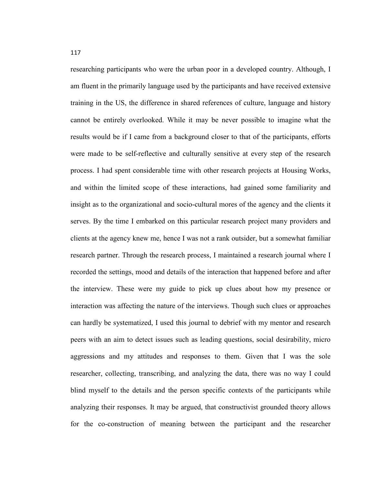researching participants who were the urban poor in a developed country. Although, I am fluent in the primarily language used by the participants and have received extensive training in the US, the difference in shared references of culture, language and history cannot be entirely overlooked. While it may be never possible to imagine what the results would be if I came from a background closer to that of the participants, efforts were made to be self-reflective and culturally sensitive at every step of the research process. I had spent considerable time with other research projects at Housing Works, and within the limited scope of these interactions, had gained some familiarity and insight as to the organizational and socio-cultural mores of the agency and the clients it serves. By the time I embarked on this particular research project many providers and clients at the agency knew me, hence I was not a rank outsider, but a somewhat familiar research partner. Through the research process, I maintained a research journal where I recorded the settings, mood and details of the interaction that happened before and after the interview. These were my guide to pick up clues about how my presence or interaction was affecting the nature of the interviews. Though such clues or approaches can hardly be systematized, I used this journal to debrief with my mentor and research peers with an aim to detect issues such as leading questions, social desirability, micro aggressions and my attitudes and responses to them. Given that I was the sole researcher, collecting, transcribing, and analyzing the data, there was no way I could blind myself to the details and the person specific contexts of the participants while analyzing their responses. It may be argued, that constructivist grounded theory allows for the co-construction of meaning between the participant and the researcher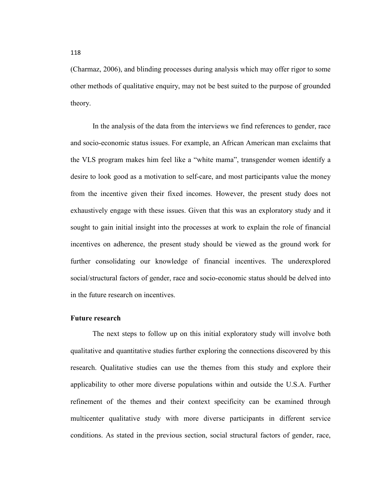(Charmaz, 2006), and blinding processes during analysis which may offer rigor to some other methods of qualitative enquiry, may not be best suited to the purpose of grounded theory.

In the analysis of the data from the interviews we find references to gender, race and socio-economic status issues. For example, an African American man exclaims that the VLS program makes him feel like a "white mama", transgender women identify a desire to look good as a motivation to self-care, and most participants value the money from the incentive given their fixed incomes. However, the present study does not exhaustively engage with these issues. Given that this was an exploratory study and it sought to gain initial insight into the processes at work to explain the role of financial incentives on adherence, the present study should be viewed as the ground work for further consolidating our knowledge of financial incentives. The underexplored social/structural factors of gender, race and socio-economic status should be delved into in the future research on incentives.

#### **Future research**

The next steps to follow up on this initial exploratory study will involve both qualitative and quantitative studies further exploring the connections discovered by this research. Qualitative studies can use the themes from this study and explore their applicability to other more diverse populations within and outside the U.S.A. Further refinement of the themes and their context specificity can be examined through multicenter qualitative study with more diverse participants in different service conditions. As stated in the previous section, social structural factors of gender, race,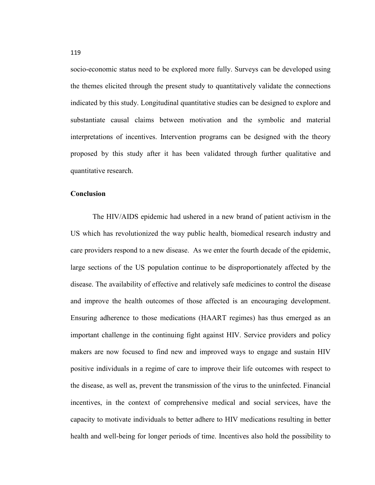socio-economic status need to be explored more fully. Surveys can be developed using the themes elicited through the present study to quantitatively validate the connections indicated by this study. Longitudinal quantitative studies can be designed to explore and substantiate causal claims between motivation and the symbolic and material interpretations of incentives. Intervention programs can be designed with the theory proposed by this study after it has been validated through further qualitative and quantitative research.

#### **Conclusion**

The HIV/AIDS epidemic had ushered in a new brand of patient activism in the US which has revolutionized the way public health, biomedical research industry and care providers respond to a new disease. As we enter the fourth decade of the epidemic, large sections of the US population continue to be disproportionately affected by the disease. The availability of effective and relatively safe medicines to control the disease and improve the health outcomes of those affected is an encouraging development. Ensuring adherence to those medications (HAART regimes) has thus emerged as an important challenge in the continuing fight against HIV. Service providers and policy makers are now focused to find new and improved ways to engage and sustain HIV positive individuals in a regime of care to improve their life outcomes with respect to the disease, as well as, prevent the transmission of the virus to the uninfected. Financial incentives, in the context of comprehensive medical and social services, have the capacity to motivate individuals to better adhere to HIV medications resulting in better health and well-being for longer periods of time. Incentives also hold the possibility to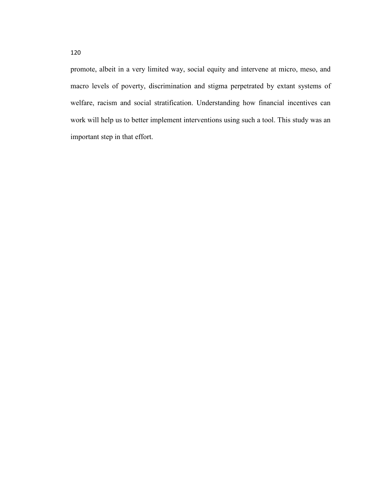promote, albeit in a very limited way, social equity and intervene at micro, meso, and macro levels of poverty, discrimination and stigma perpetrated by extant systems of welfare, racism and social stratification. Understanding how financial incentives can work will help us to better implement interventions using such a tool. This study was an important step in that effort.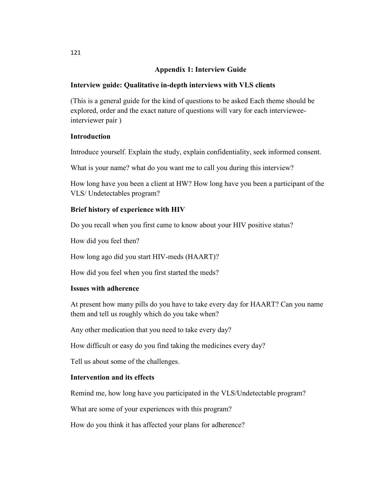# **Appendix 1: Interview Guide**

## **Interview guide: Qualitative in-depth interviews with VLS clients**

(This is a general guide for the kind of questions to be asked Each theme should be explored, order and the exact nature of questions will vary for each intervieweeinterviewer pair )

## **Introduction**

Introduce yourself. Explain the study, explain confidentiality, seek informed consent.

What is your name? what do you want me to call you during this interview?

How long have you been a client at HW? How long have you been a participant of the VLS/ Undetectables program?

# **Brief history of experience with HIV**

Do you recall when you first came to know about your HIV positive status?

How did you feel then?

How long ago did you start HIV-meds (HAART)?

How did you feel when you first started the meds?

## **Issues with adherence**

At present how many pills do you have to take every day for HAART? Can you name them and tell us roughly which do you take when?

Any other medication that you need to take every day?

How difficult or easy do you find taking the medicines every day?

Tell us about some of the challenges.

# **Intervention and its effects**

Remind me, how long have you participated in the VLS/Undetectable program?

What are some of your experiences with this program?

How do you think it has affected your plans for adherence?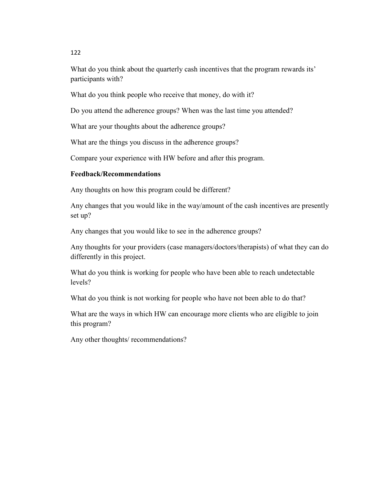What do you think about the quarterly cash incentives that the program rewards its' participants with?

What do you think people who receive that money, do with it?

Do you attend the adherence groups? When was the last time you attended?

What are your thoughts about the adherence groups?

What are the things you discuss in the adherence groups?

Compare your experience with HW before and after this program.

# **Feedback/Recommendations**

Any thoughts on how this program could be different?

Any changes that you would like in the way/amount of the cash incentives are presently set up?

Any changes that you would like to see in the adherence groups?

Any thoughts for your providers (case managers/doctors/therapists) of what they can do differently in this project.

What do you think is working for people who have been able to reach undetectable levels?

What do you think is not working for people who have not been able to do that?

What are the ways in which HW can encourage more clients who are eligible to join this program?

Any other thoughts/ recommendations?

122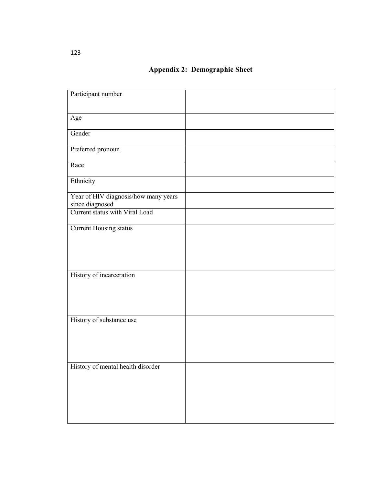# **Appendix 2: Demographic Sheet**

| Participant number                                      |  |
|---------------------------------------------------------|--|
|                                                         |  |
| Age                                                     |  |
|                                                         |  |
| Gender                                                  |  |
| Preferred pronoun                                       |  |
| Race                                                    |  |
| Ethnicity                                               |  |
| Year of HIV diagnosis/how many years<br>since diagnosed |  |
| Current status with Viral Load                          |  |
| <b>Current Housing status</b>                           |  |
|                                                         |  |
|                                                         |  |
|                                                         |  |
| History of incarceration                                |  |
|                                                         |  |
|                                                         |  |
|                                                         |  |
| History of substance use                                |  |
|                                                         |  |
|                                                         |  |
|                                                         |  |
|                                                         |  |
| History of mental health disorder                       |  |
|                                                         |  |
|                                                         |  |
|                                                         |  |
|                                                         |  |
|                                                         |  |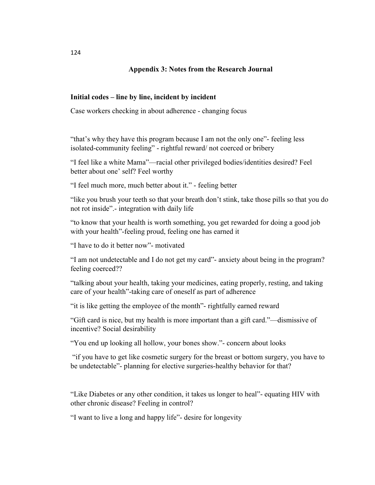## **Appendix 3: Notes from the Research Journal**

## **Initial codes – line by line, incident by incident**

Case workers checking in about adherence - changing focus

"that's why they have this program because I am not the only one"- feeling less isolated-community feeling" - rightful reward/ not coerced or bribery

"I feel like a white Mama"—racial other privileged bodies/identities desired? Feel better about one' self? Feel worthy

"I feel much more, much better about it." - feeling better

"like you brush your teeth so that your breath don't stink, take those pills so that you do not rot inside".- integration with daily life

"to know that your health is worth something, you get rewarded for doing a good job with your health"-feeling proud, feeling one has earned it

"I have to do it better now"- motivated

"I am not undetectable and I do not get my card"- anxiety about being in the program? feeling coerced??

"talking about your health, taking your medicines, eating properly, resting, and taking care of your health"-taking care of oneself as part of adherence

"it is like getting the employee of the month"- rightfully earned reward

"Gift card is nice, but my health is more important than a gift card."—dismissive of incentive? Social desirability

"You end up looking all hollow, your bones show."- concern about looks

 "if you have to get like cosmetic surgery for the breast or bottom surgery, you have to be undetectable"- planning for elective surgeries-healthy behavior for that?

"Like Diabetes or any other condition, it takes us longer to heal"- equating HIV with other chronic disease? Feeling in control?

"I want to live a long and happy life"- desire for longevity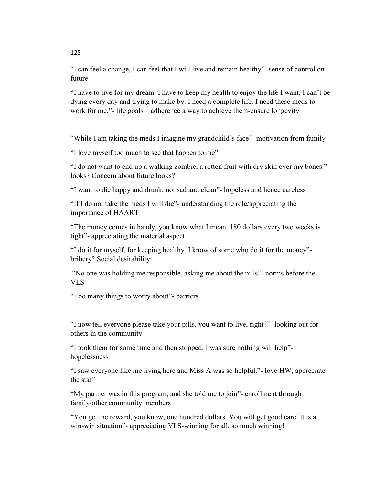"I can feel a change, I can feel that I will live and remain healthy"- sense of control on future

"I have to live for my dream. I have to keep my health to enjoy the life I want, I can't be dying every day and trying to make by. I need a complete life. I need these meds to work for me."- life goals – adherence a way to achieve them-ensure longevity

"While I am taking the meds I imagine my grandchild's face"- motivation from family

"I love myself too much to see that happen to me"

"I do not want to end up a walking zombie, a rotten fruit with dry skin over my bones." looks? Concern about future looks?

"I want to die happy and drunk, not sad and clean"- hopeless and hence careless

"If I do not take the meds I will die"- understanding the role/appreciating the importance of HAART

"The money comes in handy, you know what I mean. 180 dollars every two weeks is tight"- appreciating the material aspect

"I do it for myself, for keeping healthy. I know of some who do it for the money" bribery? Social desirability

 "No one was holding me responsible, asking me about the pills"- norms before the VLS

"Too many things to worry about"- barriers

"I now tell everyone please take your pills, you want to live, right?"- looking out for others in the community

"I took them for some time and then stopped. I was sure nothing will help" hopelessness

"I saw everyone like me living here and Miss A was so helpful."- love HW, appreciate the staff

"My partner was in this program, and she told me to join"- enrollment through family/other community members

"You get the reward, you know, one hundred dollars. You will get good care. It is a win-win situation"- appreciating VLS-winning for all, so much winning!

125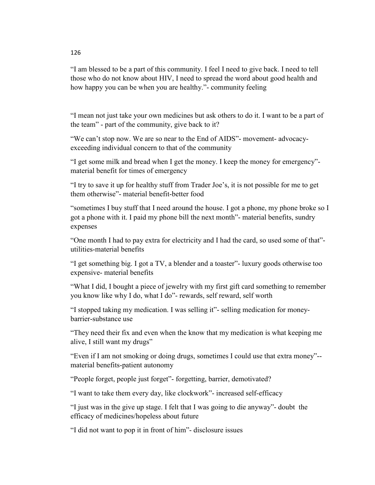"I am blessed to be a part of this community. I feel I need to give back. I need to tell those who do not know about HIV, I need to spread the word about good health and how happy you can be when you are healthy."- community feeling

"I mean not just take your own medicines but ask others to do it. I want to be a part of the team" - part of the community, give back to it?

"We can't stop now. We are so near to the End of AIDS"- movement- advocacyexceeding individual concern to that of the community

"I get some milk and bread when I get the money. I keep the money for emergency" material benefit for times of emergency

"I try to save it up for healthy stuff from Trader Joe's, it is not possible for me to get them otherwise"- material benefit-better food

"sometimes I buy stuff that I need around the house. I got a phone, my phone broke so I got a phone with it. I paid my phone bill the next month"- material benefits, sundry expenses

"One month I had to pay extra for electricity and I had the card, so used some of that" utilities-material benefits

"I get something big. I got a TV, a blender and a toaster"- luxury goods otherwise too expensive- material benefits

"What I did, I bought a piece of jewelry with my first gift card something to remember you know like why I do, what I do"- rewards, self reward, self worth

"I stopped taking my medication. I was selling it"- selling medication for moneybarrier-substance use

"They need their fix and even when the know that my medication is what keeping me alive, I still want my drugs"

"Even if I am not smoking or doing drugs, sometimes I could use that extra money"- material benefits-patient autonomy

"People forget, people just forget"- forgetting, barrier, demotivated?

"I want to take them every day, like clockwork"- increased self-efficacy

"I just was in the give up stage. I felt that I was going to die anyway"- doubt the efficacy of medicines/hopeless about future

"I did not want to pop it in front of him"- disclosure issues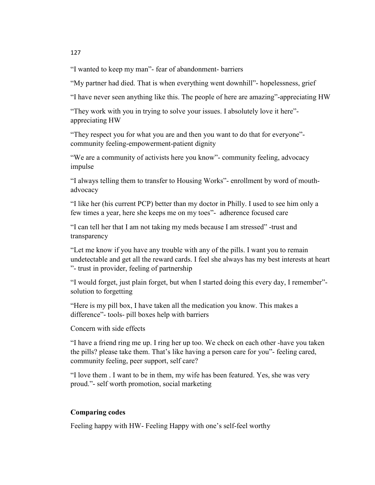"I wanted to keep my man"- fear of abandonment- barriers

"My partner had died. That is when everything went downhill"- hopelessness, grief

"I have never seen anything like this. The people of here are amazing"-appreciating HW

"They work with you in trying to solve your issues. I absolutely love it here" appreciating HW

"They respect you for what you are and then you want to do that for everyone" community feeling-empowerment-patient dignity

"We are a community of activists here you know"- community feeling, advocacy impulse

"I always telling them to transfer to Housing Works"- enrollment by word of mouthadvocacy

"I like her (his current PCP) better than my doctor in Philly. I used to see him only a few times a year, here she keeps me on my toes"- adherence focused care

"I can tell her that I am not taking my meds because I am stressed" -trust and transparency

"Let me know if you have any trouble with any of the pills. I want you to remain undetectable and get all the reward cards. I feel she always has my best interests at heart "- trust in provider, feeling of partnership

"I would forget, just plain forget, but when I started doing this every day, I remember" solution to forgetting

"Here is my pill box, I have taken all the medication you know. This makes a difference"- tools- pill boxes help with barriers

Concern with side effects

"I have a friend ring me up. I ring her up too. We check on each other -have you taken the pills? please take them. That's like having a person care for you"- feeling cared, community feeling, peer support, self care?

"I love them . I want to be in them, my wife has been featured. Yes, she was very proud."- self worth promotion, social marketing

# **Comparing codes**

Feeling happy with HW- Feeling Happy with one's self-feel worthy

127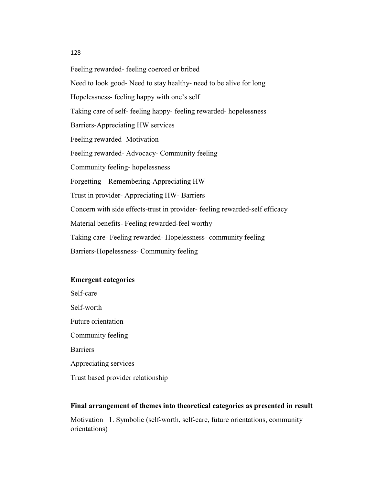#### 128

Feeling rewarded- feeling coerced or bribed Need to look good- Need to stay healthy- need to be alive for long Hopelessness- feeling happy with one's self Taking care of self- feeling happy- feeling rewarded- hopelessness Barriers-Appreciating HW services Feeling rewarded- Motivation Feeling rewarded- Advocacy- Community feeling Community feeling- hopelessness Forgetting – Remembering-Appreciating HW Trust in provider- Appreciating HW- Barriers Concern with side effects-trust in provider- feeling rewarded-self efficacy Material benefits- Feeling rewarded-feel worthy Taking care- Feeling rewarded- Hopelessness- community feeling Barriers-Hopelessness- Community feeling

## **Emergent categories**

Self-care Self-worth Future orientation Community feeling **Barriers** Appreciating services Trust based provider relationship

#### **Final arrangement of themes into theoretical categories as presented in result**

Motivation –1. Symbolic (self-worth, self-care, future orientations, community orientations)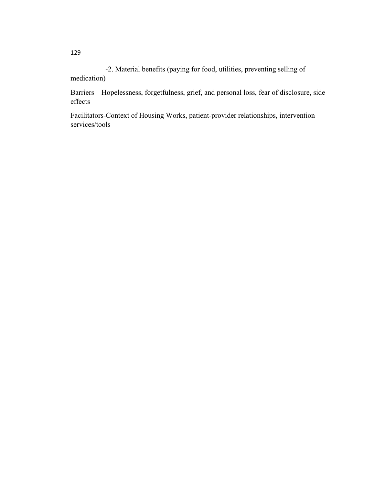-2. Material benefits (paying for food, utilities, preventing selling of medication)

Barriers – Hopelessness, forgetfulness, grief, and personal loss, fear of disclosure, side effects

Facilitators-Context of Housing Works, patient-provider relationships, intervention services/tools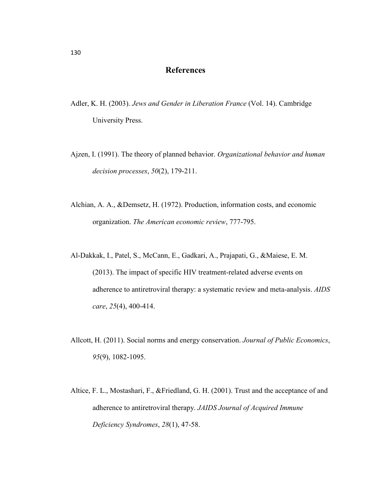## **References**

- Adler, K. H. (2003). *Jews and Gender in Liberation France* (Vol. 14). Cambridge University Press.
- Ajzen, I. (1991). The theory of planned behavior. *Organizational behavior and human decision processes*, *50*(2), 179-211.
- Alchian, A. A., &Demsetz, H. (1972). Production, information costs, and economic organization. *The American economic review*, 777-795.
- Al-Dakkak, I., Patel, S., McCann, E., Gadkari, A., Prajapati, G., &Maiese, E. M. (2013). The impact of specific HIV treatment-related adverse events on adherence to antiretroviral therapy: a systematic review and meta-analysis. *AIDS care*, *25*(4), 400-414.
- Allcott, H. (2011). Social norms and energy conservation. *Journal of Public Economics*, *95*(9), 1082-1095.
- Altice, F. L., Mostashari, F., &Friedland, G. H. (2001). Trust and the acceptance of and adherence to antiretroviral therapy. *JAIDS Journal of Acquired Immune Deficiency Syndromes*, *28*(1), 47-58.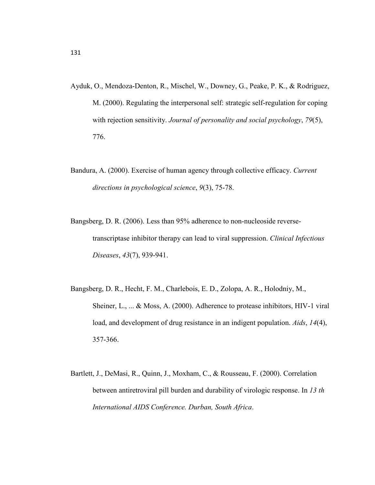- Ayduk, O., Mendoza-Denton, R., Mischel, W., Downey, G., Peake, P. K., & Rodriguez, M. (2000). Regulating the interpersonal self: strategic self-regulation for coping with rejection sensitivity. *Journal of personality and social psychology*, *79*(5), 776.
- Bandura, A. (2000). Exercise of human agency through collective efficacy. *Current directions in psychological science*, *9*(3), 75-78.
- Bangsberg, D. R. (2006). Less than 95% adherence to non-nucleoside reversetranscriptase inhibitor therapy can lead to viral suppression. *Clinical Infectious Diseases*, *43*(7), 939-941.
- Bangsberg, D. R., Hecht, F. M., Charlebois, E. D., Zolopa, A. R., Holodniy, M., Sheiner, L., ... & Moss, A. (2000). Adherence to protease inhibitors, HIV-1 viral load, and development of drug resistance in an indigent population. *Aids*, *14*(4), 357-366.
- Bartlett, J., DeMasi, R., Quinn, J., Moxham, C., & Rousseau, F. (2000). Correlation between antiretroviral pill burden and durability of virologic response. In *13 th International AIDS Conference. Durban, South Africa*.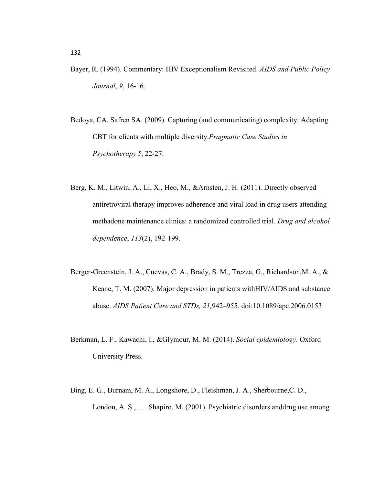- Bayer, R. (1994). Commentary: HIV Exceptionalism Revisited. *AIDS and Public Policy Journal*, *9*, 16-16.
- Bedoya, CA, Safren SA. (2009). Capturing (and communicating) complexity: Adapting CBT for clients with multiple diversity.*Pragmatic Case Studies in Psychotherapy 5*, 22-27.
- Berg, K. M., Litwin, A., Li, X., Heo, M., &Arnsten, J. H. (2011). Directly observed antiretroviral therapy improves adherence and viral load in drug users attending methadone maintenance clinics: a randomized controlled trial. *Drug and alcohol dependence*, *113*(2), 192-199.
- Berger-Greenstein, J. A., Cuevas, C. A., Brady, S. M., Trezza, G., Richardson,M. A., & Keane, T. M. (2007). Major depression in patients withHIV/AIDS and substance abuse. *AIDS Patient Care and STDs, 21,*942–955. doi:10.1089/apc.2006.0153
- Berkman, L. F., Kawachi, I., &Glymour, M. M. (2014). *Social epidemiology*. Oxford University Press.
- Bing, E. G., Burnam, M. A., Longshore, D., Fleishman, J. A., Sherbourne,C. D., London, A. S., . . . Shapiro, M. (2001). Psychiatric disorders anddrug use among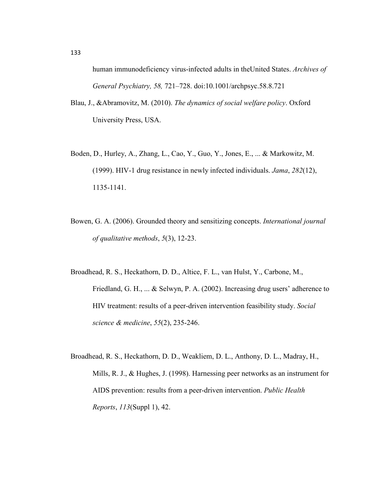human immunodeficiency virus-infected adults in theUnited States. *Archives of General Psychiatry, 58,* 721–728. doi:10.1001/archpsyc.58.8.721

- Blau, J., &Abramovitz, M. (2010). *The dynamics of social welfare policy*. Oxford University Press, USA.
- Boden, D., Hurley, A., Zhang, L., Cao, Y., Guo, Y., Jones, E., ... & Markowitz, M. (1999). HIV-1 drug resistance in newly infected individuals. *Jama*, *282*(12), 1135-1141.
- Bowen, G. A. (2006). Grounded theory and sensitizing concepts. *International journal of qualitative methods*, *5*(3), 12-23.
- Broadhead, R. S., Heckathorn, D. D., Altice, F. L., van Hulst, Y., Carbone, M., Friedland, G. H., ... & Selwyn, P. A. (2002). Increasing drug users' adherence to HIV treatment: results of a peer-driven intervention feasibility study. *Social science & medicine*, *55*(2), 235-246.
- Broadhead, R. S., Heckathorn, D. D., Weakliem, D. L., Anthony, D. L., Madray, H., Mills, R. J., & Hughes, J. (1998). Harnessing peer networks as an instrument for AIDS prevention: results from a peer-driven intervention. *Public Health Reports*, *113*(Suppl 1), 42.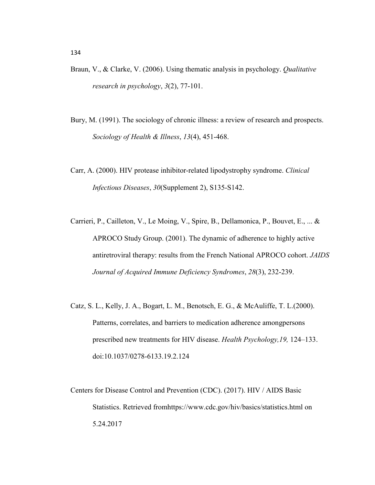- Braun, V., & Clarke, V. (2006). Using thematic analysis in psychology. *Qualitative research in psychology*, *3*(2), 77-101.
- Bury, M. (1991). The sociology of chronic illness: a review of research and prospects. *Sociology of Health & Illness*, *13*(4), 451-468.
- Carr, A. (2000). HIV protease inhibitor-related lipodystrophy syndrome. *Clinical Infectious Diseases*, *30*(Supplement 2), S135-S142.
- Carrieri, P., Cailleton, V., Le Moing, V., Spire, B., Dellamonica, P., Bouvet, E., ... & APROCO Study Group. (2001). The dynamic of adherence to highly active antiretroviral therapy: results from the French National APROCO cohort. *JAIDS Journal of Acquired Immune Deficiency Syndromes*, *28*(3), 232-239.
- Catz, S. L., Kelly, J. A., Bogart, L. M., Benotsch, E. G., & McAuliffe, T. L.(2000). Patterns, correlates, and barriers to medication adherence amongpersons prescribed new treatments for HIV disease. *Health Psychology,19,* 124–133. doi:10.1037/0278-6133.19.2.124
- Centers for Disease Control and Prevention (CDC). (2017). HIV / AIDS Basic Statistics. Retrieved fromhttps://www.cdc.gov/hiv/basics/statistics.html on 5.24.2017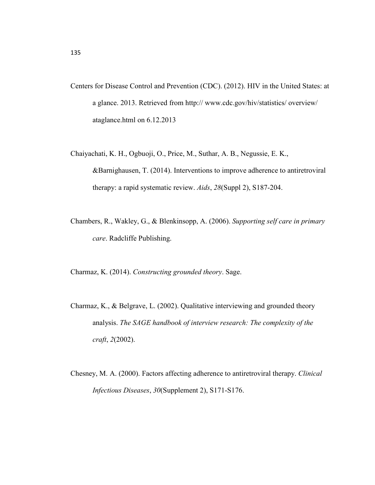- Centers for Disease Control and Prevention (CDC). (2012). HIV in the United States: at a glance. 2013. Retrieved from http:// www.cdc.gov/hiv/statistics/ overview/ ataglance.html on 6.12.2013
- Chaiyachati, K. H., Ogbuoji, O., Price, M., Suthar, A. B., Negussie, E. K., &Barnighausen, T. (2014). Interventions to improve adherence to antiretroviral therapy: a rapid systematic review. *Aids*, *28*(Suppl 2), S187-204.
- Chambers, R., Wakley, G., & Blenkinsopp, A. (2006). *Supporting self care in primary care*. Radcliffe Publishing.

Charmaz, K. (2014). *Constructing grounded theory*. Sage.

- Charmaz, K., & Belgrave, L. (2002). Qualitative interviewing and grounded theory analysis. *The SAGE handbook of interview research: The complexity of the craft*, *2*(2002).
- Chesney, M. A. (2000). Factors affecting adherence to antiretroviral therapy. *Clinical Infectious Diseases*, *30*(Supplement 2), S171-S176.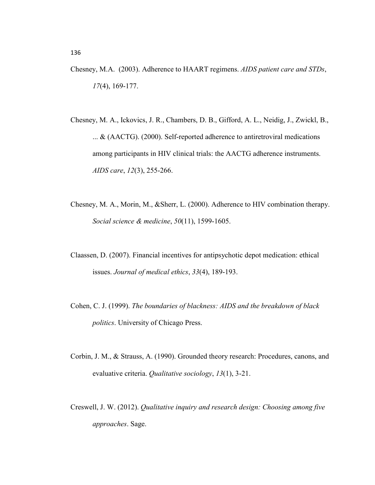- Chesney, M.A. (2003). Adherence to HAART regimens. *AIDS patient care and STDs*, *17*(4), 169-177.
- Chesney, M. A., Ickovics, J. R., Chambers, D. B., Gifford, A. L., Neidig, J., Zwickl, B., ... & (AACTG). (2000). Self-reported adherence to antiretroviral medications among participants in HIV clinical trials: the AACTG adherence instruments. *AIDS care*, *12*(3), 255-266.
- Chesney, M. A., Morin, M., &Sherr, L. (2000). Adherence to HIV combination therapy. *Social science & medicine*, *50*(11), 1599-1605.
- Claassen, D. (2007). Financial incentives for antipsychotic depot medication: ethical issues. *Journal of medical ethics*, *33*(4), 189-193.
- Cohen, C. J. (1999). *The boundaries of blackness: AIDS and the breakdown of black politics*. University of Chicago Press.
- Corbin, J. M., & Strauss, A. (1990). Grounded theory research: Procedures, canons, and evaluative criteria. *Qualitative sociology*, *13*(1), 3-21.
- Creswell, J. W. (2012). *Qualitative inquiry and research design: Choosing among five approaches*. Sage.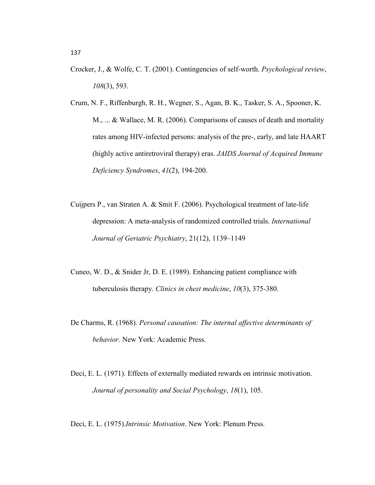- Crocker, J., & Wolfe, C. T. (2001). Contingencies of self-worth. *Psychological review*, *108*(3), 593.
- Crum, N. F., Riffenburgh, R. H., Wegner, S., Agan, B. K., Tasker, S. A., Spooner, K. M., ... & Wallace, M. R. (2006). Comparisons of causes of death and mortality rates among HIV-infected persons: analysis of the pre-, early, and late HAART (highly active antiretroviral therapy) eras. *JAIDS Journal of Acquired Immune Deficiency Syndromes*, *41*(2), 194-200.
- Cuijpers P., van Straten A. & Smit F. (2006). Psychological treatment of late-life depression: A meta-analysis of randomized controlled trials. *International Journal of Geriatric Psychiatry*, 21(12), 1139–1149
- Cuneo, W. D., & Snider Jr, D. E. (1989). Enhancing patient compliance with tuberculosis therapy. *Clinics in chest medicine*, *10*(3), 375-380.
- De Charms, R. (1968). *Personal causation: The internal affective determinants of behavior*. New York: Academic Press.
- Deci, E. L. (1971). Effects of externally mediated rewards on intrinsic motivation. *Journal of personality and Social Psychology*, *18*(1), 105.

Deci, E. L. (1975).*Intrinsic Motivation*. New York: Plenum Press.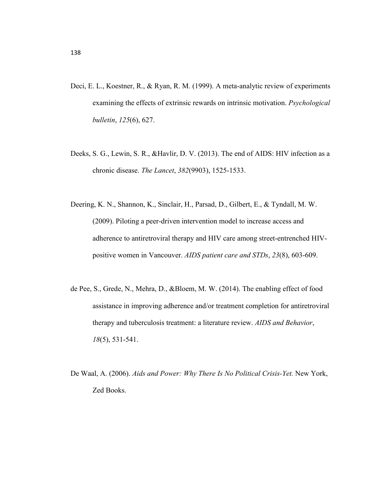- Deci, E. L., Koestner, R., & Ryan, R. M. (1999). A meta-analytic review of experiments examining the effects of extrinsic rewards on intrinsic motivation. *Psychological bulletin*, *125*(6), 627.
- Deeks, S. G., Lewin, S. R., &Havlir, D. V. (2013). The end of AIDS: HIV infection as a chronic disease. *The Lancet*, *382*(9903), 1525-1533.
- Deering, K. N., Shannon, K., Sinclair, H., Parsad, D., Gilbert, E., & Tyndall, M. W. (2009). Piloting a peer-driven intervention model to increase access and adherence to antiretroviral therapy and HIV care among street-entrenched HIVpositive women in Vancouver. *AIDS patient care and STDs*, *23*(8), 603-609.
- de Pee, S., Grede, N., Mehra, D., &Bloem, M. W. (2014). The enabling effect of food assistance in improving adherence and/or treatment completion for antiretroviral therapy and tuberculosis treatment: a literature review. *AIDS and Behavior*, *18*(5), 531-541.
- De Waal, A. (2006). *Aids and Power: Why There Is No Political Crisis-Yet.* New York, Zed Books.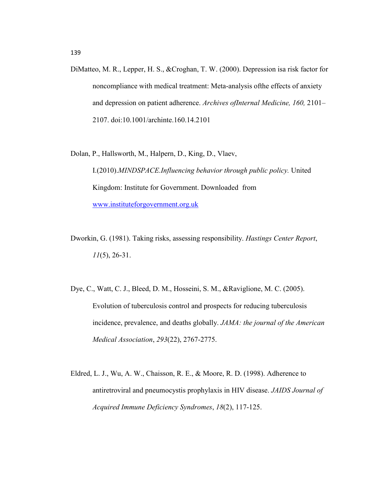DiMatteo, M. R., Lepper, H. S., &Croghan, T. W. (2000). Depression isa risk factor for noncompliance with medical treatment: Meta-analysis ofthe effects of anxiety and depression on patient adherence. *Archives ofInternal Medicine, 160,* 2101– 2107. doi:10.1001/archinte.160.14.2101

Dolan, P., Hallsworth, M., Halpern, D., King, D., Vlaev,

I.(2010).*MINDSPACE.Influencing behavior through public policy.* United Kingdom: Institute for Government. Downloaded from www.instituteforgovernment.org.uk

- Dworkin, G. (1981). Taking risks, assessing responsibility. *Hastings Center Report*, *11*(5), 26-31.
- Dye, C., Watt, C. J., Bleed, D. M., Hosseini, S. M., &Raviglione, M. C. (2005). Evolution of tuberculosis control and prospects for reducing tuberculosis incidence, prevalence, and deaths globally. *JAMA: the journal of the American Medical Association*, *293*(22), 2767-2775.
- Eldred, L. J., Wu, A. W., Chaisson, R. E., & Moore, R. D. (1998). Adherence to antiretroviral and pneumocystis prophylaxis in HIV disease. *JAIDS Journal of Acquired Immune Deficiency Syndromes*, *18*(2), 117-125.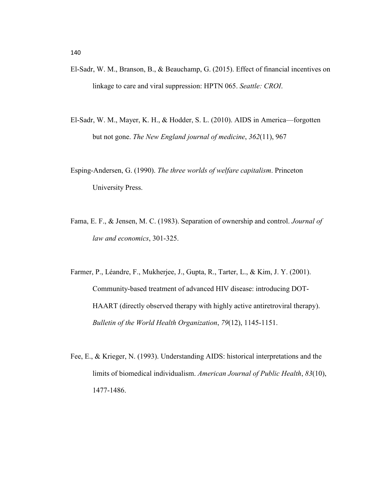- El-Sadr, W. M., Branson, B., & Beauchamp, G. (2015). Effect of financial incentives on linkage to care and viral suppression: HPTN 065. *Seattle: CROI*.
- El-Sadr, W. M., Mayer, K. H., & Hodder, S. L. (2010). AIDS in America—forgotten but not gone. *The New England journal of medicine*, *362*(11), 967
- Esping-Andersen, G. (1990). *The three worlds of welfare capitalism*. Princeton University Press.
- Fama, E. F., & Jensen, M. C. (1983). Separation of ownership and control. *Journal of law and economics*, 301-325.
- Farmer, P., Léandre, F., Mukherjee, J., Gupta, R., Tarter, L., & Kim, J. Y. (2001). Community-based treatment of advanced HIV disease: introducing DOT-HAART (directly observed therapy with highly active antiretroviral therapy). *Bulletin of the World Health Organization*, *79*(12), 1145-1151.
- Fee, E., & Krieger, N. (1993). Understanding AIDS: historical interpretations and the limits of biomedical individualism. *American Journal of Public Health*, *83*(10), 1477-1486.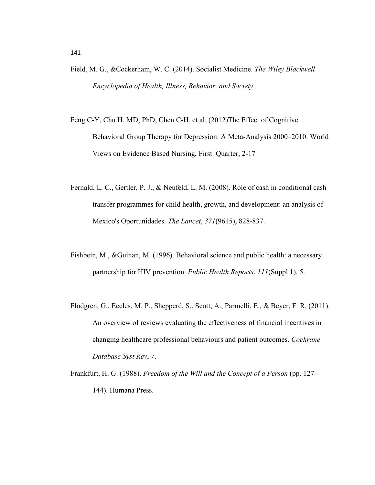- Field, M. G., &Cockerham, W. C. (2014). Socialist Medicine. *The Wiley Blackwell Encyclopedia of Health, Illness, Behavior, and Society*.
- Feng C-Y, Chu H, MD, PhD, Chen C-H, et al. (2012)The Effect of Cognitive Behavioral Group Therapy for Depression: A Meta-Analysis 2000–2010. World Views on Evidence Based Nursing, First Quarter, 2-17
- Fernald, L. C., Gertler, P. J., & Neufeld, L. M. (2008). Role of cash in conditional cash transfer programmes for child health, growth, and development: an analysis of Mexico's Oportunidades. *The Lancet*, *371*(9615), 828-837.
- Fishbein, M., &Guinan, M. (1996). Behavioral science and public health: a necessary partnership for HIV prevention. *Public Health Reports*, *111*(Suppl 1), 5.
- Flodgren, G., Eccles, M. P., Shepperd, S., Scott, A., Parmelli, E., & Beyer, F. R. (2011). An overview of reviews evaluating the effectiveness of financial incentives in changing healthcare professional behaviours and patient outcomes. *Cochrane Database Syst Rev*, *7*.
- Frankfurt, H. G. (1988). *Freedom of the Will and the Concept of a Person* (pp. 127- 144). Humana Press.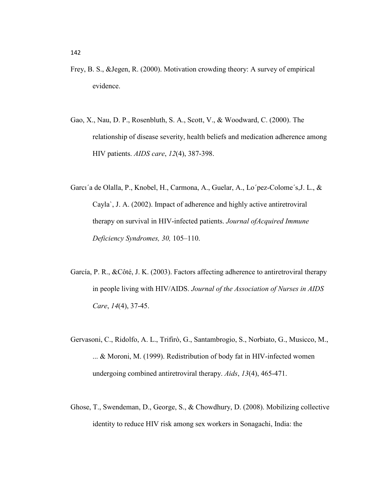- Frey, B. S., &Jegen, R. (2000). Motivation crowding theory: A survey of empirical evidence.
- Gao, X., Nau, D. P., Rosenbluth, S. A., Scott, V., & Woodward, C. (2000). The relationship of disease severity, health beliefs and medication adherence among HIV patients. *AIDS care*, *12*(4), 387-398.
- Garcı´a de Olalla, P., Knobel, H., Carmona, A., Guelar, A., Lo´pez-Colome´s,J. L., & Cayla`, J. A. (2002). Impact of adherence and highly active antiretroviral therapy on survival in HIV-infected patients. *Journal ofAcquired Immune Deficiency Syndromes, 30,* 105–110.
- García, P. R., &Côté, J. K. (2003). Factors affecting adherence to antiretroviral therapy in people living with HIV/AIDS. *Journal of the Association of Nurses in AIDS Care*, *14*(4), 37-45.
- Gervasoni, C., Ridolfo, A. L., Trifirò, G., Santambrogio, S., Norbiato, G., Musicco, M., ... & Moroni, M. (1999). Redistribution of body fat in HIV-infected women undergoing combined antiretroviral therapy. *Aids*, *13*(4), 465-471.
- Ghose, T., Swendeman, D., George, S., & Chowdhury, D. (2008). Mobilizing collective identity to reduce HIV risk among sex workers in Sonagachi, India: the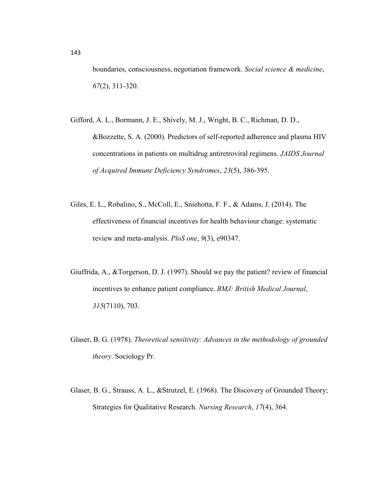boundaries, consciousness, negotiation framework. *Social science & medicine*, *67*(2), 311-320.

- Gifford, A. L., Bormann, J. E., Shively, M. J., Wright, B. C., Richman, D. D., &Bozzette, S. A. (2000). Predictors of self-reported adherence and plasma HIV concentrations in patients on multidrug antiretroviral regimens. *JAIDS Journal of Acquired Immune Deficiency Syndromes*, *23*(5), 386-395.
- Giles, E. L., Robalino, S., McColl, E., Sniehotta, F. F., & Adams, J. (2014). The effectiveness of financial incentives for health behaviour change: systematic review and meta-analysis. *PloS one*, *9*(3), e90347.
- Giuffrida, A., &Torgerson, D. J. (1997). Should we pay the patient? review of financial incentives to enhance patient compliance. *BMJ: British Medical Journal*, *315*(7110), 703.
- Glaser, B. G. (1978). *Theoretical sensitivity: Advances in the methodology of grounded theory*. Sociology Pr.
- Glaser, B. G., Strauss, A. L., &Strutzel, E. (1968). The Discovery of Grounded Theory; Strategies for Qualitative Research. *Nursing Research*, *17*(4), 364.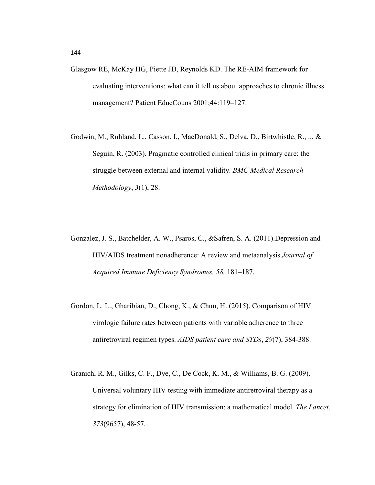- Glasgow RE, McKay HG, Piette JD, Reynolds KD. The RE-AIM framework for evaluating interventions: what can it tell us about approaches to chronic illness management? Patient EducCouns 2001;44:119–127.
- Godwin, M., Ruhland, L., Casson, I., MacDonald, S., Delva, D., Birtwhistle, R., ... & Seguin, R. (2003). Pragmatic controlled clinical trials in primary care: the struggle between external and internal validity. *BMC Medical Research Methodology*, *3*(1), 28.
- Gonzalez, J. S., Batchelder, A. W., Psaros, C., &Safren, S. A. (2011).Depression and HIV/AIDS treatment nonadherence: A review and metaanalysis.*Journal of Acquired Immune Deficiency Syndromes, 58,* 181–187.
- Gordon, L. L., Gharibian, D., Chong, K., & Chun, H. (2015). Comparison of HIV virologic failure rates between patients with variable adherence to three antiretroviral regimen types. *AIDS patient care and STDs*, *29*(7), 384-388.
- Granich, R. M., Gilks, C. F., Dye, C., De Cock, K. M., & Williams, B. G. (2009). Universal voluntary HIV testing with immediate antiretroviral therapy as a strategy for elimination of HIV transmission: a mathematical model. *The Lancet*, *373*(9657), 48-57.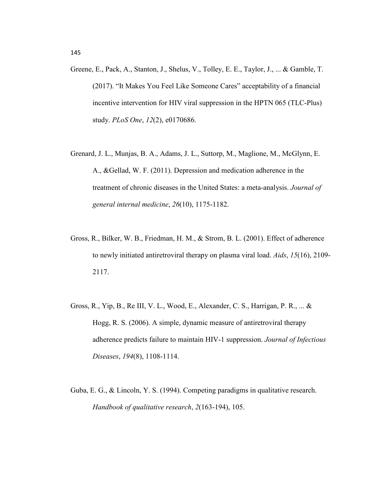- Greene, E., Pack, A., Stanton, J., Shelus, V., Tolley, E. E., Taylor, J., ... & Gamble, T. (2017). "It Makes You Feel Like Someone Cares" acceptability of a financial incentive intervention for HIV viral suppression in the HPTN 065 (TLC-Plus) study. *PLoS One*, *12*(2), e0170686.
- Grenard, J. L., Munjas, B. A., Adams, J. L., Suttorp, M., Maglione, M., McGlynn, E. A., &Gellad, W. F. (2011). Depression and medication adherence in the treatment of chronic diseases in the United States: a meta-analysis. *Journal of general internal medicine*, *26*(10), 1175-1182.
- Gross, R., Bilker, W. B., Friedman, H. M., & Strom, B. L. (2001). Effect of adherence to newly initiated antiretroviral therapy on plasma viral load. *Aids*, *15*(16), 2109- 2117.
- Gross, R., Yip, B., Re III, V. L., Wood, E., Alexander, C. S., Harrigan, P. R., ... & Hogg, R. S. (2006). A simple, dynamic measure of antiretroviral therapy adherence predicts failure to maintain HIV-1 suppression. *Journal of Infectious Diseases*, *194*(8), 1108-1114.
- Guba, E. G., & Lincoln, Y. S. (1994). Competing paradigms in qualitative research. *Handbook of qualitative research*, *2*(163-194), 105.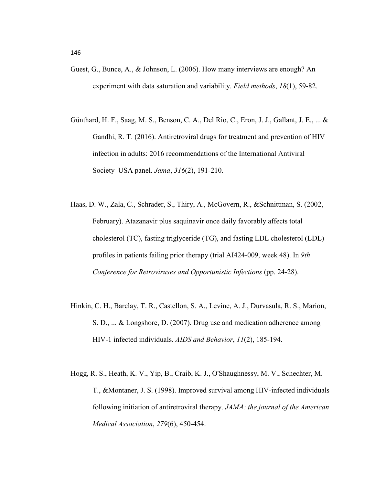- Guest, G., Bunce, A., & Johnson, L. (2006). How many interviews are enough? An experiment with data saturation and variability. *Field methods*, *18*(1), 59-82.
- Günthard, H. F., Saag, M. S., Benson, C. A., Del Rio, C., Eron, J. J., Gallant, J. E., ... & Gandhi, R. T. (2016). Antiretroviral drugs for treatment and prevention of HIV infection in adults: 2016 recommendations of the International Antiviral Society–USA panel. *Jama*, *316*(2), 191-210.
- Haas, D. W., Zala, C., Schrader, S., Thiry, A., McGovern, R., &Schnittman, S. (2002, February). Atazanavir plus saquinavir once daily favorably affects total cholesterol (TC), fasting triglyceride (TG), and fasting LDL cholesterol (LDL) profiles in patients failing prior therapy (trial AI424-009, week 48). In *9th Conference for Retroviruses and Opportunistic Infections* (pp. 24-28).
- Hinkin, C. H., Barclay, T. R., Castellon, S. A., Levine, A. J., Durvasula, R. S., Marion, S. D., ... & Longshore, D. (2007). Drug use and medication adherence among HIV-1 infected individuals. *AIDS and Behavior*, *11*(2), 185-194.
- Hogg, R. S., Heath, K. V., Yip, B., Craib, K. J., O'Shaughnessy, M. V., Schechter, M. T., &Montaner, J. S. (1998). Improved survival among HIV-infected individuals following initiation of antiretroviral therapy. *JAMA: the journal of the American Medical Association*, *279*(6), 450-454.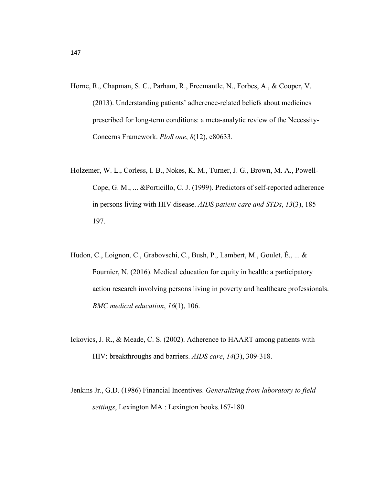- Horne, R., Chapman, S. C., Parham, R., Freemantle, N., Forbes, A., & Cooper, V. (2013). Understanding patients' adherence-related beliefs about medicines prescribed for long-term conditions: a meta-analytic review of the Necessity-Concerns Framework. *PloS one*, *8*(12), e80633.
- Holzemer, W. L., Corless, I. B., Nokes, K. M., Turner, J. G., Brown, M. A., Powell-Cope, G. M., ... &Porticillo, C. J. (1999). Predictors of self-reported adherence in persons living with HIV disease. *AIDS patient care and STDs*, *13*(3), 185- 197.
- Hudon, C., Loignon, C., Grabovschi, C., Bush, P., Lambert, M., Goulet, É., ... & Fournier, N. (2016). Medical education for equity in health: a participatory action research involving persons living in poverty and healthcare professionals. *BMC medical education*, *16*(1), 106.
- Ickovics, J. R., & Meade, C. S. (2002). Adherence to HAART among patients with HIV: breakthroughs and barriers. *AIDS care*, *14*(3), 309-318.
- Jenkins Jr., G.D. (1986) Financial Incentives. *Generalizing from laboratory to field settings*, Lexington MA : Lexington books.167-180.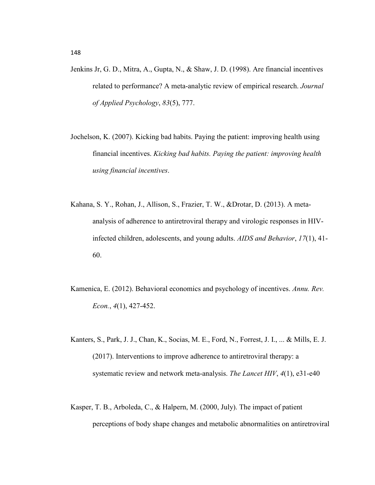- Jenkins Jr, G. D., Mitra, A., Gupta, N., & Shaw, J. D. (1998). Are financial incentives related to performance? A meta-analytic review of empirical research. *Journal of Applied Psychology*, *83*(5), 777.
- Jochelson, K. (2007). Kicking bad habits. Paying the patient: improving health using financial incentives. *Kicking bad habits. Paying the patient: improving health using financial incentives*.
- Kahana, S. Y., Rohan, J., Allison, S., Frazier, T. W., &Drotar, D. (2013). A metaanalysis of adherence to antiretroviral therapy and virologic responses in HIVinfected children, adolescents, and young adults. *AIDS and Behavior*, *17*(1), 41- 60.
- Kamenica, E. (2012). Behavioral economics and psychology of incentives. *Annu. Rev. Econ.*, *4*(1), 427-452.
- Kanters, S., Park, J. J., Chan, K., Socias, M. E., Ford, N., Forrest, J. I., ... & Mills, E. J. (2017). Interventions to improve adherence to antiretroviral therapy: a systematic review and network meta-analysis. *The Lancet HIV*, *4*(1), e31-e40
- Kasper, T. B., Arboleda, C., & Halpern, M. (2000, July). The impact of patient perceptions of body shape changes and metabolic abnormalities on antiretroviral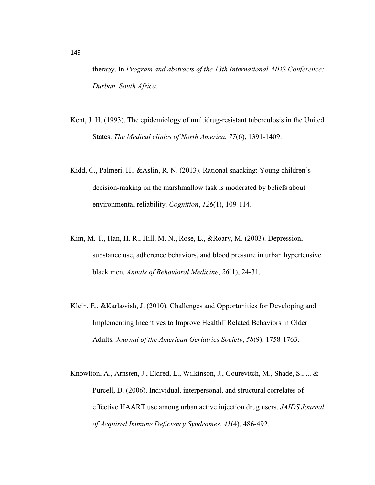therapy. In *Program and abstracts of the 13th International AIDS Conference: Durban, South Africa*.

- Kent, J. H. (1993). The epidemiology of multidrug-resistant tuberculosis in the United States. *The Medical clinics of North America*, *77*(6), 1391-1409.
- Kidd, C., Palmeri, H., &Aslin, R. N. (2013). Rational snacking: Young children's decision-making on the marshmallow task is moderated by beliefs about environmental reliability. *Cognition*, *126*(1), 109-114.
- Kim, M. T., Han, H. R., Hill, M. N., Rose, L., &Roary, M. (2003). Depression, substance use, adherence behaviors, and blood pressure in urban hypertensive black men. *Annals of Behavioral Medicine*, *26*(1), 24-31.
- Klein, E., &Karlawish, J. (2010). Challenges and Opportunities for Developing and Implementing Incentives to Improve Health $\Box$ Related Behaviors in Older Adults. *Journal of the American Geriatrics Society*, *58*(9), 1758-1763.
- Knowlton, A., Arnsten, J., Eldred, L., Wilkinson, J., Gourevitch, M., Shade, S., ... & Purcell, D. (2006). Individual, interpersonal, and structural correlates of effective HAART use among urban active injection drug users. *JAIDS Journal of Acquired Immune Deficiency Syndromes*, *41*(4), 486-492.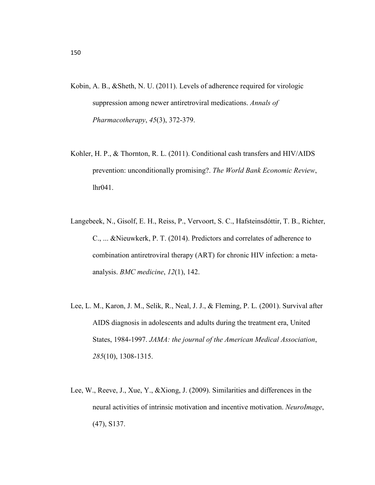- Kobin, A. B., &Sheth, N. U. (2011). Levels of adherence required for virologic suppression among newer antiretroviral medications. *Annals of Pharmacotherapy*, *45*(3), 372-379.
- Kohler, H. P., & Thornton, R. L. (2011). Conditional cash transfers and HIV/AIDS prevention: unconditionally promising?. *The World Bank Economic Review*, lhr041.
- Langebeek, N., Gisolf, E. H., Reiss, P., Vervoort, S. C., Hafsteinsdóttir, T. B., Richter, C., ... &Nieuwkerk, P. T. (2014). Predictors and correlates of adherence to combination antiretroviral therapy (ART) for chronic HIV infection: a metaanalysis. *BMC medicine*, *12*(1), 142.
- Lee, L. M., Karon, J. M., Selik, R., Neal, J. J., & Fleming, P. L. (2001). Survival after AIDS diagnosis in adolescents and adults during the treatment era, United States, 1984-1997. *JAMA: the journal of the American Medical Association*, *285*(10), 1308-1315.
- Lee, W., Reeve, J., Xue, Y., &Xiong, J. (2009). Similarities and differences in the neural activities of intrinsic motivation and incentive motivation. *NeuroImage*, (47), S137.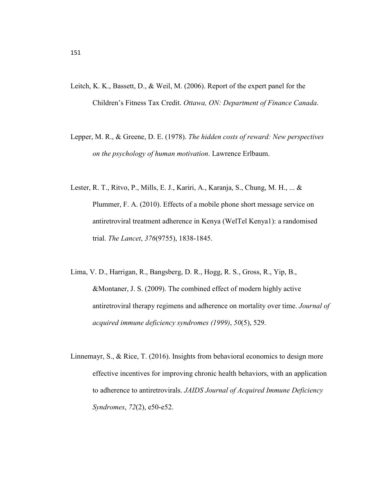- Leitch, K. K., Bassett, D., & Weil, M. (2006). Report of the expert panel for the Children's Fitness Tax Credit. *Ottawa, ON: Department of Finance Canada*.
- Lepper, M. R., & Greene, D. E. (1978). *The hidden costs of reward: New perspectives on the psychology of human motivation*. Lawrence Erlbaum.
- Lester, R. T., Ritvo, P., Mills, E. J., Kariri, A., Karanja, S., Chung, M. H., ... & Plummer, F. A. (2010). Effects of a mobile phone short message service on antiretroviral treatment adherence in Kenya (WelTel Kenya1): a randomised trial. *The Lancet*, *376*(9755), 1838-1845.
- Lima, V. D., Harrigan, R., Bangsberg, D. R., Hogg, R. S., Gross, R., Yip, B., &Montaner, J. S. (2009). The combined effect of modern highly active antiretroviral therapy regimens and adherence on mortality over time. *Journal of acquired immune deficiency syndromes (1999)*, *50*(5), 529.
- Linnemayr, S., & Rice, T. (2016). Insights from behavioral economics to design more effective incentives for improving chronic health behaviors, with an application to adherence to antiretrovirals. *JAIDS Journal of Acquired Immune Deficiency Syndromes*, *72*(2), e50-e52.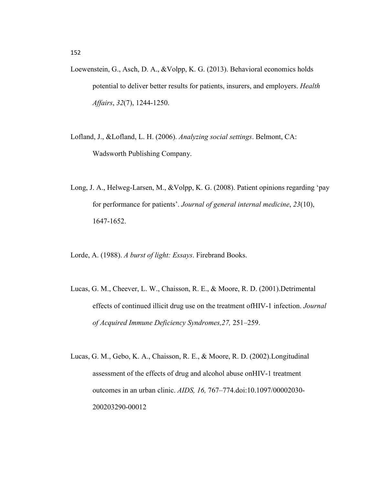- Loewenstein, G., Asch, D. A., &Volpp, K. G. (2013). Behavioral economics holds potential to deliver better results for patients, insurers, and employers. *Health Affairs*, *32*(7), 1244-1250.
- Lofland, J., &Lofland, L. H. (2006). *Analyzing social settings*. Belmont, CA: Wadsworth Publishing Company.
- Long, J. A., Helweg-Larsen, M., &Volpp, K. G. (2008). Patient opinions regarding 'pay for performance for patients'. *Journal of general internal medicine*, *23*(10), 1647-1652.

Lorde, A. (1988). *A burst of light: Essays*. Firebrand Books.

- Lucas, G. M., Cheever, L. W., Chaisson, R. E., & Moore, R. D. (2001).Detrimental effects of continued illicit drug use on the treatment ofHIV-1 infection. *Journal of Acquired Immune Deficiency Syndromes,27,* 251–259.
- Lucas, G. M., Gebo, K. A., Chaisson, R. E., & Moore, R. D. (2002).Longitudinal assessment of the effects of drug and alcohol abuse onHIV-1 treatment outcomes in an urban clinic. *AIDS, 16,* 767–774.doi:10.1097/00002030- 200203290-00012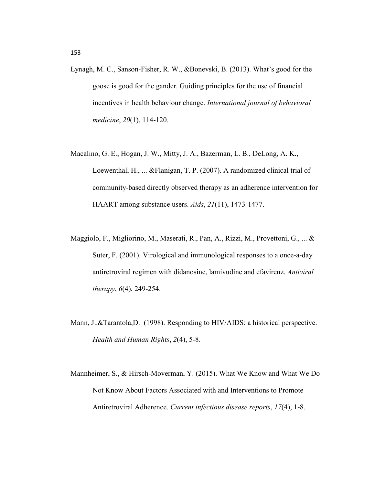- Lynagh, M. C., Sanson-Fisher, R. W., &Bonevski, B. (2013). What's good for the goose is good for the gander. Guiding principles for the use of financial incentives in health behaviour change. *International journal of behavioral medicine*, *20*(1), 114-120.
- Macalino, G. E., Hogan, J. W., Mitty, J. A., Bazerman, L. B., DeLong, A. K., Loewenthal, H., ... &Flanigan, T. P. (2007). A randomized clinical trial of community-based directly observed therapy as an adherence intervention for HAART among substance users. *Aids*, *21*(11), 1473-1477.
- Maggiolo, F., Migliorino, M., Maserati, R., Pan, A., Rizzi, M., Provettoni, G., ... & Suter, F. (2001). Virological and immunological responses to a once-a-day antiretroviral regimen with didanosine, lamivudine and efavirenz. *Antiviral therapy*, *6*(4), 249-254.
- Mann, J.,&Tarantola,D. (1998). Responding to HIV/AIDS: a historical perspective. *Health and Human Rights*, *2*(4), 5-8.
- Mannheimer, S., & Hirsch-Moverman, Y. (2015). What We Know and What We Do Not Know About Factors Associated with and Interventions to Promote Antiretroviral Adherence. *Current infectious disease reports*, *17*(4), 1-8.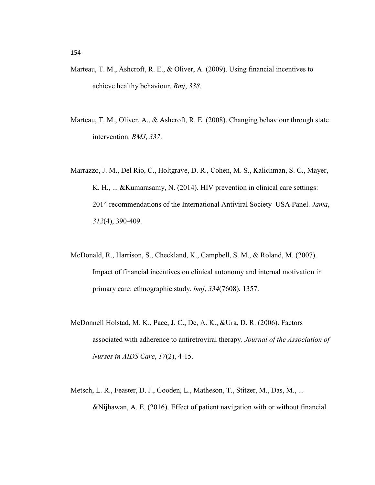- Marteau, T. M., Ashcroft, R. E., & Oliver, A. (2009). Using financial incentives to achieve healthy behaviour. *Bmj*, *338*.
- Marteau, T. M., Oliver, A., & Ashcroft, R. E. (2008). Changing behaviour through state intervention. *BMJ*, *337*.
- Marrazzo, J. M., Del Rio, C., Holtgrave, D. R., Cohen, M. S., Kalichman, S. C., Mayer, K. H., ... &Kumarasamy, N. (2014). HIV prevention in clinical care settings: 2014 recommendations of the International Antiviral Society–USA Panel. *Jama*, *312*(4), 390-409.
- McDonald, R., Harrison, S., Checkland, K., Campbell, S. M., & Roland, M. (2007). Impact of financial incentives on clinical autonomy and internal motivation in primary care: ethnographic study. *bmj*, *334*(7608), 1357.
- McDonnell Holstad, M. K., Pace, J. C., De, A. K., &Ura, D. R. (2006). Factors associated with adherence to antiretroviral therapy. *Journal of the Association of Nurses in AIDS Care*, *17*(2), 4-15.
- Metsch, L. R., Feaster, D. J., Gooden, L., Matheson, T., Stitzer, M., Das, M., ... &Nijhawan, A. E. (2016). Effect of patient navigation with or without financial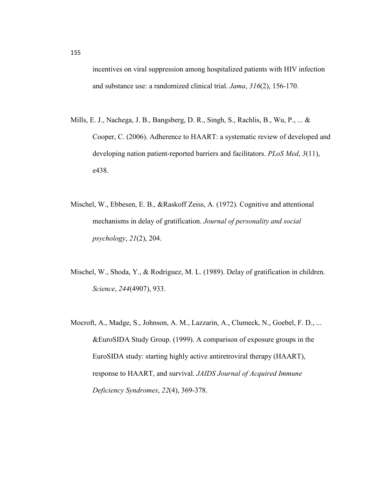incentives on viral suppression among hospitalized patients with HIV infection and substance use: a randomized clinical trial. *Jama*, *316*(2), 156-170.

- Mills, E. J., Nachega, J. B., Bangsberg, D. R., Singh, S., Rachlis, B., Wu, P., ... & Cooper, C. (2006). Adherence to HAART: a systematic review of developed and developing nation patient-reported barriers and facilitators. *PLoS Med*, *3*(11), e438.
- Mischel, W., Ebbesen, E. B., &Raskoff Zeiss, A. (1972). Cognitive and attentional mechanisms in delay of gratification. *Journal of personality and social psychology*, *21*(2), 204.
- Mischel, W., Shoda, Y., & Rodriguez, M. L. (1989). Delay of gratification in children. *Science*, *244*(4907), 933.
- Mocroft, A., Madge, S., Johnson, A. M., Lazzarin, A., Clumeck, N., Goebel, F. D., ... &EuroSIDA Study Group. (1999). A comparison of exposure groups in the EuroSIDA study: starting highly active antiretroviral therapy (HAART), response to HAART, and survival. *JAIDS Journal of Acquired Immune Deficiency Syndromes*, *22*(4), 369-378.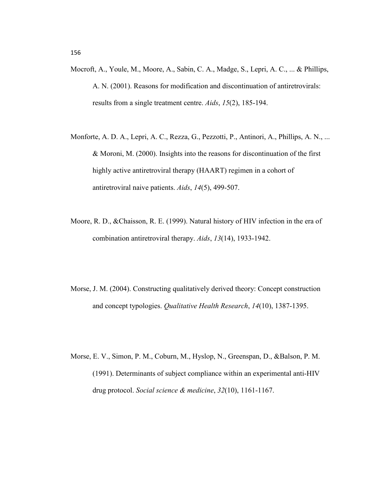- Mocroft, A., Youle, M., Moore, A., Sabin, C. A., Madge, S., Lepri, A. C., ... & Phillips, A. N. (2001). Reasons for modification and discontinuation of antiretrovirals: results from a single treatment centre. *Aids*, *15*(2), 185-194.
- Monforte, A. D. A., Lepri, A. C., Rezza, G., Pezzotti, P., Antinori, A., Phillips, A. N., ... & Moroni, M. (2000). Insights into the reasons for discontinuation of the first highly active antiretroviral therapy (HAART) regimen in a cohort of antiretroviral naive patients. *Aids*, *14*(5), 499-507.
- Moore, R. D., &Chaisson, R. E. (1999). Natural history of HIV infection in the era of combination antiretroviral therapy. *Aids*, *13*(14), 1933-1942.
- Morse, J. M. (2004). Constructing qualitatively derived theory: Concept construction and concept typologies. *Qualitative Health Research*, *14*(10), 1387-1395.
- Morse, E. V., Simon, P. M., Coburn, M., Hyslop, N., Greenspan, D., &Balson, P. M. (1991). Determinants of subject compliance within an experimental anti-HIV drug protocol. *Social science & medicine*, *32*(10), 1161-1167.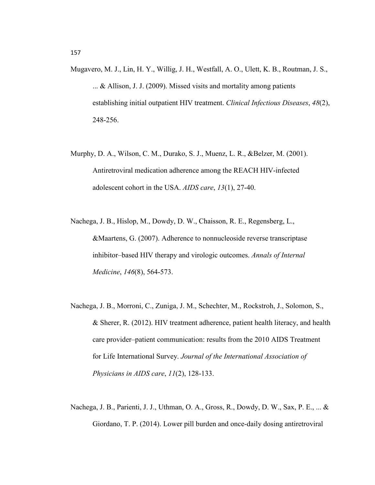- Mugavero, M. J., Lin, H. Y., Willig, J. H., Westfall, A. O., Ulett, K. B., Routman, J. S., ... & Allison, J. J. (2009). Missed visits and mortality among patients establishing initial outpatient HIV treatment. *Clinical Infectious Diseases*, *48*(2), 248-256.
- Murphy, D. A., Wilson, C. M., Durako, S. J., Muenz, L. R., &Belzer, M. (2001). Antiretroviral medication adherence among the REACH HIV-infected adolescent cohort in the USA. *AIDS care*, *13*(1), 27-40.
- Nachega, J. B., Hislop, M., Dowdy, D. W., Chaisson, R. E., Regensberg, L., &Maartens, G. (2007). Adherence to nonnucleoside reverse transcriptase inhibitor–based HIV therapy and virologic outcomes. *Annals of Internal Medicine*, *146*(8), 564-573.
- Nachega, J. B., Morroni, C., Zuniga, J. M., Schechter, M., Rockstroh, J., Solomon, S., & Sherer, R. (2012). HIV treatment adherence, patient health literacy, and health care provider–patient communication: results from the 2010 AIDS Treatment for Life International Survey. *Journal of the International Association of Physicians in AIDS care*, *11*(2), 128-133.
- Nachega, J. B., Parienti, J. J., Uthman, O. A., Gross, R., Dowdy, D. W., Sax, P. E., ... & Giordano, T. P. (2014). Lower pill burden and once-daily dosing antiretroviral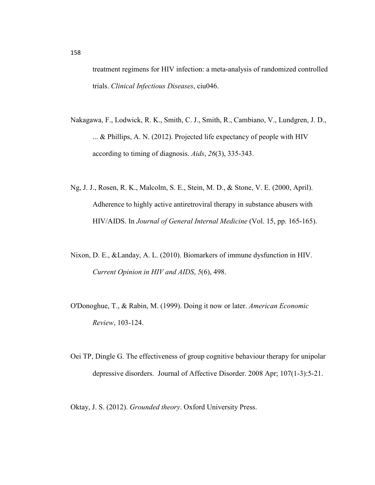treatment regimens for HIV infection: a meta-analysis of randomized controlled trials. *Clinical Infectious Diseases*, ciu046.

- Nakagawa, F., Lodwick, R. K., Smith, C. J., Smith, R., Cambiano, V., Lundgren, J. D., ... & Phillips, A. N. (2012). Projected life expectancy of people with HIV according to timing of diagnosis. *Aids*, *26*(3), 335-343.
- Ng, J. J., Rosen, R. K., Malcolm, S. E., Stein, M. D., & Stone, V. E. (2000, April). Adherence to highly active antiretroviral therapy in substance abusers with HIV/AIDS. In *Journal of General Internal Medicine* (Vol. 15, pp. 165-165).
- Nixon, D. E., &Landay, A. L. (2010). Biomarkers of immune dysfunction in HIV. *Current Opinion in HIV and AIDS*, *5*(6), 498.
- O'Donoghue, T., & Rabin, M. (1999). Doing it now or later. *American Economic Review*, 103-124.
- Oei TP, Dingle G. The effectiveness of group cognitive behaviour therapy for unipolar depressive disorders. Journal of Affective Disorder. 2008 Apr; 107(1-3):5-21.

Oktay, J. S. (2012). *Grounded theory*. Oxford University Press.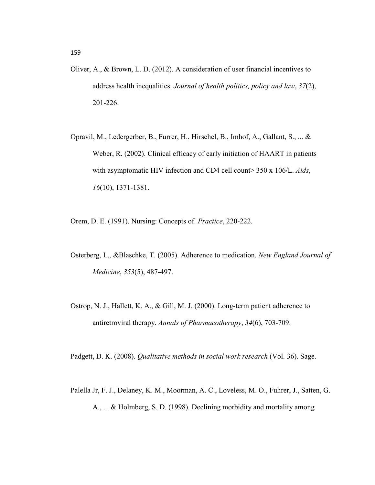- Oliver, A., & Brown, L. D. (2012). A consideration of user financial incentives to address health inequalities. *Journal of health politics, policy and law*, *37*(2), 201-226.
- Opravil, M., Ledergerber, B., Furrer, H., Hirschel, B., Imhof, A., Gallant, S., ... & Weber, R. (2002). Clinical efficacy of early initiation of HAART in patients with asymptomatic HIV infection and CD4 cell count> 350 x 106/L. *Aids*, *16*(10), 1371-1381.
- Orem, D. E. (1991). Nursing: Concepts of. *Practice*, 220-222.
- Osterberg, L., &Blaschke, T. (2005). Adherence to medication. *New England Journal of Medicine*, *353*(5), 487-497.
- Ostrop, N. J., Hallett, K. A., & Gill, M. J. (2000). Long-term patient adherence to antiretroviral therapy. *Annals of Pharmacotherapy*, *34*(6), 703-709.

Padgett, D. K. (2008). *Qualitative methods in social work research* (Vol. 36). Sage.

Palella Jr, F. J., Delaney, K. M., Moorman, A. C., Loveless, M. O., Fuhrer, J., Satten, G. A., ... & Holmberg, S. D. (1998). Declining morbidity and mortality among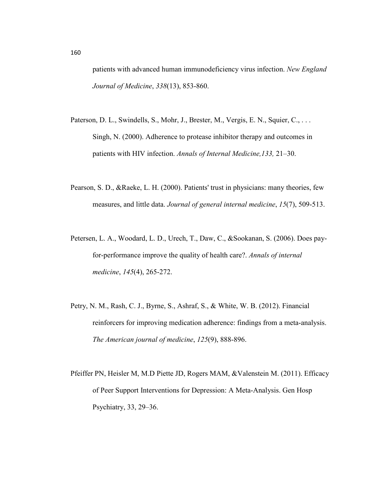patients with advanced human immunodeficiency virus infection. *New England Journal of Medicine*, *338*(13), 853-860.

- Paterson, D. L., Swindells, S., Mohr, J., Brester, M., Vergis, E. N., Squier, C., ... Singh, N. (2000). Adherence to protease inhibitor therapy and outcomes in patients with HIV infection. *Annals of Internal Medicine,133,* 21–30.
- Pearson, S. D., &Raeke, L. H. (2000). Patients' trust in physicians: many theories, few measures, and little data. *Journal of general internal medicine*, *15*(7), 509-513.
- Petersen, L. A., Woodard, L. D., Urech, T., Daw, C., &Sookanan, S. (2006). Does payfor-performance improve the quality of health care?. *Annals of internal medicine*, *145*(4), 265-272.
- Petry, N. M., Rash, C. J., Byrne, S., Ashraf, S., & White, W. B. (2012). Financial reinforcers for improving medication adherence: findings from a meta-analysis. *The American journal of medicine*, *125*(9), 888-896.
- Pfeiffer PN, Heisler M, M.D Piette JD, Rogers MAM, &Valenstein M. (2011). Efficacy of Peer Support Interventions for Depression: A Meta-Analysis. Gen Hosp Psychiatry, 33, 29–36.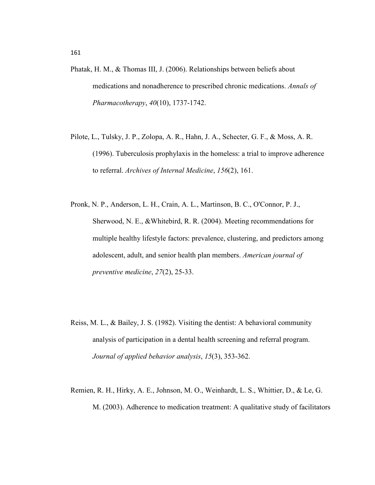- Phatak, H. M., & Thomas III, J. (2006). Relationships between beliefs about medications and nonadherence to prescribed chronic medications. *Annals of Pharmacotherapy*, *40*(10), 1737-1742.
- Pilote, L., Tulsky, J. P., Zolopa, A. R., Hahn, J. A., Schecter, G. F., & Moss, A. R. (1996). Tuberculosis prophylaxis in the homeless: a trial to improve adherence to referral. *Archives of Internal Medicine*, *156*(2), 161.
- Pronk, N. P., Anderson, L. H., Crain, A. L., Martinson, B. C., O'Connor, P. J., Sherwood, N. E., &Whitebird, R. R. (2004). Meeting recommendations for multiple healthy lifestyle factors: prevalence, clustering, and predictors among adolescent, adult, and senior health plan members. *American journal of preventive medicine*, *27*(2), 25-33.
- Reiss, M. L., & Bailey, J. S. (1982). Visiting the dentist: A behavioral community analysis of participation in a dental health screening and referral program. *Journal of applied behavior analysis*, *15*(3), 353-362.
- Remien, R. H., Hirky, A. E., Johnson, M. O., Weinhardt, L. S., Whittier, D., & Le, G. M. (2003). Adherence to medication treatment: A qualitative study of facilitators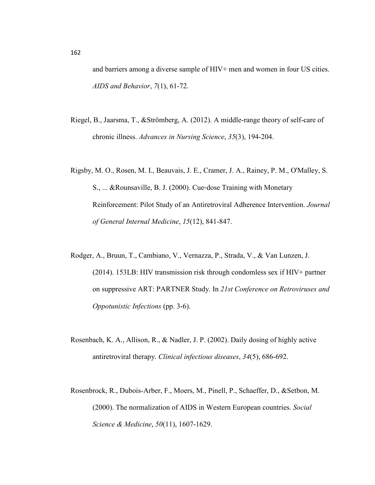and barriers among a diverse sample of HIV+ men and women in four US cities. *AIDS and Behavior*, *7*(1), 61-72.

- Riegel, B., Jaarsma, T., &Strömberg, A. (2012). A middle-range theory of self-care of chronic illness. *Advances in Nursing Science*, *35*(3), 194-204.
- Rigsby, M. O., Rosen, M. I., Beauvais, J. E., Cramer, J. A., Rainey, P. M., O'Malley, S. S., ... &Rounsaville, B. J. (2000). Cue‐dose Training with Monetary Reinforcement: Pilot Study of an Antiretroviral Adherence Intervention. *Journal of General Internal Medicine*, *15*(12), 841-847.
- Rodger, A., Bruun, T., Cambiano, V., Vernazza, P., Strada, V., & Van Lunzen, J. (2014). 153LB: HIV transmission risk through condomless sex if HIV+ partner on suppressive ART: PARTNER Study. In *21st Conference on Retroviruses and Oppotunistic Infections* (pp. 3-6).
- Rosenbach, K. A., Allison, R., & Nadler, J. P. (2002). Daily dosing of highly active antiretroviral therapy. *Clinical infectious diseases*, *34*(5), 686-692.
- Rosenbrock, R., Dubois-Arber, F., Moers, M., Pinell, P., Schaeffer, D., &Setbon, M. (2000). The normalization of AIDS in Western European countries. *Social Science & Medicine*, *50*(11), 1607-1629.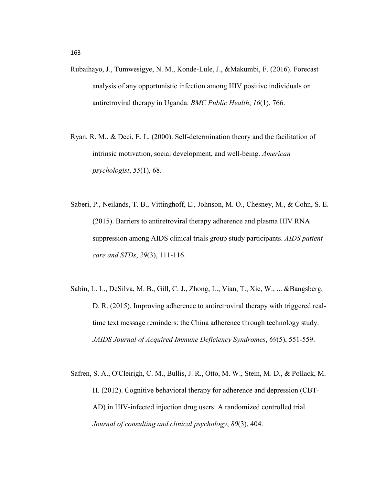- Rubaihayo, J., Tumwesigye, N. M., Konde-Lule, J., &Makumbi, F. (2016). Forecast analysis of any opportunistic infection among HIV positive individuals on antiretroviral therapy in Uganda. *BMC Public Health*, *16*(1), 766.
- Ryan, R. M., & Deci, E. L. (2000). Self-determination theory and the facilitation of intrinsic motivation, social development, and well-being. *American psychologist*, *55*(1), 68.
- Saberi, P., Neilands, T. B., Vittinghoff, E., Johnson, M. O., Chesney, M., & Cohn, S. E. (2015). Barriers to antiretroviral therapy adherence and plasma HIV RNA suppression among AIDS clinical trials group study participants. *AIDS patient care and STDs*, *29*(3), 111-116.
- Sabin, L. L., DeSilva, M. B., Gill, C. J., Zhong, L., Vian, T., Xie, W., ... &Bangsberg, D. R. (2015). Improving adherence to antiretroviral therapy with triggered realtime text message reminders: the China adherence through technology study. *JAIDS Journal of Acquired Immune Deficiency Syndromes*, *69*(5), 551-559.
- Safren, S. A., O'Cleirigh, C. M., Bullis, J. R., Otto, M. W., Stein, M. D., & Pollack, M. H. (2012). Cognitive behavioral therapy for adherence and depression (CBT-AD) in HIV-infected injection drug users: A randomized controlled trial. *Journal of consulting and clinical psychology*, *80*(3), 404.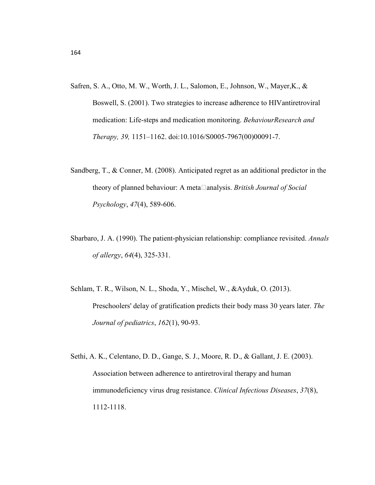- Safren, S. A., Otto, M. W., Worth, J. L., Salomon, E., Johnson, W., Mayer,K., & Boswell, S. (2001). Two strategies to increase adherence to HIVantiretroviral medication: Life-steps and medication monitoring. *BehaviourResearch and Therapy, 39,* 1151–1162. doi:10.1016/S0005-7967(00)00091-7.
- Sandberg, T., & Conner, M. (2008). Anticipated regret as an additional predictor in the theory of planned behaviour: A meta□analysis. *British Journal of Social Psychology*, *47*(4), 589-606.
- Sbarbaro, J. A. (1990). The patient-physician relationship: compliance revisited. *Annals of allergy*, *64*(4), 325-331.
- Schlam, T. R., Wilson, N. L., Shoda, Y., Mischel, W., &Ayduk, O. (2013). Preschoolers' delay of gratification predicts their body mass 30 years later. *The Journal of pediatrics*, *162*(1), 90-93.
- Sethi, A. K., Celentano, D. D., Gange, S. J., Moore, R. D., & Gallant, J. E. (2003). Association between adherence to antiretroviral therapy and human immunodeficiency virus drug resistance. *Clinical Infectious Diseases*, *37*(8), 1112-1118.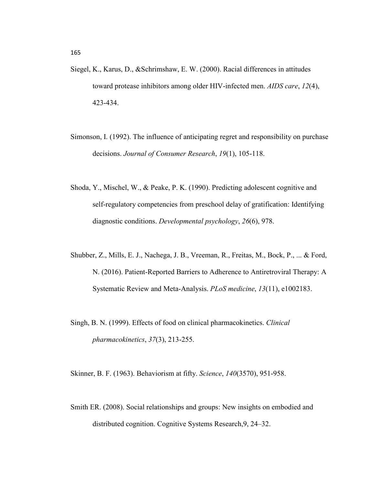- Siegel, K., Karus, D., &Schrimshaw, E. W. (2000). Racial differences in attitudes toward protease inhibitors among older HIV-infected men. *AIDS care*, *12*(4), 423-434.
- Simonson, I. (1992). The influence of anticipating regret and responsibility on purchase decisions. *Journal of Consumer Research*, *19*(1), 105-118.
- Shoda, Y., Mischel, W., & Peake, P. K. (1990). Predicting adolescent cognitive and self-regulatory competencies from preschool delay of gratification: Identifying diagnostic conditions. *Developmental psychology*, *26*(6), 978.
- Shubber, Z., Mills, E. J., Nachega, J. B., Vreeman, R., Freitas, M., Bock, P., ... & Ford, N. (2016). Patient-Reported Barriers to Adherence to Antiretroviral Therapy: A Systematic Review and Meta-Analysis. *PLoS medicine*, *13*(11), e1002183.
- Singh, B. N. (1999). Effects of food on clinical pharmacokinetics. *Clinical pharmacokinetics*, *37*(3), 213-255.

Skinner, B. F. (1963). Behaviorism at fifty. *Science*, *140*(3570), 951-958.

Smith ER. (2008). Social relationships and groups: New insights on embodied and distributed cognition. Cognitive Systems Research,9, 24–32.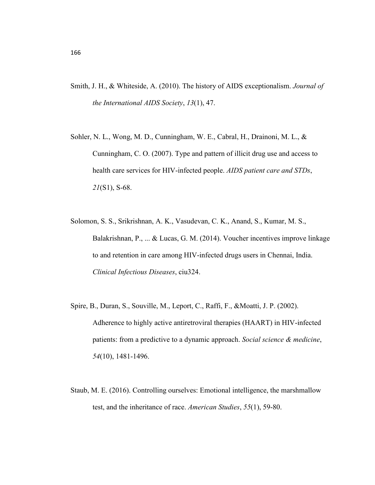- Smith, J. H., & Whiteside, A. (2010). The history of AIDS exceptionalism. *Journal of the International AIDS Society*, *13*(1), 47.
- Sohler, N. L., Wong, M. D., Cunningham, W. E., Cabral, H., Drainoni, M. L., & Cunningham, C. O. (2007). Type and pattern of illicit drug use and access to health care services for HIV-infected people. *AIDS patient care and STDs*, *21*(S1), S-68.
- Solomon, S. S., Srikrishnan, A. K., Vasudevan, C. K., Anand, S., Kumar, M. S., Balakrishnan, P., ... & Lucas, G. M. (2014). Voucher incentives improve linkage to and retention in care among HIV-infected drugs users in Chennai, India. *Clinical Infectious Diseases*, ciu324.
- Spire, B., Duran, S., Souville, M., Leport, C., Raffi, F., &Moatti, J. P. (2002). Adherence to highly active antiretroviral therapies (HAART) in HIV-infected patients: from a predictive to a dynamic approach. *Social science & medicine*, *54*(10), 1481-1496.
- Staub, M. E. (2016). Controlling ourselves: Emotional intelligence, the marshmallow test, and the inheritance of race. *American Studies*, *55*(1), 59-80.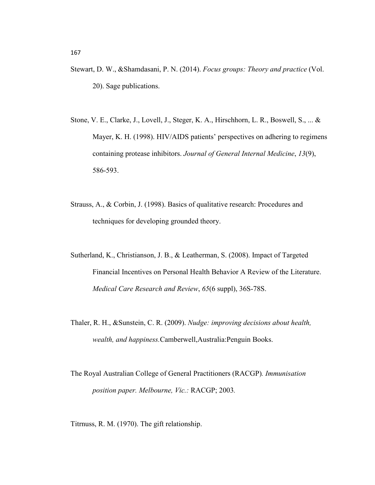- Stewart, D. W., &Shamdasani, P. N. (2014). *Focus groups: Theory and practice* (Vol. 20). Sage publications.
- Stone, V. E., Clarke, J., Lovell, J., Steger, K. A., Hirschhorn, L. R., Boswell, S., ... & Mayer, K. H. (1998). HIV/AIDS patients' perspectives on adhering to regimens containing protease inhibitors. *Journal of General Internal Medicine*, *13*(9), 586-593.
- Strauss, A., & Corbin, J. (1998). Basics of qualitative research: Procedures and techniques for developing grounded theory.
- Sutherland, K., Christianson, J. B., & Leatherman, S. (2008). Impact of Targeted Financial Incentives on Personal Health Behavior A Review of the Literature. *Medical Care Research and Review*, *65*(6 suppl), 36S-78S.
- Thaler, R. H., &Sunstein, C. R. (2009). *Nudge: improving decisions about health, wealth, and happiness.*Camberwell,Australia:Penguin Books.
- The Royal Australian College of General Practitioners (RACGP)*. Immunisation position paper. Melbourne, Vic.:* RACGP; 2003*.*
- Titrnuss, R. M. (1970). The gift relationship.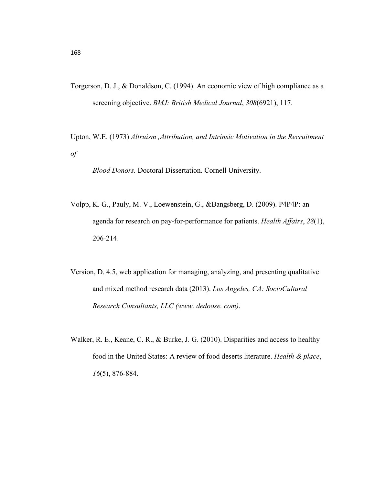- Torgerson, D. J., & Donaldson, C. (1994). An economic view of high compliance as a screening objective. *BMJ: British Medical Journal*, *308*(6921), 117.
- Upton, W.E. (1973) *Altruism ,Attribution, and Intrinsic Motivation in the Recruitment of*

*Blood Donors.* Doctoral Dissertation. Cornell University.

- Volpp, K. G., Pauly, M. V., Loewenstein, G., &Bangsberg, D. (2009). P4P4P: an agenda for research on pay-for-performance for patients. *Health Affairs*, *28*(1), 206-214.
- Version, D. 4.5, web application for managing, analyzing, and presenting qualitative and mixed method research data (2013). *Los Angeles, CA: SocioCultural Research Consultants, LLC (www. dedoose. com)*.
- Walker, R. E., Keane, C. R., & Burke, J. G. (2010). Disparities and access to healthy food in the United States: A review of food deserts literature. *Health & place*, *16*(5), 876-884.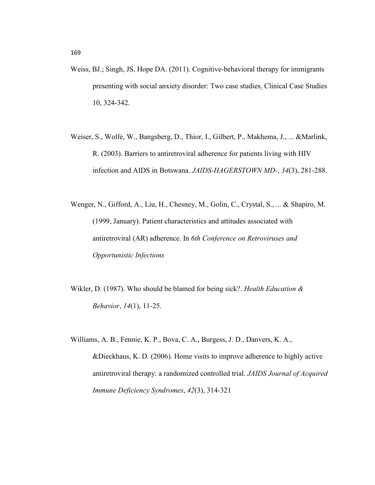- Weiss, BJ.; Singh, JS, Hope DA. (2011). Cognitive-behavioral therapy for immigrants presenting with social anxiety disorder: Two case studies. Clinical Case Studies 10, 324-342.
- Weiser, S., Wolfe, W., Bangsberg, D., Thior, I., Gilbert, P., Makhema, J., ... &Marlink, R. (2003). Barriers to antiretroviral adherence for patients living with HIV infection and AIDS in Botswana. *JAIDS-HAGERSTOWN MD-*, *34*(3), 281-288.
- Wenger, N., Gifford, A., Liu, H., Chesney, M., Golin, C., Crystal, S., ... & Shapiro, M. (1999, January). Patient characteristics and attitudes associated with antiretroviral (AR) adherence. In *6th Conference on Retroviruses and Opportunistic Infections*
- Wikler, D. (1987). Who should be blamed for being sick?. *Health Education & Behavior*, *14*(1), 11-25.
- Williams, A. B., Fennie, K. P., Bova, C. A., Burgess, J. D., Danvers, K. A., &Dieckhaus, K. D. (2006). Home visits to improve adherence to highly active antiretroviral therapy: a randomized controlled trial. *JAIDS Journal of Acquired Immune Deficiency Syndromes*, *42*(3), 314-321